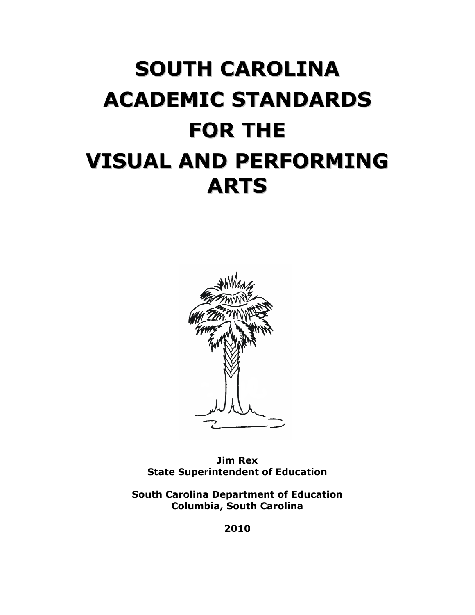# **SOUTH CAROLINA ACADEMIC STANDARDS FOR THE VISUAL AND PERFORMING ARTS**



**Jim Rex State Superintendent of Education**

**South Carolina Department of Education Columbia, South Carolina**

**2010**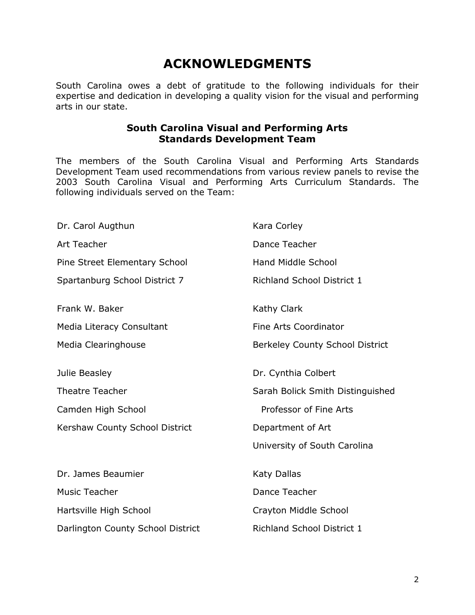# **ACKNOWLEDGMENTS**

South Carolina owes a debt of gratitude to the following individuals for their expertise and dedication in developing a quality vision for the visual and performing arts in our state.

## **South Carolina Visual and Performing Arts Standards Development Team**

The members of the South Carolina Visual and Performing Arts Standards Development Team used recommendations from various review panels to revise the 2003 South Carolina Visual and Performing Arts Curriculum Standards. The following individuals served on the Team:

| Kara Corley                            |
|----------------------------------------|
| Dance Teacher                          |
| <b>Hand Middle School</b>              |
| <b>Richland School District 1</b>      |
| Kathy Clark                            |
| <b>Fine Arts Coordinator</b>           |
| <b>Berkeley County School District</b> |
| Dr. Cynthia Colbert                    |
| Sarah Bolick Smith Distinguished       |
| Professor of Fine Arts                 |
| Department of Art                      |
| University of South Carolina           |
| Katy Dallas                            |
| Dance Teacher                          |
| Crayton Middle School                  |
| <b>Richland School District 1</b>      |
|                                        |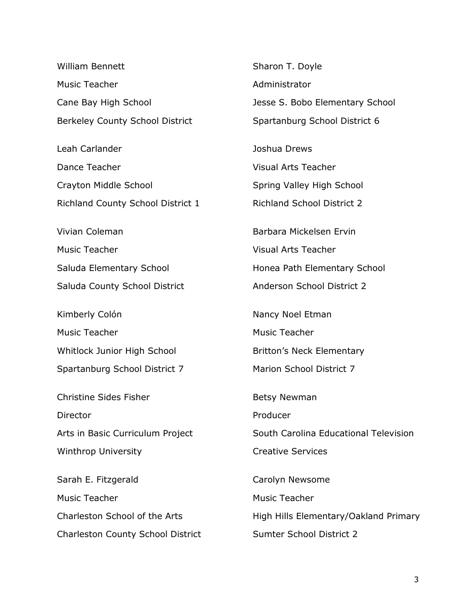| William Bennett                        |
|----------------------------------------|
| Music Teacher                          |
| Cane Bay High School                   |
| <b>Berkeley County School District</b> |
| Leah Carlander                         |
| Dance Teacher                          |

Crayton Middle School Richland County School District 1

Vivian Coleman Music Teacher Saluda Elementary School Saluda County School District

Kimberly Colón Music Teacher Whitlock Junior High School Spartanburg School District 7

Christine Sides Fisher **Director** Arts in Basic Curriculum Project Winthrop University

Sarah E. Fitzgerald Music Teacher Charleston School of the Arts Charleston County School District Sharon T. Doyle Administrator Jesse S. Bobo Elementary School Spartanburg School District 6

Joshua Drews Visual Arts Teacher Spring Valley High School Richland School District 2

Barbara Mickelsen Ervin Visual Arts Teacher Honea Path Elementary School Anderson School District 2

Nancy Noel Etman

Music Teacher

Britton's Neck Elementary

Marion School District 7

Betsy Newman

Producer

South Carolina Educational Television Creative Services

Carolyn Newsome Music Teacher High Hills Elementary/Oakland Primary Sumter School District 2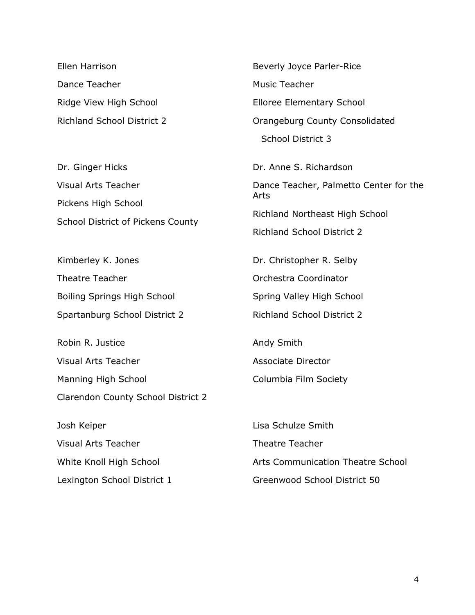Ellen Harrison Dance Teacher Ridge View High School Richland School District 2

Dr. Ginger Hicks Visual Arts Teacher Pickens High School School District of Pickens County

Kimberley K. Jones Theatre Teacher Boiling Springs High School Spartanburg School District 2

Robin R. Justice Visual Arts Teacher Manning High School Clarendon County School District 2

Josh Keiper Visual Arts Teacher White Knoll High School Lexington School District 1

Beverly Joyce Parler-Rice Music Teacher Elloree Elementary School Orangeburg County Consolidated School District 3 Dr. Anne S. Richardson Dance Teacher, Palmetto Center for the Arts Richland Northeast High School Richland School District 2

Dr. Christopher R. Selby Orchestra Coordinator Spring Valley High School Richland School District 2

Andy Smith Associate Director Columbia Film Society

Lisa Schulze Smith Theatre Teacher Arts Communication Theatre School Greenwood School District 50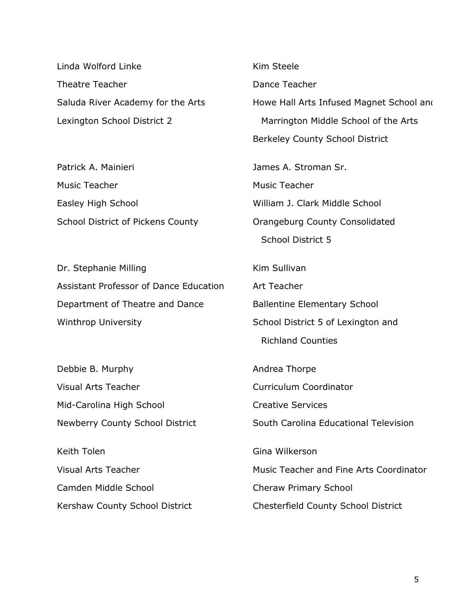Linda Wolford Linke Theatre Teacher Saluda River Academy for the Arts Lexington School District 2

Patrick A. Mainieri Music Teacher Easley High School School District of Pickens County

Dr. Stephanie Milling Assistant Professor of Dance Education Department of Theatre and Dance Winthrop University

Debbie B. Murphy Visual Arts Teacher Mid-Carolina High School Newberry County School District

Keith Tolen Visual Arts Teacher Camden Middle School Kershaw County School District

Kim Steele Dance Teacher Howe Hall Arts Infused Magnet School and Marrington Middle School of the Arts Berkeley County School District James A. Stroman Sr. Music Teacher William J. Clark Middle School Orangeburg County Consolidated School District 5 Kim Sullivan Art Teacher Ballentine Elementary School School District 5 of Lexington and Richland Counties Andrea Thorpe Curriculum Coordinator Creative Services South Carolina Educational Television Gina Wilkerson Music Teacher and Fine Arts Coordinator Cheraw Primary School

Chesterfield County School District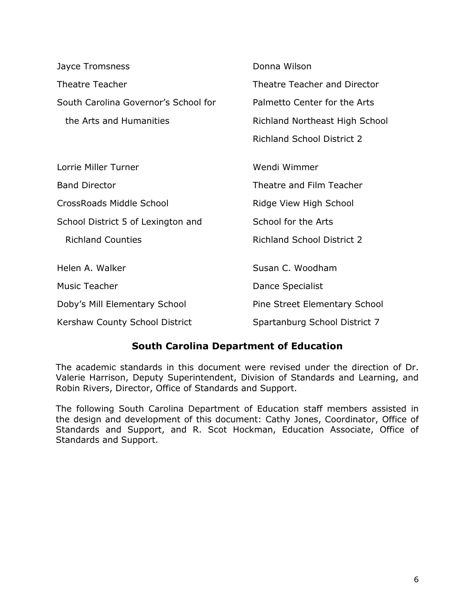|                                      | Donna Wilson                      |
|--------------------------------------|-----------------------------------|
| Jayce Tromsness                      |                                   |
| <b>Theatre Teacher</b>               | Theatre Teacher and Director      |
| South Carolina Governor's School for | Palmetto Center for the Arts      |
| the Arts and Humanities              | Richland Northeast High School    |
|                                      | <b>Richland School District 2</b> |
| Lorrie Miller Turner                 | Wendi Wimmer                      |
| <b>Band Director</b>                 | Theatre and Film Teacher          |
| CrossRoads Middle School             | Ridge View High School            |
| School District 5 of Lexington and   | School for the Arts               |
| <b>Richland Counties</b>             | <b>Richland School District 2</b> |
| Helen A. Walker                      | Susan C. Woodham                  |
| <b>Music Teacher</b>                 | Dance Specialist                  |
| Doby's Mill Elementary School        | Pine Street Elementary School     |
| Kershaw County School District       | Spartanburg School District 7     |

## **South Carolina Department of Education**

The academic standards in this document were revised under the direction of Dr. Valerie Harrison, Deputy Superintendent, Division of Standards and Learning, and Robin Rivers, Director, Office of Standards and Support.

The following South Carolina Department of Education staff members assisted in the design and development of this document: Cathy Jones, Coordinator, Office of Standards and Support, and R. Scot Hockman, Education Associate, Office of Standards and Support.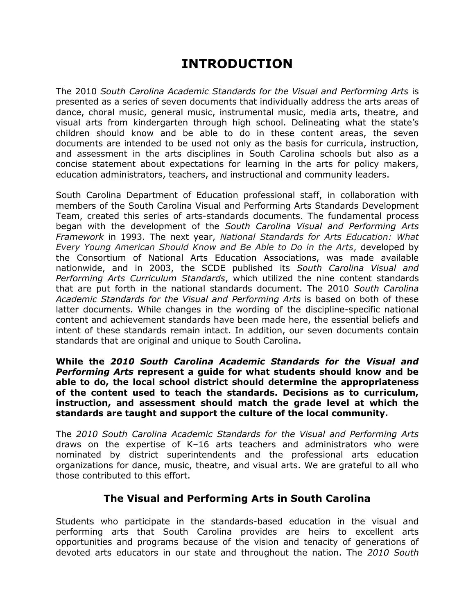# **INTRODUCTION**

The 2010 *South Carolina Academic Standards for the Visual and Performing Arts* is presented as a series of seven documents that individually address the arts areas of dance, choral music, general music, instrumental music, media arts, theatre, and visual arts from kindergarten through high school. Delineating what the state's children should know and be able to do in these content areas, the seven documents are intended to be used not only as the basis for curricula, instruction, and assessment in the arts disciplines in South Carolina schools but also as a concise statement about expectations for learning in the arts for policy makers, education administrators, teachers, and instructional and community leaders.

South Carolina Department of Education professional staff, in collaboration with members of the South Carolina Visual and Performing Arts Standards Development Team, created this series of arts-standards documents. The fundamental process began with the development of the *South Carolina Visual and Performing Arts Framework* in 1993. The next year, *National Standards for Arts Education: What Every Young American Should Know and Be Able to Do in the Arts*, developed by the Consortium of National Arts Education Associations, was made available nationwide, and in 2003, the SCDE published its *South Carolina Visual and Performing Arts Curriculum Standards*, which utilized the nine content standards that are put forth in the national standards document. The 2010 *South Carolina Academic Standards for the Visual and Performing Arts* is based on both of these latter documents. While changes in the wording of the discipline-specific national content and achievement standards have been made here, the essential beliefs and intent of these standards remain intact. In addition, our seven documents contain standards that are original and unique to South Carolina.

**While the** *2010 South Carolina Academic Standards for the Visual and Performing Arts* **represent a guide for what students should know and be able to do, the local school district should determine the appropriateness of the content used to teach the standards. Decisions as to curriculum, instruction, and assessment should match the grade level at which the standards are taught and support the culture of the local community.**

The *2010 South Carolina Academic Standards for the Visual and Performing Arts*  draws on the expertise of K–16 arts teachers and administrators who were nominated by district superintendents and the professional arts education organizations for dance, music, theatre, and visual arts. We are grateful to all who those contributed to this effort.

## **The Visual and Performing Arts in South Carolina**

Students who participate in the standards-based education in the visual and performing arts that South Carolina provides are heirs to excellent arts opportunities and programs because of the vision and tenacity of generations of devoted arts educators in our state and throughout the nation. The *2010 South*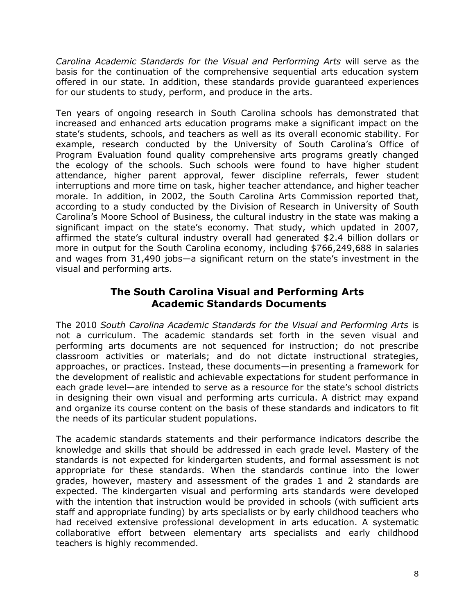*Carolina Academic Standards for the Visual and Performing Arts* will serve as the basis for the continuation of the comprehensive sequential arts education system offered in our state. In addition, these standards provide guaranteed experiences for our students to study, perform, and produce in the arts.

Ten years of ongoing research in South Carolina schools has demonstrated that increased and enhanced arts education programs make a significant impact on the state's students, schools, and teachers as well as its overall economic stability. For example, research conducted by the University of South Carolina's Office of Program Evaluation found quality comprehensive arts programs greatly changed the ecology of the schools. Such schools were found to have higher student attendance, higher parent approval, fewer discipline referrals, fewer student interruptions and more time on task, higher teacher attendance, and higher teacher morale. In addition, in 2002, the South Carolina Arts Commission reported that, according to a study conducted by the Division of Research in University of South Carolina's Moore School of Business, the cultural industry in the state was making a significant impact on the state's economy. That study, which updated in 2007, affirmed the state's cultural industry overall had generated \$2.4 billion dollars or more in output for the South Carolina economy, including \$766,249,688 in salaries and wages from 31,490 jobs—a significant return on the state's investment in the visual and performing arts.

## **The South Carolina Visual and Performing Arts Academic Standards Documents**

The 2010 *South Carolina Academic Standards for the Visual and Performing Arts* is not a curriculum. The academic standards set forth in the seven visual and performing arts documents are not sequenced for instruction; do not prescribe classroom activities or materials; and do not dictate instructional strategies, approaches, or practices. Instead, these documents—in presenting a framework for the development of realistic and achievable expectations for student performance in each grade level—are intended to serve as a resource for the state's school districts in designing their own visual and performing arts curricula. A district may expand and organize its course content on the basis of these standards and indicators to fit the needs of its particular student populations.

The academic standards statements and their performance indicators describe the knowledge and skills that should be addressed in each grade level. Mastery of the standards is not expected for kindergarten students, and formal assessment is not appropriate for these standards. When the standards continue into the lower grades, however, mastery and assessment of the grades 1 and 2 standards are expected. The kindergarten visual and performing arts standards were developed with the intention that instruction would be provided in schools (with sufficient arts staff and appropriate funding) by arts specialists or by early childhood teachers who had received extensive professional development in arts education. A systematic collaborative effort between elementary arts specialists and early childhood teachers is highly recommended.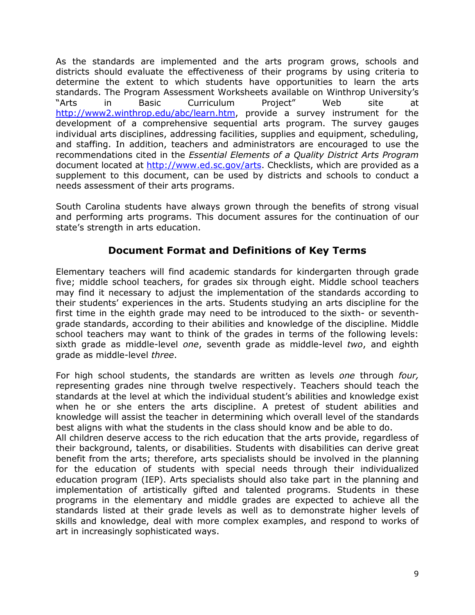As the standards are implemented and the arts program grows, schools and districts should evaluate the effectiveness of their programs by using criteria to determine the extent to which students have opportunities to learn the arts standards. The Program Assessment Worksheets available on Winthrop University's "Arts in Basic Curriculum Project" Web site at [http://www2.winthrop.edu/abc/learn.htm,](http://www2.winthrop.edu/abc/learn.htm) provide a survey instrument for the development of a comprehensive sequential arts program. The survey gauges individual arts disciplines, addressing facilities, supplies and equipment, scheduling, and staffing. In addition, teachers and administrators are encouraged to use the recommendations cited in the *Essential Elements of a Quality District Arts Program* document located at [http://www.ed.sc.gov/arts.](http://www.ed.sc.gov/arts) Checklists, which are provided as a supplement to this document, can be used by districts and schools to conduct a needs assessment of their arts programs.

South Carolina students have always grown through the benefits of strong visual and performing arts programs. This document assures for the continuation of our state's strength in arts education.

## **Document Format and Definitions of Key Terms**

Elementary teachers will find academic standards for kindergarten through grade five; middle school teachers, for grades six through eight. Middle school teachers may find it necessary to adjust the implementation of the standards according to their students' experiences in the arts. Students studying an arts discipline for the first time in the eighth grade may need to be introduced to the sixth- or seventhgrade standards, according to their abilities and knowledge of the discipline. Middle school teachers may want to think of the grades in terms of the following levels: sixth grade as middle-level *one*, seventh grade as middle-level *two*, and eighth grade as middle-level *three*.

For high school students, the standards are written as levels *one* through *four,* representing grades nine through twelve respectively. Teachers should teach the standards at the level at which the individual student's abilities and knowledge exist when he or she enters the arts discipline. A pretest of student abilities and knowledge will assist the teacher in determining which overall level of the standards best aligns with what the students in the class should know and be able to do. All children deserve access to the rich education that the arts provide, regardless of their background, talents, or disabilities. Students with disabilities can derive great benefit from the arts; therefore, arts specialists should be involved in the planning for the education of students with special needs through their individualized education program (IEP). Arts specialists should also take part in the planning and implementation of artistically gifted and talented programs. Students in these programs in the elementary and middle grades are expected to achieve all the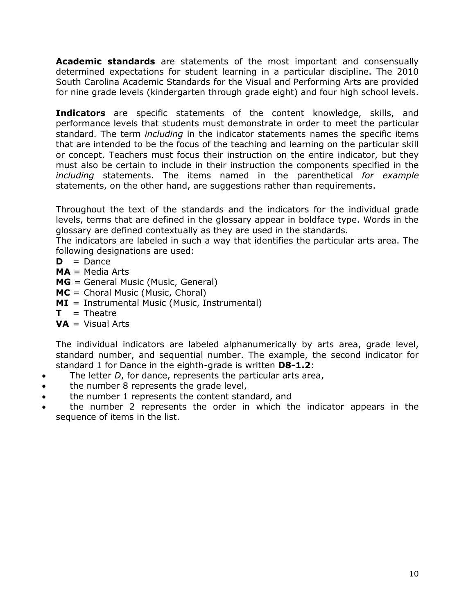**Academic standards** are statements of the most important and consensually determined expectations for student learning in a particular discipline. The 2010 South Carolina Academic Standards for the Visual and Performing Arts are provided for nine grade levels (kindergarten through grade eight) and four high school levels.

**Indicators** are specific statements of the content knowledge, skills, and performance levels that students must demonstrate in order to meet the particular standard. The term *including* in the indicator statements names the specific items that are intended to be the focus of the teaching and learning on the particular skill or concept. Teachers must focus their instruction on the entire indicator, but they must also be certain to include in their instruction the components specified in the *including* statements. The items named in the parenthetical *for example* statements, on the other hand, are suggestions rather than requirements.

Throughout the text of the standards and the indicators for the individual grade levels, terms that are defined in the glossary appear in boldface type. Words in the glossary are defined contextually as they are used in the standards.

The indicators are labeled in such a way that identifies the particular arts area. The following designations are used:

- $D = D$ ance
- **MA** = Media Arts
- **MG** = General Music (Music, General)
- **MC** = Choral Music (Music, Choral)
- **MI** = Instrumental Music (Music, Instrumental)
- $T = \text{The}$
- **VA** = Visual Arts

The individual indicators are labeled alphanumerically by arts area, grade level, standard number, and sequential number. The example, the second indicator for standard 1 for Dance in the eighth-grade is written **D8-1.2**:

- The letter *D*, for dance, represents the particular arts area,
- the number 8 represents the grade level,
- the number 1 represents the content standard, and
- the number 2 represents the order in which the indicator appears in the sequence of items in the list.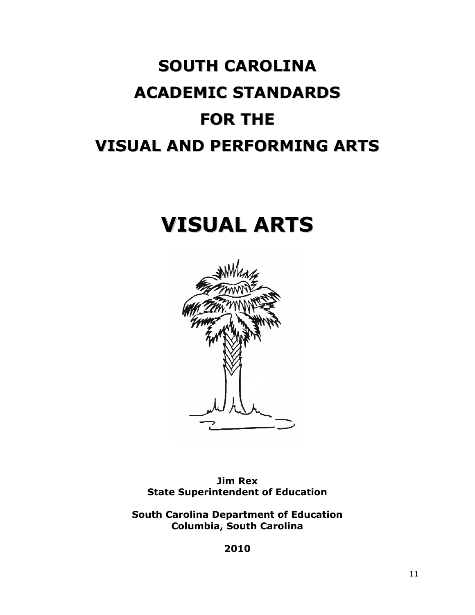# **SOUTH CAROLINA ACADEMIC STANDARDS FOR THE VISUAL AND PERFORMING ARTS**

# **VISUAL ARTS**



**Jim Rex State Superintendent of Education**

**South Carolina Department of Education Columbia, South Carolina**

**2010**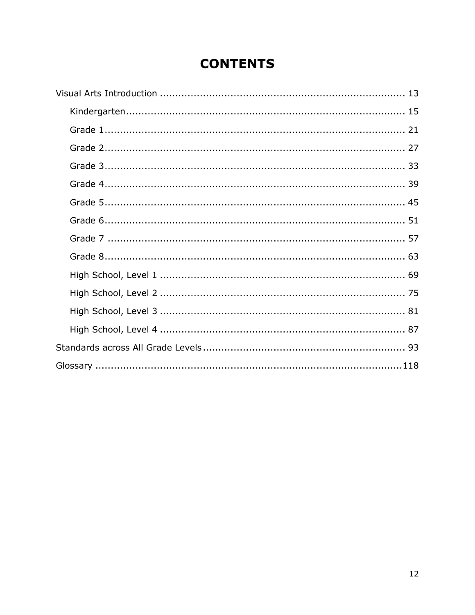# **CONTENTS**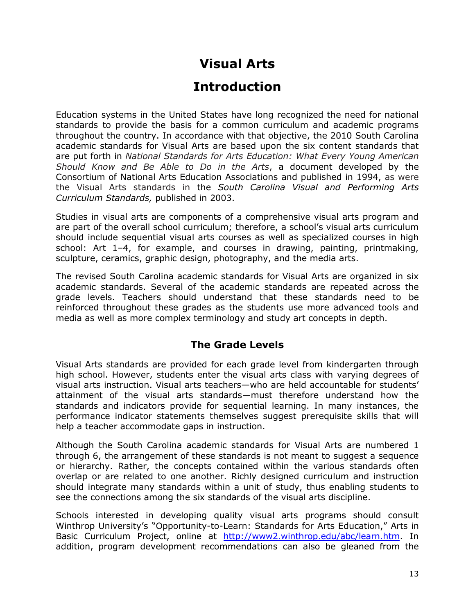# **Visual Arts Introduction**

Education systems in the United States have long recognized the need for national standards to provide the basis for a common curriculum and academic programs throughout the country. In accordance with that objective, the 2010 South Carolina academic standards for Visual Arts are based upon the six content standards that are put forth in *National Standards for Arts Education: What Every Young American Should Know and Be Able to Do in the Arts*, a document developed by the Consortium of National Arts Education Associations and published in 1994, as were the Visual Arts standards in the *South Carolina Visual and Performing Arts Curriculum Standards,* published in 2003.

Studies in visual arts are components of a comprehensive visual arts program and are part of the overall school curriculum; therefore, a school's visual arts curriculum should include sequential visual arts courses as well as specialized courses in high school: Art 1–4, for example, and courses in drawing, painting, printmaking, sculpture, ceramics, graphic design, photography, and the media arts.

The revised South Carolina academic standards for Visual Arts are organized in six academic standards. Several of the academic standards are repeated across the grade levels. Teachers should understand that these standards need to be reinforced throughout these grades as the students use more advanced tools and media as well as more complex terminology and study art concepts in depth.

## **The Grade Levels**

Visual Arts standards are provided for each grade level from kindergarten through high school. However, students enter the visual arts class with varying degrees of visual arts instruction. Visual arts teachers—who are held accountable for students' attainment of the visual arts standards—must therefore understand how the standards and indicators provide for sequential learning. In many instances, the performance indicator statements themselves suggest prerequisite skills that will help a teacher accommodate gaps in instruction.

Although the South Carolina academic standards for Visual Arts are numbered 1 through 6, the arrangement of these standards is not meant to suggest a sequence or hierarchy. Rather, the concepts contained within the various standards often overlap or are related to one another. Richly designed curriculum and instruction should integrate many standards within a unit of study, thus enabling students to see the connections among the six standards of the visual arts discipline.

Schools interested in developing quality visual arts programs should consult Winthrop University's "Opportunity-to-Learn: Standards for Arts Education," Arts in Basic Curriculum Project, online at [http://www2.winthrop.edu/abc/learn.htm.](http://www2.winthrop.edu/abc/learn.htm) In addition, program development recommendations can also be gleaned from the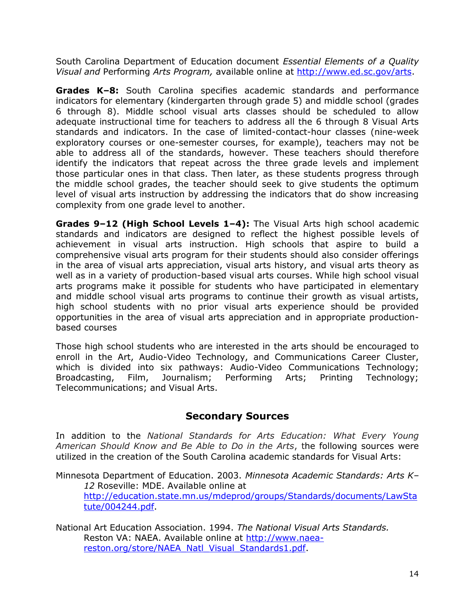South Carolina Department of Education document *Essential Elements of a Quality Visual and* Performing *Arts Program,* available online at [http://www.ed.sc.gov/arts.](http://www.ed.sc.gov/arts)

**Grades K–8:** South Carolina specifies academic standards and performance indicators for elementary (kindergarten through grade 5) and middle school (grades 6 through 8). Middle school visual arts classes should be scheduled to allow adequate instructional time for teachers to address all the 6 through 8 Visual Arts standards and indicators. In the case of limited-contact-hour classes (nine-week exploratory courses or one-semester courses, for example), teachers may not be able to address all of the standards, however. These teachers should therefore identify the indicators that repeat across the three grade levels and implement those particular ones in that class. Then later, as these students progress through the middle school grades, the teacher should seek to give students the optimum level of visual arts instruction by addressing the indicators that do show increasing complexity from one grade level to another.

**Grades 9–12 (High School Levels 1–4):** The Visual Arts high school academic standards and indicators are designed to reflect the highest possible levels of achievement in visual arts instruction. High schools that aspire to build a comprehensive visual arts program for their students should also consider offerings in the area of visual arts appreciation, visual arts history, and visual arts theory as well as in a variety of production-based visual arts courses. While high school visual arts programs make it possible for students who have participated in elementary and middle school visual arts programs to continue their growth as visual artists, high school students with no prior visual arts experience should be provided opportunities in the area of visual arts appreciation and in appropriate productionbased courses

Those high school students who are interested in the arts should be encouraged to enroll in the Art, Audio-Video Technology, and Communications Career Cluster, which is divided into six pathways: Audio-Video Communications Technology; Broadcasting, Film, Journalism; Performing Arts; Printing Technology; Telecommunications; and Visual Arts.

## **Secondary Sources**

In addition to the *National Standards for Arts Education: What Every Young American Should Know and Be Able to Do in the Arts*, the following sources were utilized in the creation of the South Carolina academic standards for Visual Arts:

Minnesota Department of Education. 2003. *Minnesota Academic Standards: Arts K– 12* Roseville: MDE. Available online at [http://education.state.mn.us/mdeprod/groups/Standards/documents/LawSta](http://education.state.mn.us/mdeprod/groups/Standards/documents/LawStatute/004244.pdf) [tute/004244.pdf.](http://education.state.mn.us/mdeprod/groups/Standards/documents/LawStatute/004244.pdf)

National Art Education Association. 1994. *The National Visual Arts Standards.* Reston VA: NAEA. Available online at [http://www.naea](http://www.naea-reston.org/store/NAEA_Natl_Visual_Standards1.pdf)[reston.org/store/NAEA\\_Natl\\_Visual\\_Standards1.pdf.](http://www.naea-reston.org/store/NAEA_Natl_Visual_Standards1.pdf)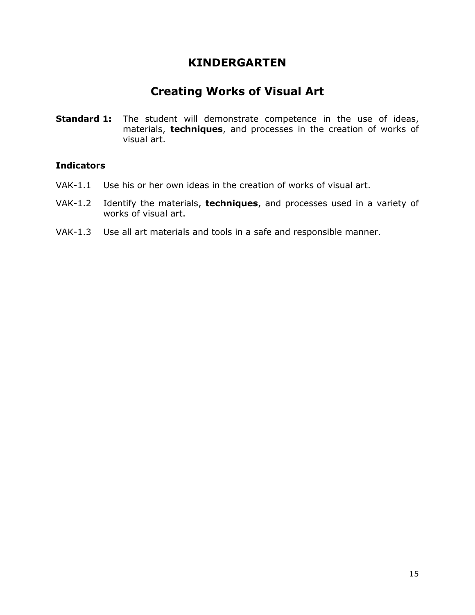## **Creating Works of Visual Art**

**Standard 1:** The student will demonstrate competence in the use of ideas, materials, **techniques**, and processes in the creation of works of visual art.

- VAK-1.1 Use his or her own ideas in the creation of works of visual art.
- VAK-1.2 Identify the materials, **techniques**, and processes used in a variety of works of visual art.
- VAK-1.3 Use all art materials and tools in a safe and responsible manner.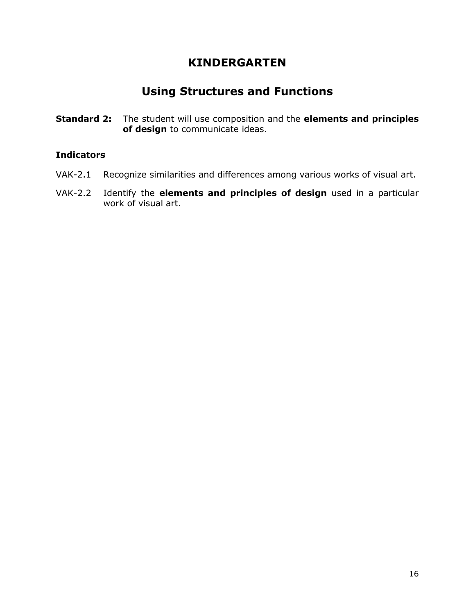# **Using Structures and Functions**

**Standard 2:** The student will use composition and the **elements and principles of design** to communicate ideas.

- VAK-2.1 Recognize similarities and differences among various works of visual art.
- VAK-2.2 Identify the **elements and principles of design** used in a particular work of visual art.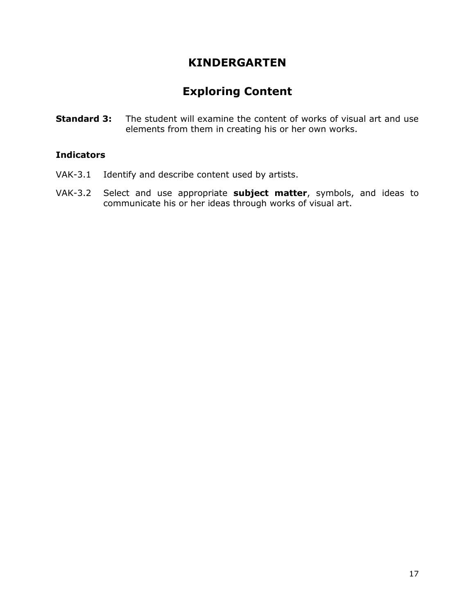# **Exploring Content**

**Standard 3:** The student will examine the content of works of visual art and use elements from them in creating his or her own works.

- VAK-3.1 Identify and describe content used by artists.
- VAK-3.2 Select and use appropriate **subject matter**, symbols, and ideas to communicate his or her ideas through works of visual art.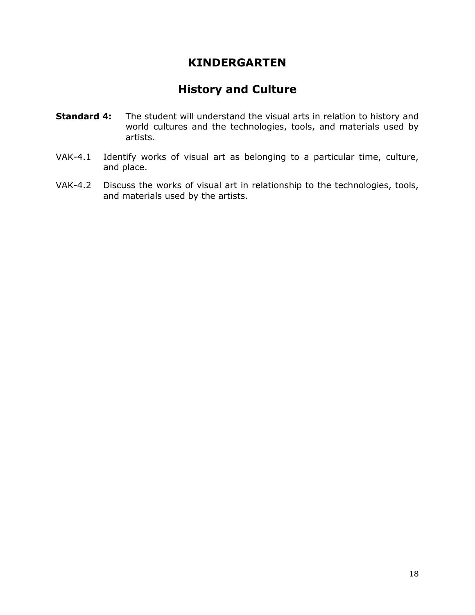# **History and Culture**

- **Standard 4:** The student will understand the visual arts in relation to history and world cultures and the technologies, tools, and materials used by artists.
- VAK-4.1 Identify works of visual art as belonging to a particular time, culture, and place.
- VAK-4.2 Discuss the works of visual art in relationship to the technologies, tools, and materials used by the artists.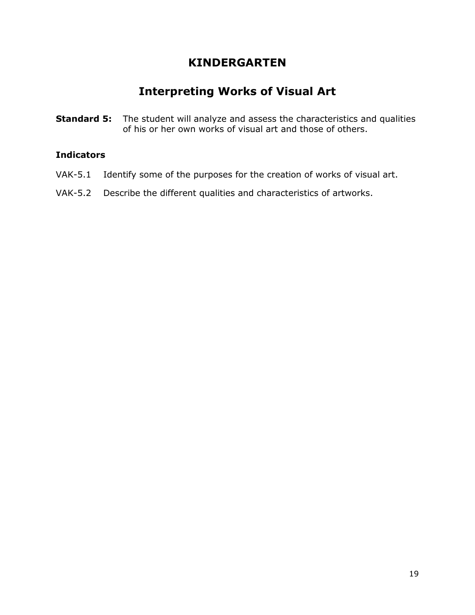# **Interpreting Works of Visual Art**

**Standard 5:** The student will analyze and assess the characteristics and qualities of his or her own works of visual art and those of others.

- VAK-5.1 Identify some of the purposes for the creation of works of visual art.
- VAK-5.2 Describe the different qualities and characteristics of artworks.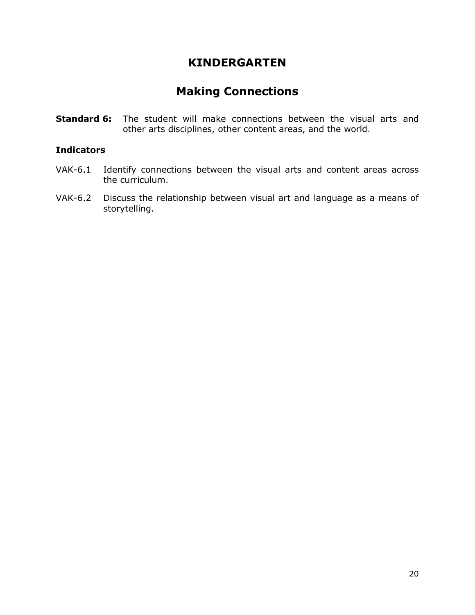# **Making Connections**

**Standard 6:** The student will make connections between the visual arts and other arts disciplines, other content areas, and the world.

- VAK-6.1 Identify connections between the visual arts and content areas across the curriculum.
- VAK-6.2 Discuss the relationship between visual art and language as a means of storytelling.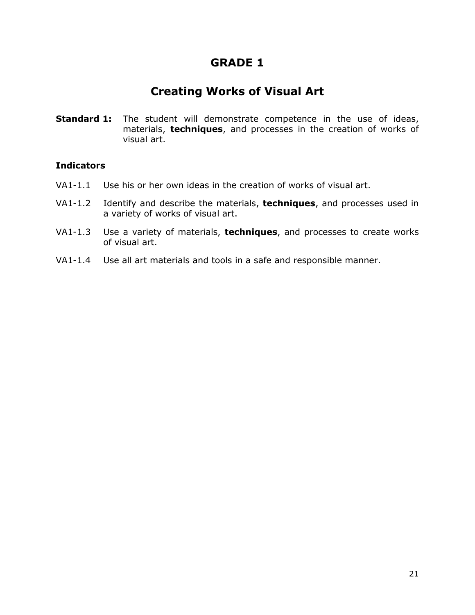# **Creating Works of Visual Art**

**Standard 1:** The student will demonstrate competence in the use of ideas, materials, **techniques**, and processes in the creation of works of visual art.

- VA1-1.1 Use his or her own ideas in the creation of works of visual art.
- VA1-1.2 Identify and describe the materials, **techniques**, and processes used in a variety of works of visual art.
- VA1-1.3 Use a variety of materials, **techniques**, and processes to create works of visual art.
- VA1-1.4 Use all art materials and tools in a safe and responsible manner.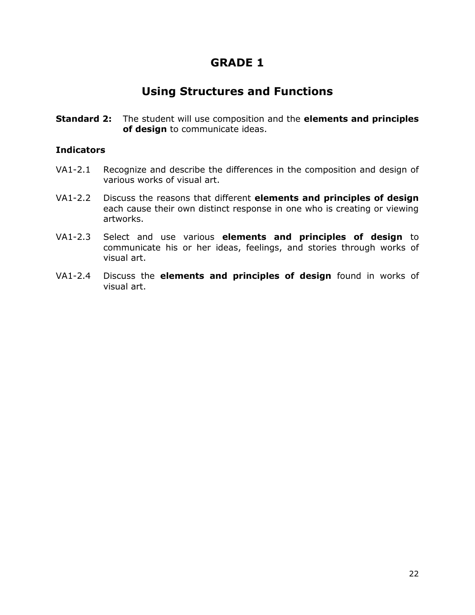# **Using Structures and Functions**

**Standard 2:** The student will use composition and the **elements and principles of design** to communicate ideas.

- VA1-2.1 Recognize and describe the differences in the composition and design of various works of visual art.
- VA1-2.2 Discuss the reasons that different **elements and principles of design** each cause their own distinct response in one who is creating or viewing artworks.
- VA1-2.3 Select and use various **elements and principles of design** to communicate his or her ideas, feelings, and stories through works of visual art.
- VA1-2.4 Discuss the **elements and principles of design** found in works of visual art.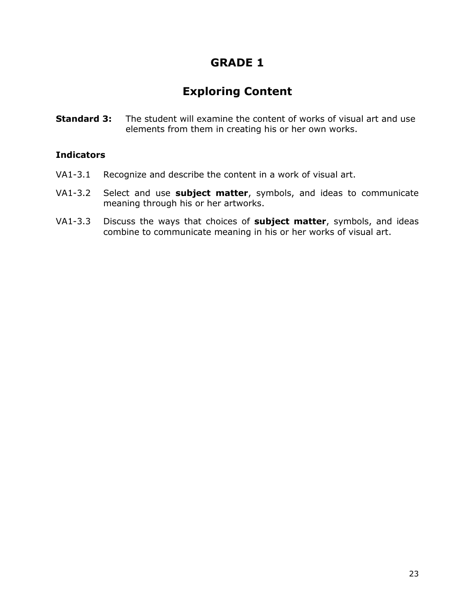# **Exploring Content**

**Standard 3:** The student will examine the content of works of visual art and use elements from them in creating his or her own works.

- VA1-3.1 Recognize and describe the content in a work of visual art.
- VA1-3.2 Select and use **subject matter**, symbols, and ideas to communicate meaning through his or her artworks.
- VA1-3.3 Discuss the ways that choices of **subject matter**, symbols, and ideas combine to communicate meaning in his or her works of visual art.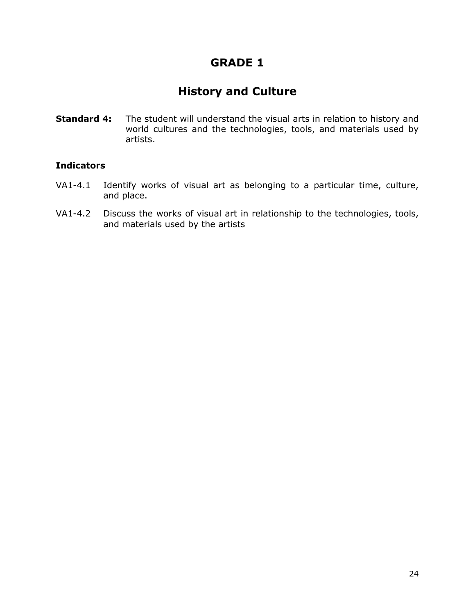# **History and Culture**

**Standard 4:** The student will understand the visual arts in relation to history and world cultures and the technologies, tools, and materials used by artists.

- VA1-4.1 Identify works of visual art as belonging to a particular time, culture, and place.
- VA1-4.2 Discuss the works of visual art in relationship to the technologies, tools, and materials used by the artists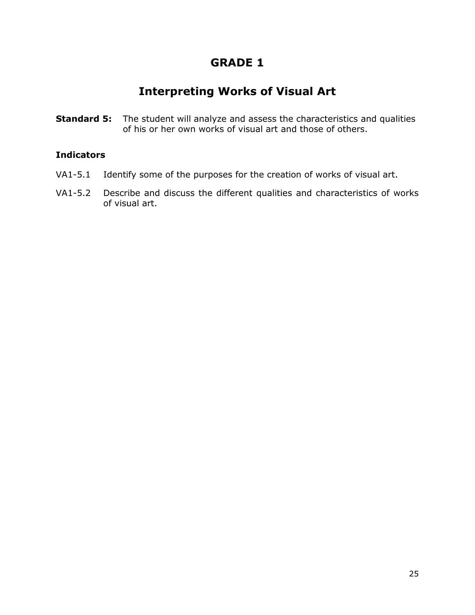# **Interpreting Works of Visual Art**

**Standard 5:** The student will analyze and assess the characteristics and qualities of his or her own works of visual art and those of others.

- VA1-5.1 Identify some of the purposes for the creation of works of visual art.
- VA1-5.2 Describe and discuss the different qualities and characteristics of works of visual art.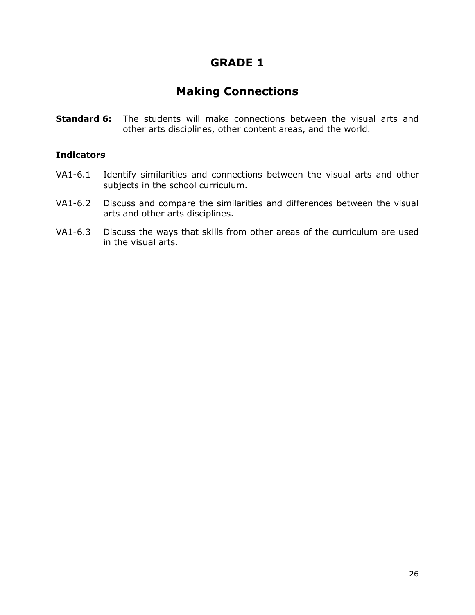# **Making Connections**

**Standard 6:** The students will make connections between the visual arts and other arts disciplines, other content areas, and the world.

- VA1-6.1 Identify similarities and connections between the visual arts and other subjects in the school curriculum.
- VA1-6.2 Discuss and compare the similarities and differences between the visual arts and other arts disciplines.
- VA1-6.3 Discuss the ways that skills from other areas of the curriculum are used in the visual arts.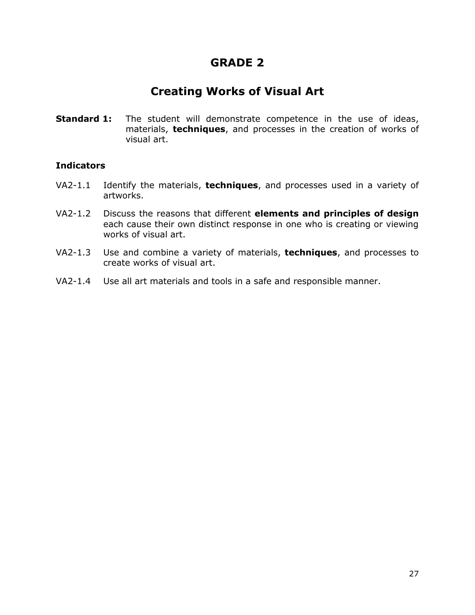# **Creating Works of Visual Art**

**Standard 1:** The student will demonstrate competence in the use of ideas, materials, **techniques**, and processes in the creation of works of visual art.

- VA2-1.1 Identify the materials, **techniques**, and processes used in a variety of artworks.
- VA2-1.2 Discuss the reasons that different **elements and principles of design** each cause their own distinct response in one who is creating or viewing works of visual art.
- VA2-1.3 Use and combine a variety of materials, **techniques**, and processes to create works of visual art.
- VA2-1.4 Use all art materials and tools in a safe and responsible manner.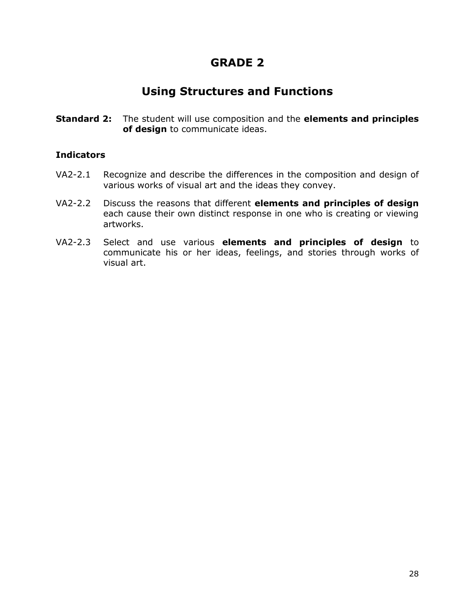# **Using Structures and Functions**

**Standard 2:** The student will use composition and the **elements and principles of design** to communicate ideas.

- VA2-2.1 Recognize and describe the differences in the composition and design of various works of visual art and the ideas they convey.
- VA2-2.2 Discuss the reasons that different **elements and principles of design** each cause their own distinct response in one who is creating or viewing artworks.
- VA2-2.3 Select and use various **elements and principles of design** to communicate his or her ideas, feelings, and stories through works of visual art.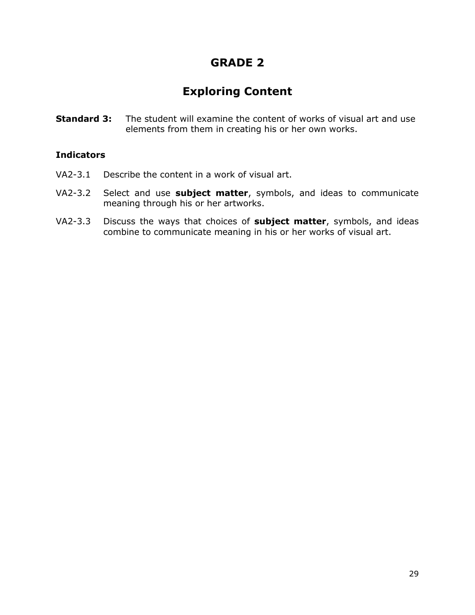# **Exploring Content**

**Standard 3:** The student will examine the content of works of visual art and use elements from them in creating his or her own works.

- VA2-3.1 Describe the content in a work of visual art.
- VA2-3.2 Select and use **subject matter**, symbols, and ideas to communicate meaning through his or her artworks.
- VA2-3.3 Discuss the ways that choices of **subject matter**, symbols, and ideas combine to communicate meaning in his or her works of visual art.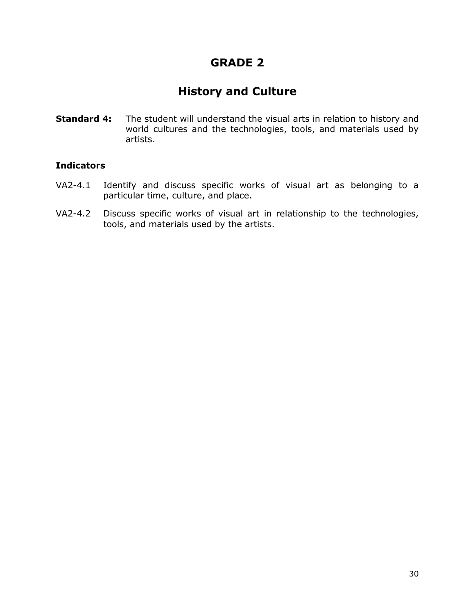# **History and Culture**

**Standard 4:** The student will understand the visual arts in relation to history and world cultures and the technologies, tools, and materials used by artists.

- VA2-4.1 Identify and discuss specific works of visual art as belonging to a particular time, culture, and place.
- VA2-4.2 Discuss specific works of visual art in relationship to the technologies, tools, and materials used by the artists.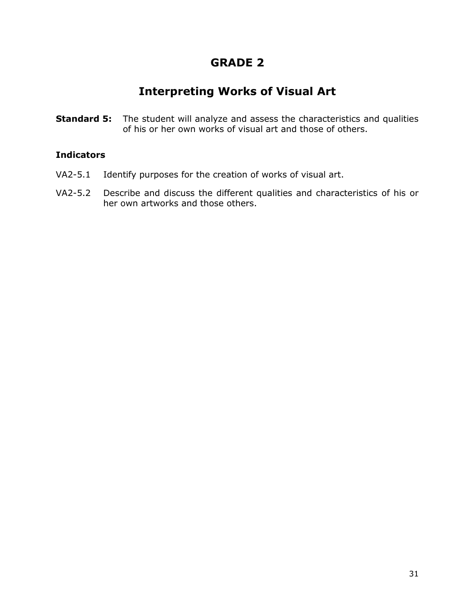# **Interpreting Works of Visual Art**

**Standard 5:** The student will analyze and assess the characteristics and qualities of his or her own works of visual art and those of others.

- VA2-5.1 Identify purposes for the creation of works of visual art.
- VA2-5.2 Describe and discuss the different qualities and characteristics of his or her own artworks and those others.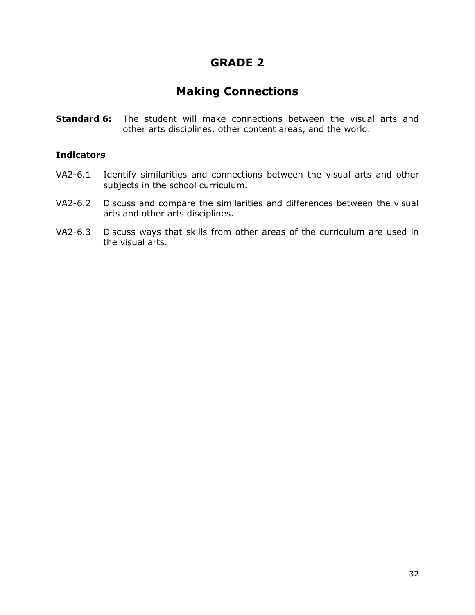# **Making Connections**

**Standard 6:** The student will make connections between the visual arts and other arts disciplines, other content areas, and the world.

- VA2-6.1 Identify similarities and connections between the visual arts and other subjects in the school curriculum.
- VA2-6.2 Discuss and compare the similarities and differences between the visual arts and other arts disciplines.
- VA2-6.3 Discuss ways that skills from other areas of the curriculum are used in the visual arts.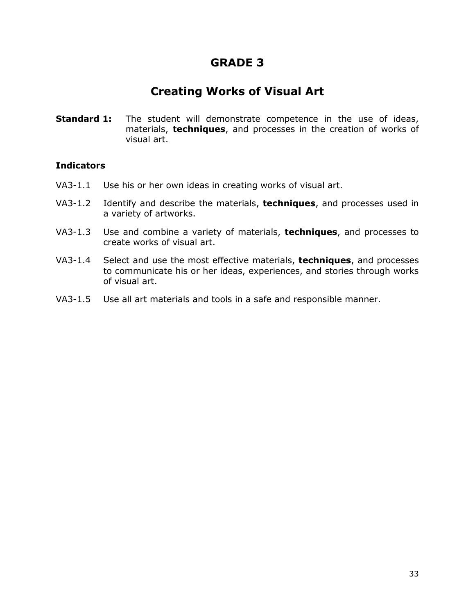# **Creating Works of Visual Art**

**Standard 1:** The student will demonstrate competence in the use of ideas, materials, **techniques**, and processes in the creation of works of visual art.

- VA3-1.1 Use his or her own ideas in creating works of visual art.
- VA3-1.2 Identify and describe the materials, **techniques**, and processes used in a variety of artworks.
- VA3-1.3 Use and combine a variety of materials, **techniques**, and processes to create works of visual art.
- VA3-1.4 Select and use the most effective materials, **techniques**, and processes to communicate his or her ideas, experiences, and stories through works of visual art.
- VA3-1.5 Use all art materials and tools in a safe and responsible manner.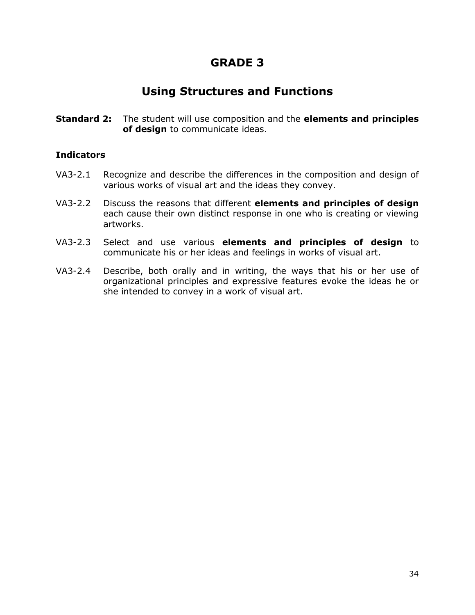## **Using Structures and Functions**

**Standard 2:** The student will use composition and the **elements and principles of design** to communicate ideas.

- VA3-2.1 Recognize and describe the differences in the composition and design of various works of visual art and the ideas they convey.
- VA3-2.2 Discuss the reasons that different **elements and principles of design** each cause their own distinct response in one who is creating or viewing artworks.
- VA3-2.3 Select and use various **elements and principles of design** to communicate his or her ideas and feelings in works of visual art.
- VA3-2.4 Describe, both orally and in writing, the ways that his or her use of organizational principles and expressive features evoke the ideas he or she intended to convey in a work of visual art.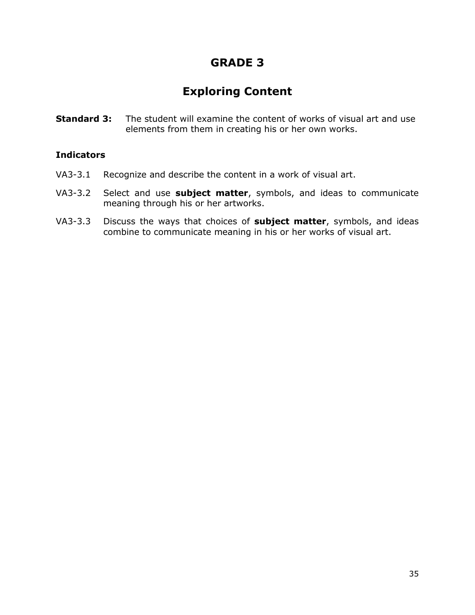# **Exploring Content**

**Standard 3:** The student will examine the content of works of visual art and use elements from them in creating his or her own works.

- VA3-3.1 Recognize and describe the content in a work of visual art.
- VA3-3.2 Select and use **subject matter**, symbols, and ideas to communicate meaning through his or her artworks.
- VA3-3.3 Discuss the ways that choices of **subject matter**, symbols, and ideas combine to communicate meaning in his or her works of visual art.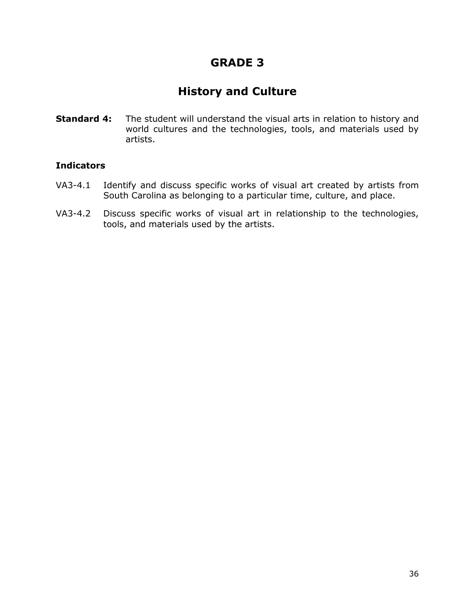# **History and Culture**

**Standard 4:** The student will understand the visual arts in relation to history and world cultures and the technologies, tools, and materials used by artists.

- VA3-4.1 Identify and discuss specific works of visual art created by artists from South Carolina as belonging to a particular time, culture, and place.
- VA3-4.2 Discuss specific works of visual art in relationship to the technologies, tools, and materials used by the artists.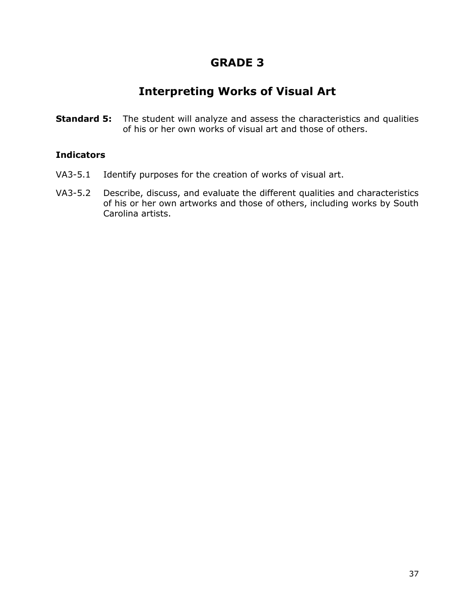## **Interpreting Works of Visual Art**

**Standard 5:** The student will analyze and assess the characteristics and qualities of his or her own works of visual art and those of others.

- VA3-5.1 Identify purposes for the creation of works of visual art.
- VA3-5.2 Describe, discuss, and evaluate the different qualities and characteristics of his or her own artworks and those of others, including works by South Carolina artists.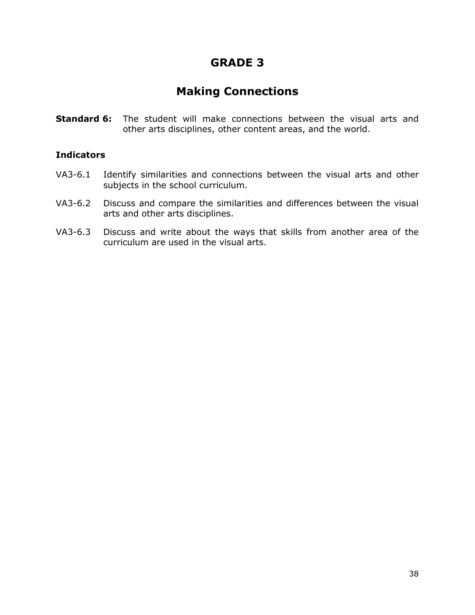## **Making Connections**

**Standard 6:** The student will make connections between the visual arts and other arts disciplines, other content areas, and the world.

- VA3-6.1 Identify similarities and connections between the visual arts and other subjects in the school curriculum.
- VA3-6.2 Discuss and compare the similarities and differences between the visual arts and other arts disciplines.
- VA3-6.3 Discuss and write about the ways that skills from another area of the curriculum are used in the visual arts.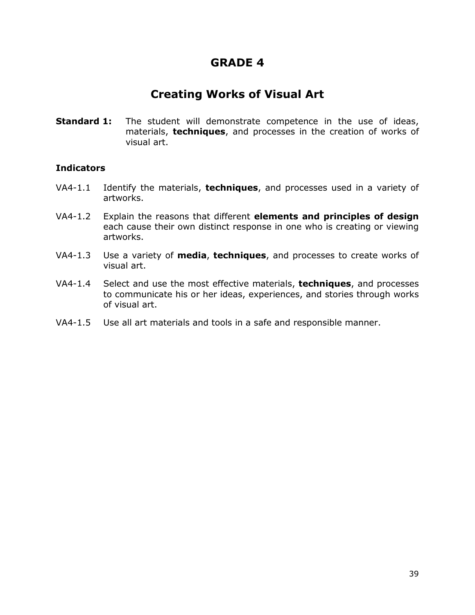## **Creating Works of Visual Art**

**Standard 1:** The student will demonstrate competence in the use of ideas, materials, **techniques**, and processes in the creation of works of visual art.

- VA4-1.1 Identify the materials, **techniques**, and processes used in a variety of artworks.
- VA4-1.2 Explain the reasons that different **elements and principles of design** each cause their own distinct response in one who is creating or viewing artworks.
- VA4-1.3 Use a variety of **media**, **techniques**, and processes to create works of visual art.
- VA4-1.4 Select and use the most effective materials, **techniques**, and processes to communicate his or her ideas, experiences, and stories through works of visual art.
- VA4-1.5 Use all art materials and tools in a safe and responsible manner.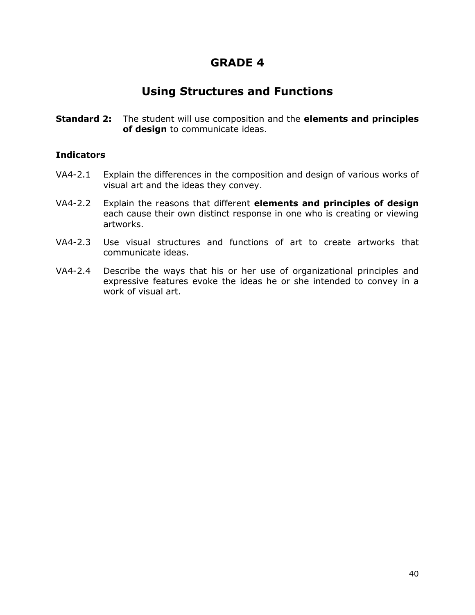### **Using Structures and Functions**

**Standard 2:** The student will use composition and the **elements and principles of design** to communicate ideas.

- VA4-2.1 Explain the differences in the composition and design of various works of visual art and the ideas they convey.
- VA4-2.2 Explain the reasons that different **elements and principles of design** each cause their own distinct response in one who is creating or viewing artworks.
- VA4-2.3 Use visual structures and functions of art to create artworks that communicate ideas.
- VA4-2.4 Describe the ways that his or her use of organizational principles and expressive features evoke the ideas he or she intended to convey in a work of visual art.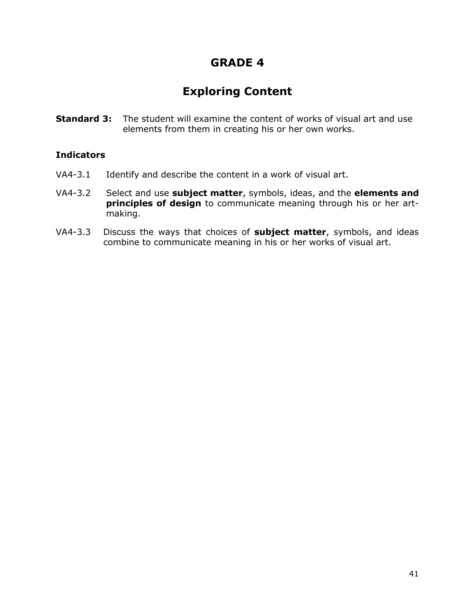# **Exploring Content**

**Standard 3:** The student will examine the content of works of visual art and use elements from them in creating his or her own works.

- VA4-3.1 Identify and describe the content in a work of visual art.
- VA4-3.2 Select and use **subject matter**, symbols, ideas, and the **elements and principles of design** to communicate meaning through his or her artmaking.
- VA4-3.3 Discuss the ways that choices of **subject matter**, symbols, and ideas combine to communicate meaning in his or her works of visual art.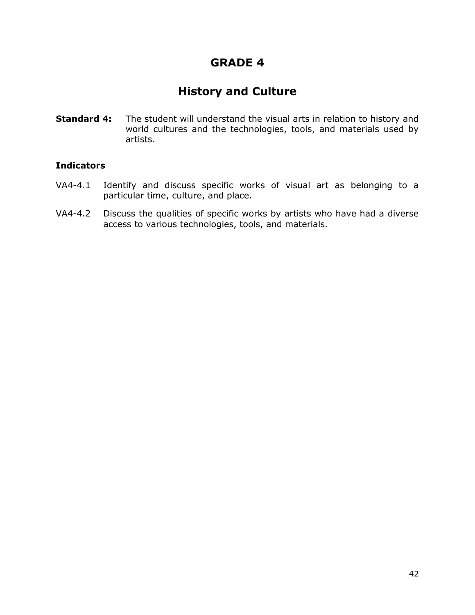# **History and Culture**

**Standard 4:** The student will understand the visual arts in relation to history and world cultures and the technologies, tools, and materials used by artists.

- VA4-4.1 Identify and discuss specific works of visual art as belonging to a particular time, culture, and place.
- VA4-4.2 Discuss the qualities of specific works by artists who have had a diverse access to various technologies, tools, and materials.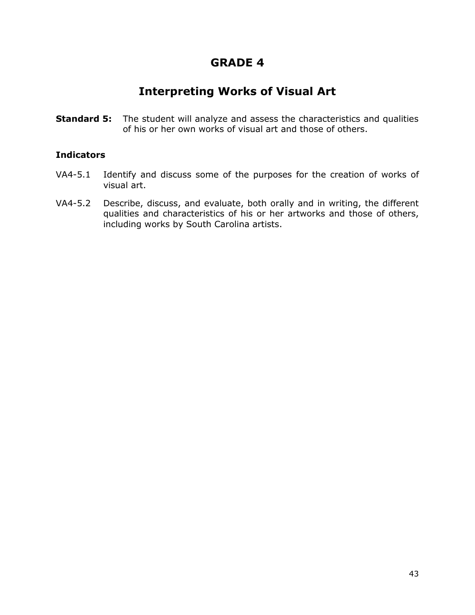## **Interpreting Works of Visual Art**

**Standard 5:** The student will analyze and assess the characteristics and qualities of his or her own works of visual art and those of others.

- VA4-5.1 Identify and discuss some of the purposes for the creation of works of visual art.
- VA4-5.2 Describe, discuss, and evaluate, both orally and in writing, the different qualities and characteristics of his or her artworks and those of others, including works by South Carolina artists.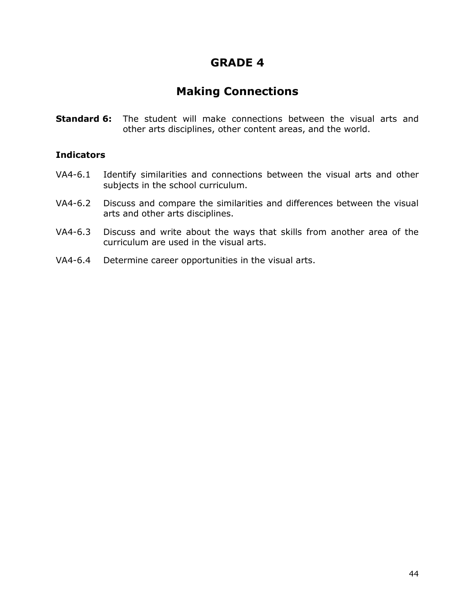## **Making Connections**

**Standard 6:** The student will make connections between the visual arts and other arts disciplines, other content areas, and the world.

- VA4-6.1 Identify similarities and connections between the visual arts and other subjects in the school curriculum.
- VA4-6.2 Discuss and compare the similarities and differences between the visual arts and other arts disciplines.
- VA4-6.3 Discuss and write about the ways that skills from another area of the curriculum are used in the visual arts.
- VA4-6.4 Determine career opportunities in the visual arts.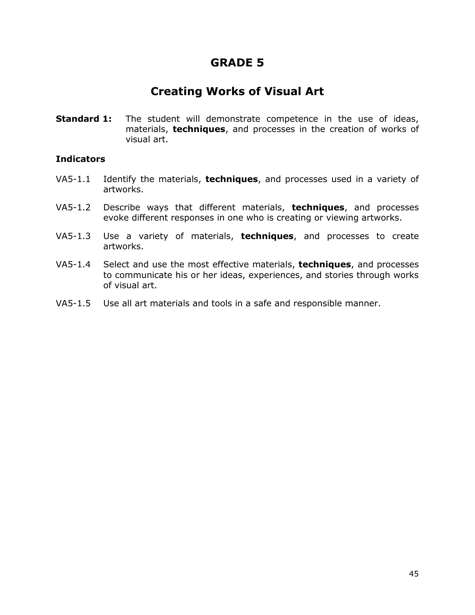### **Creating Works of Visual Art**

**Standard 1:** The student will demonstrate competence in the use of ideas, materials, **techniques**, and processes in the creation of works of visual art.

- VA5-1.1 Identify the materials, **techniques**, and processes used in a variety of artworks.
- VA5-1.2 Describe ways that different materials, **techniques**, and processes evoke different responses in one who is creating or viewing artworks.
- VA5-1.3 Use a variety of materials, **techniques**, and processes to create artworks.
- VA5-1.4 Select and use the most effective materials, **techniques**, and processes to communicate his or her ideas, experiences, and stories through works of visual art.
- VA5-1.5 Use all art materials and tools in a safe and responsible manner.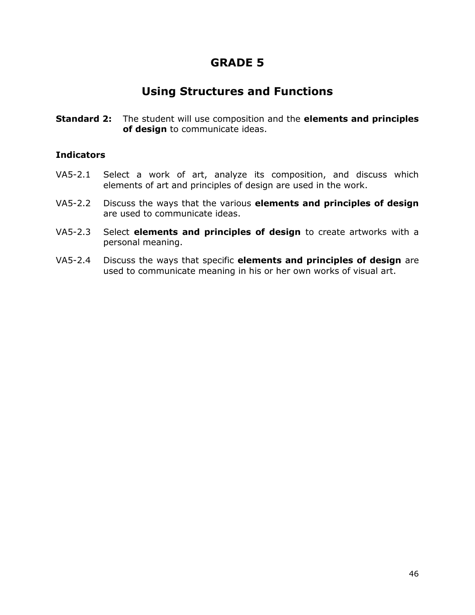### **Using Structures and Functions**

**Standard 2:** The student will use composition and the **elements and principles of design** to communicate ideas.

- VA5-2.1 Select a work of art, analyze its composition, and discuss which elements of art and principles of design are used in the work.
- VA5-2.2 Discuss the ways that the various **elements and principles of design** are used to communicate ideas.
- VA5-2.3 Select **elements and principles of design** to create artworks with a personal meaning.
- VA5-2.4 Discuss the ways that specific **elements and principles of design** are used to communicate meaning in his or her own works of visual art.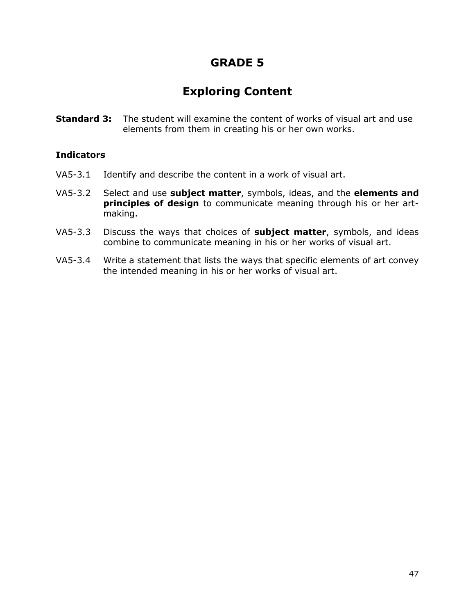# **Exploring Content**

**Standard 3:** The student will examine the content of works of visual art and use elements from them in creating his or her own works.

- VA5-3.1 Identify and describe the content in a work of visual art.
- VA5-3.2 Select and use **subject matter**, symbols, ideas, and the **elements and principles of design** to communicate meaning through his or her artmaking.
- VA5-3.3 Discuss the ways that choices of **subject matter**, symbols, and ideas combine to communicate meaning in his or her works of visual art.
- VA5-3.4 Write a statement that lists the ways that specific elements of art convey the intended meaning in his or her works of visual art.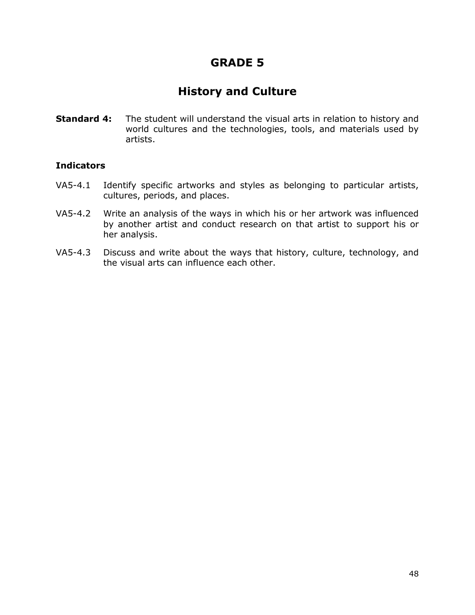# **History and Culture**

**Standard 4:** The student will understand the visual arts in relation to history and world cultures and the technologies, tools, and materials used by artists.

- VA5-4.1 Identify specific artworks and styles as belonging to particular artists, cultures, periods, and places.
- VA5-4.2 Write an analysis of the ways in which his or her artwork was influenced by another artist and conduct research on that artist to support his or her analysis.
- VA5-4.3 Discuss and write about the ways that history, culture, technology, and the visual arts can influence each other.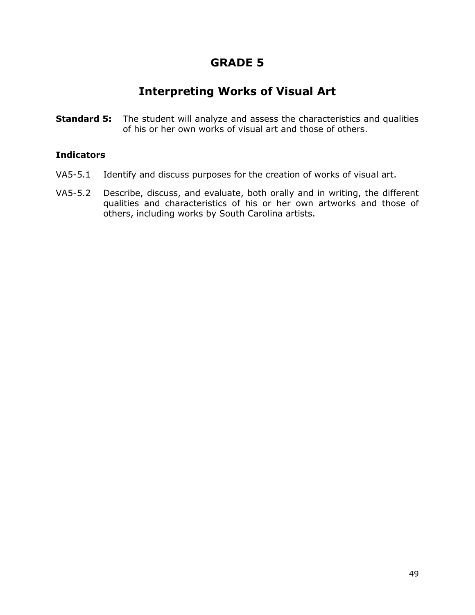## **Interpreting Works of Visual Art**

**Standard 5:** The student will analyze and assess the characteristics and qualities of his or her own works of visual art and those of others.

- VA5-5.1 Identify and discuss purposes for the creation of works of visual art.
- VA5-5.2 Describe, discuss, and evaluate, both orally and in writing, the different qualities and characteristics of his or her own artworks and those of others, including works by South Carolina artists.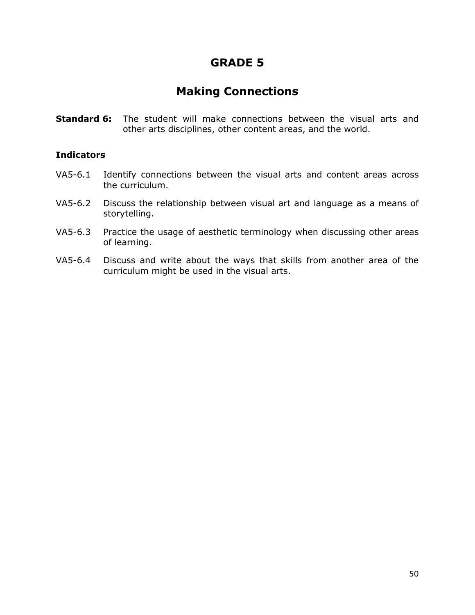## **Making Connections**

**Standard 6:** The student will make connections between the visual arts and other arts disciplines, other content areas, and the world.

- VA5-6.1 Identify connections between the visual arts and content areas across the curriculum.
- VA5-6.2 Discuss the relationship between visual art and language as a means of storytelling.
- VA5-6.3 Practice the usage of aesthetic terminology when discussing other areas of learning.
- VA5-6.4 Discuss and write about the ways that skills from another area of the curriculum might be used in the visual arts.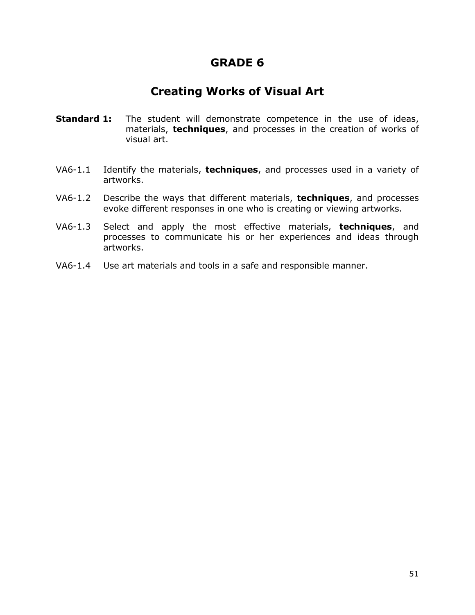### **Creating Works of Visual Art**

- **Standard 1:** The student will demonstrate competence in the use of ideas, materials, **techniques**, and processes in the creation of works of visual art.
- VA6-1.1 Identify the materials, **techniques**, and processes used in a variety of artworks.
- VA6-1.2 Describe the ways that different materials, **techniques**, and processes evoke different responses in one who is creating or viewing artworks.
- VA6-1.3 Select and apply the most effective materials, **techniques**, and processes to communicate his or her experiences and ideas through artworks.
- VA6-1.4 Use art materials and tools in a safe and responsible manner.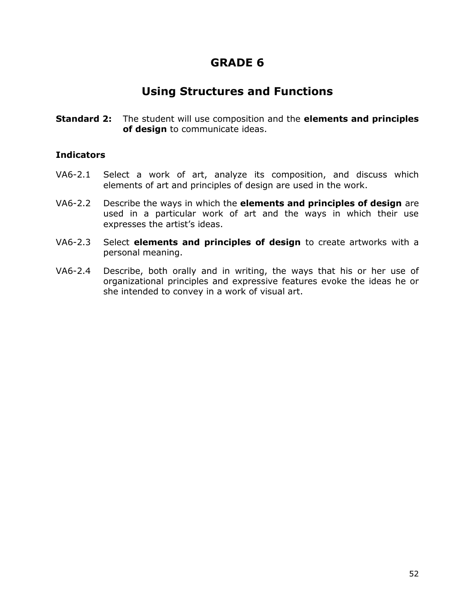### **Using Structures and Functions**

**Standard 2:** The student will use composition and the **elements and principles of design** to communicate ideas.

- VA6-2.1 Select a work of art, analyze its composition, and discuss which elements of art and principles of design are used in the work.
- VA6-2.2 Describe the ways in which the **elements and principles of design** are used in a particular work of art and the ways in which their use expresses the artist's ideas.
- VA6-2.3 Select **elements and principles of design** to create artworks with a personal meaning.
- VA6-2.4 Describe, both orally and in writing, the ways that his or her use of organizational principles and expressive features evoke the ideas he or she intended to convey in a work of visual art.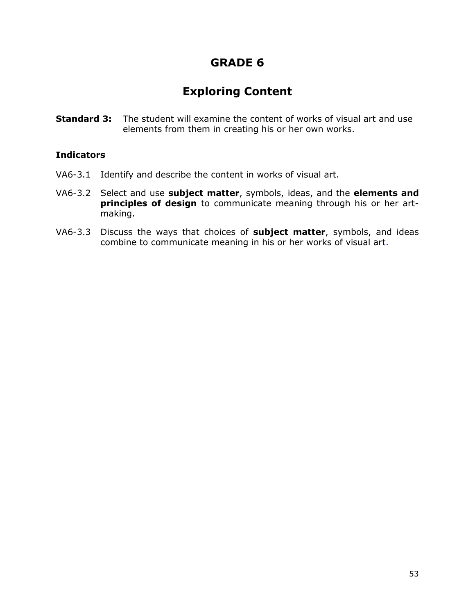# **Exploring Content**

**Standard 3:** The student will examine the content of works of visual art and use elements from them in creating his or her own works.

- VA6-3.1 Identify and describe the content in works of visual art.
- VA6-3.2 Select and use **subject matter**, symbols, ideas, and the **elements and principles of design** to communicate meaning through his or her artmaking.
- VA6-3.3 Discuss the ways that choices of **subject matter**, symbols, and ideas combine to communicate meaning in his or her works of visual art.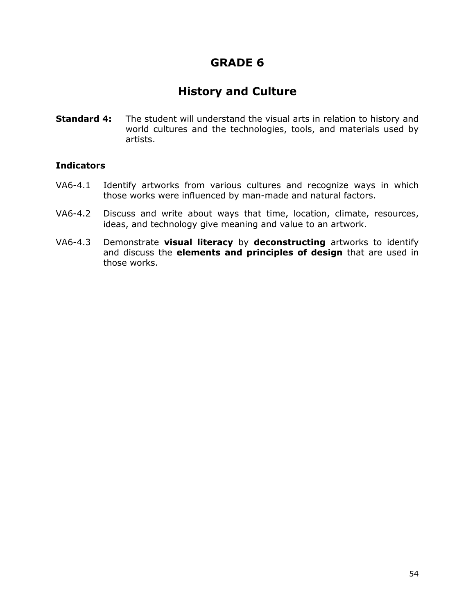# **History and Culture**

**Standard 4:** The student will understand the visual arts in relation to history and world cultures and the technologies, tools, and materials used by artists.

- VA6-4.1 Identify artworks from various cultures and recognize ways in which those works were influenced by man-made and natural factors.
- VA6-4.2 Discuss and write about ways that time, location, climate, resources, ideas, and technology give meaning and value to an artwork.
- VA6-4.3 Demonstrate **visual literacy** by **deconstructing** artworks to identify and discuss the **elements and principles of design** that are used in those works.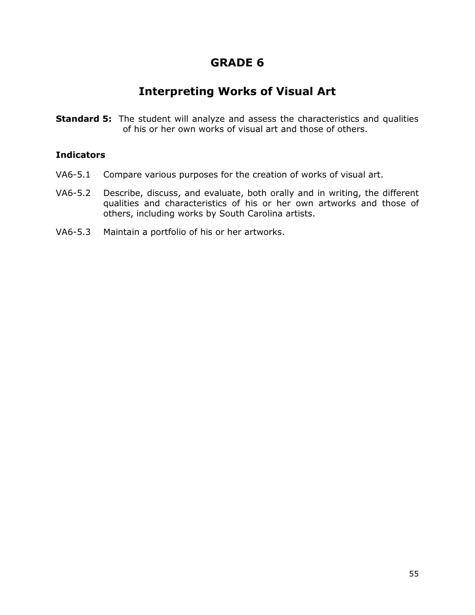## **Interpreting Works of Visual Art**

**Standard 5:** The student will analyze and assess the characteristics and qualities of his or her own works of visual art and those of others.

- VA6-5.1 Compare various purposes for the creation of works of visual art.
- VA6-5.2 Describe, discuss, and evaluate, both orally and in writing, the different qualities and characteristics of his or her own artworks and those of others, including works by South Carolina artists.
- VA6-5.3 Maintain a portfolio of his or her artworks.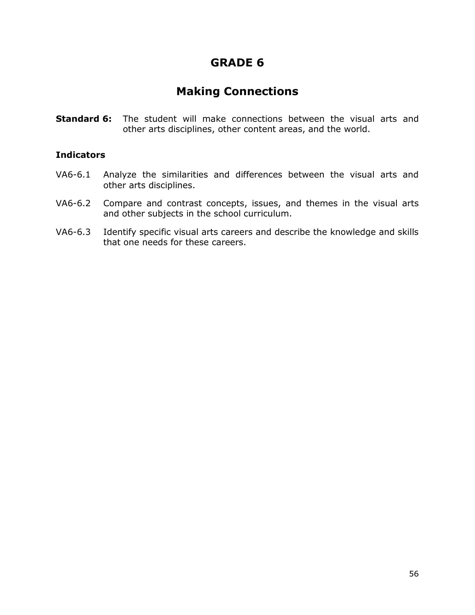## **Making Connections**

**Standard 6:** The student will make connections between the visual arts and other arts disciplines, other content areas, and the world.

- VA6-6.1 Analyze the similarities and differences between the visual arts and other arts disciplines.
- VA6-6.2 Compare and contrast concepts, issues, and themes in the visual arts and other subjects in the school curriculum.
- VA6-6.3 Identify specific visual arts careers and describe the knowledge and skills that one needs for these careers.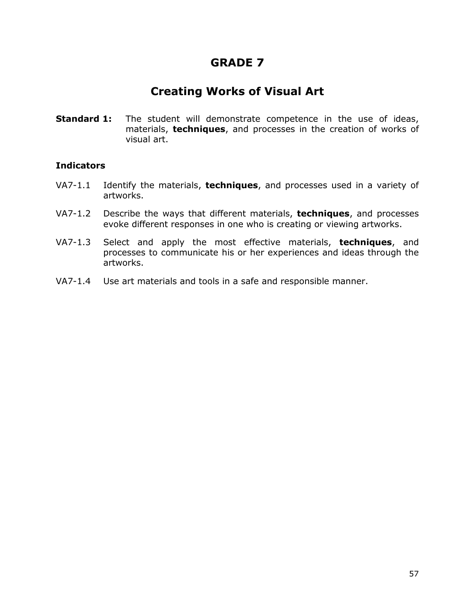### **Creating Works of Visual Art**

**Standard 1:** The student will demonstrate competence in the use of ideas, materials, **techniques**, and processes in the creation of works of visual art.

- VA7-1.1 Identify the materials, **techniques**, and processes used in a variety of artworks.
- VA7-1.2 Describe the ways that different materials, **techniques**, and processes evoke different responses in one who is creating or viewing artworks.
- VA7-1.3 Select and apply the most effective materials, **techniques**, and processes to communicate his or her experiences and ideas through the artworks.
- VA7-1.4 Use art materials and tools in a safe and responsible manner.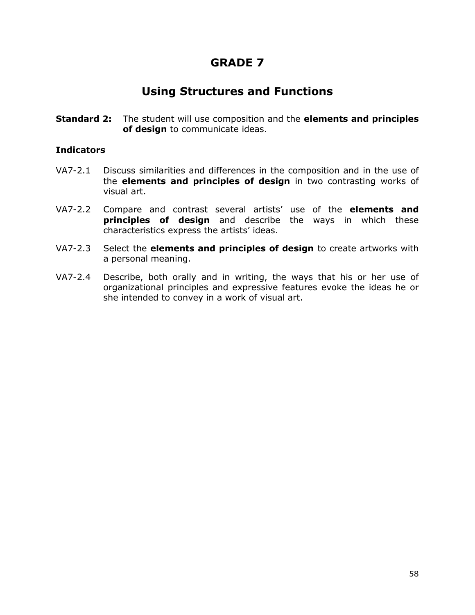### **Using Structures and Functions**

**Standard 2:** The student will use composition and the **elements and principles of design** to communicate ideas.

- VA7-2.1 Discuss similarities and differences in the composition and in the use of the **elements and principles of design** in two contrasting works of visual art.
- VA7-2.2 Compare and contrast several artists' use of the **elements and principles of design** and describe the ways in which these characteristics express the artists' ideas.
- VA7-2.3 Select the **elements and principles of design** to create artworks with a personal meaning.
- VA7-2.4 Describe, both orally and in writing, the ways that his or her use of organizational principles and expressive features evoke the ideas he or she intended to convey in a work of visual art.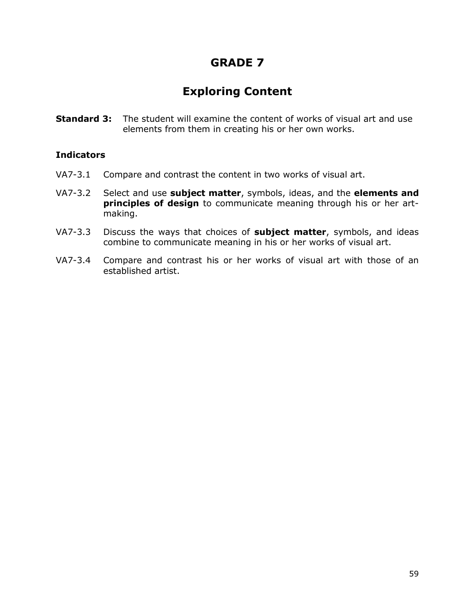# **Exploring Content**

**Standard 3:** The student will examine the content of works of visual art and use elements from them in creating his or her own works.

- VA7-3.1 Compare and contrast the content in two works of visual art.
- VA7-3.2 Select and use **subject matter**, symbols, ideas, and the **elements and principles of design** to communicate meaning through his or her artmaking.
- VA7-3.3 Discuss the ways that choices of **subject matter**, symbols, and ideas combine to communicate meaning in his or her works of visual art.
- VA7-3.4 Compare and contrast his or her works of visual art with those of an established artist.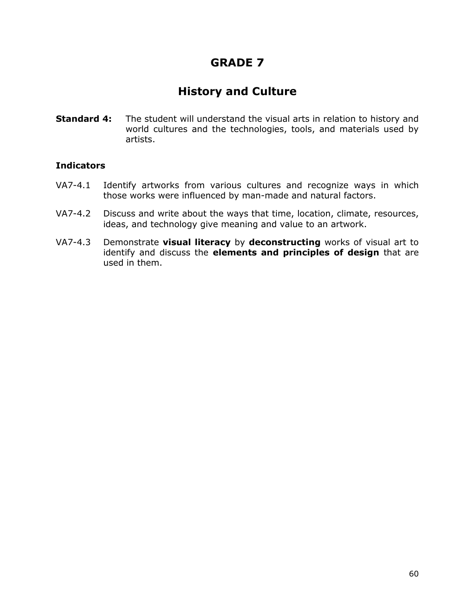# **History and Culture**

**Standard 4:** The student will understand the visual arts in relation to history and world cultures and the technologies, tools, and materials used by artists.

- VA7-4.1 Identify artworks from various cultures and recognize ways in which those works were influenced by man-made and natural factors.
- VA7-4.2 Discuss and write about the ways that time, location, climate, resources, ideas, and technology give meaning and value to an artwork.
- VA7-4.3 Demonstrate **visual literacy** by **deconstructing** works of visual art to identify and discuss the **elements and principles of design** that are used in them.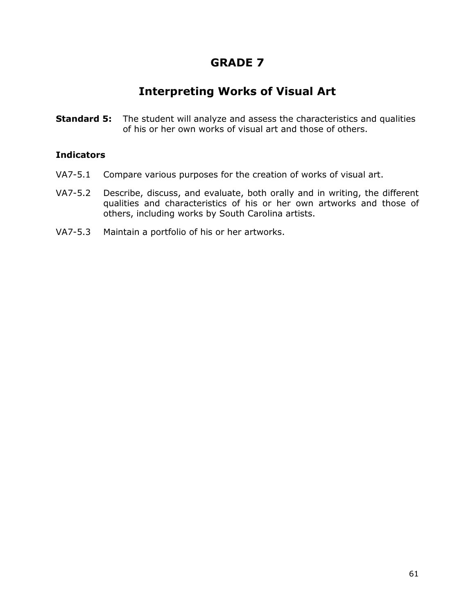## **Interpreting Works of Visual Art**

**Standard 5:** The student will analyze and assess the characteristics and qualities of his or her own works of visual art and those of others.

- VA7-5.1 Compare various purposes for the creation of works of visual art.
- VA7-5.2 Describe, discuss, and evaluate, both orally and in writing, the different qualities and characteristics of his or her own artworks and those of others, including works by South Carolina artists.
- VA7-5.3 Maintain a portfolio of his or her artworks.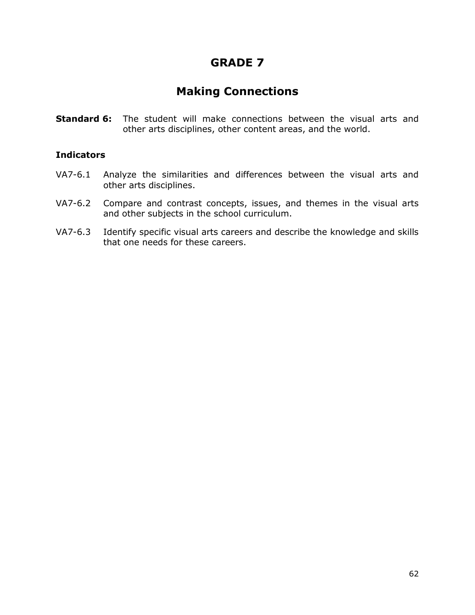### **Making Connections**

**Standard 6:** The student will make connections between the visual arts and other arts disciplines, other content areas, and the world.

- VA7-6.1 Analyze the similarities and differences between the visual arts and other arts disciplines.
- VA7-6.2 Compare and contrast concepts, issues, and themes in the visual arts and other subjects in the school curriculum.
- VA7-6.3 Identify specific visual arts careers and describe the knowledge and skills that one needs for these careers.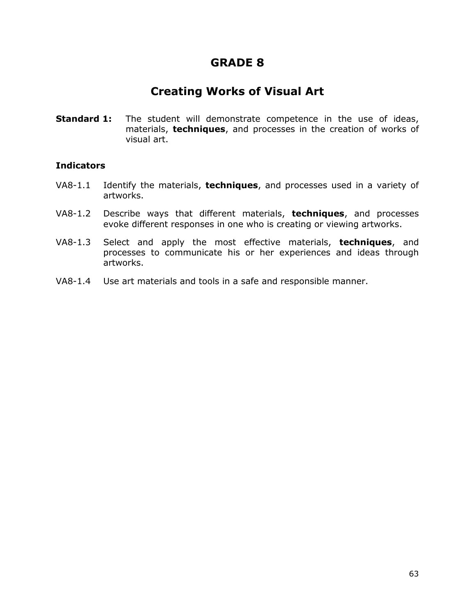### **Creating Works of Visual Art**

**Standard 1:** The student will demonstrate competence in the use of ideas, materials, **techniques**, and processes in the creation of works of visual art.

- VA8-1.1 Identify the materials, **techniques**, and processes used in a variety of artworks.
- VA8-1.2 Describe ways that different materials, **techniques**, and processes evoke different responses in one who is creating or viewing artworks.
- VA8-1.3 Select and apply the most effective materials, **techniques**, and processes to communicate his or her experiences and ideas through artworks.
- VA8-1.4 Use art materials and tools in a safe and responsible manner.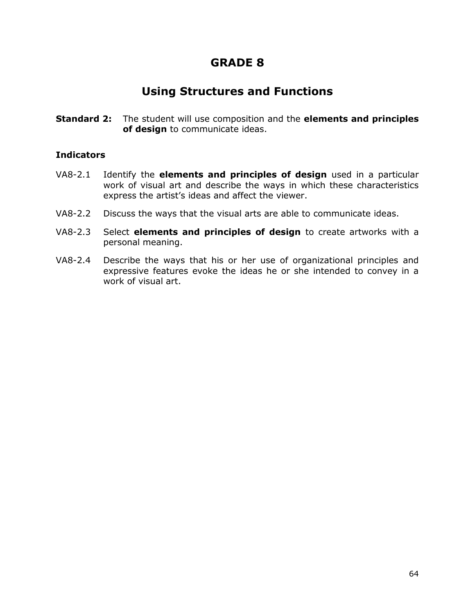### **Using Structures and Functions**

**Standard 2:** The student will use composition and the **elements and principles of design** to communicate ideas.

- VA8-2.1 Identify the **elements and principles of design** used in a particular work of visual art and describe the ways in which these characteristics express the artist's ideas and affect the viewer.
- VA8-2.2 Discuss the ways that the visual arts are able to communicate ideas.
- VA8-2.3 Select **elements and principles of design** to create artworks with a personal meaning.
- VA8-2.4 Describe the ways that his or her use of organizational principles and expressive features evoke the ideas he or she intended to convey in a work of visual art.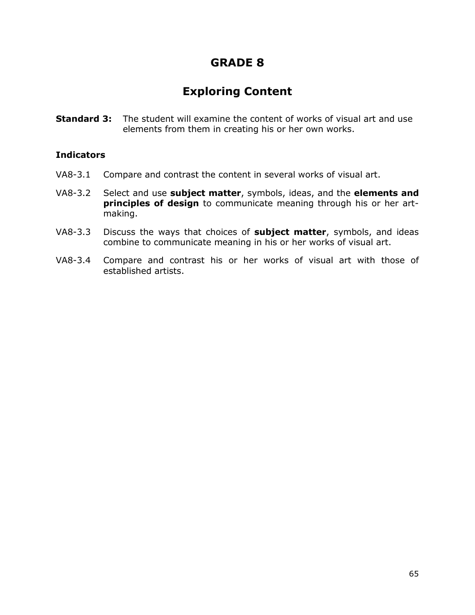# **Exploring Content**

**Standard 3:** The student will examine the content of works of visual art and use elements from them in creating his or her own works.

- VA8-3.1 Compare and contrast the content in several works of visual art.
- VA8-3.2 Select and use **subject matter**, symbols, ideas, and the **elements and principles of design** to communicate meaning through his or her artmaking.
- VA8-3.3 Discuss the ways that choices of **subject matter**, symbols, and ideas combine to communicate meaning in his or her works of visual art.
- VA8-3.4 Compare and contrast his or her works of visual art with those of established artists.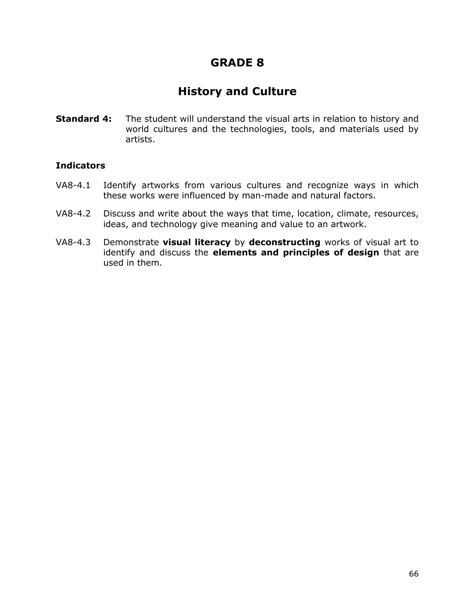## **History and Culture**

**Standard 4:** The student will understand the visual arts in relation to history and world cultures and the technologies, tools, and materials used by artists.

- VA8-4.1 Identify artworks from various cultures and recognize ways in which these works were influenced by man-made and natural factors.
- VA8-4.2 Discuss and write about the ways that time, location, climate, resources, ideas, and technology give meaning and value to an artwork.
- VA8-4.3 Demonstrate **visual literacy** by **deconstructing** works of visual art to identify and discuss the **elements and principles of design** that are used in them.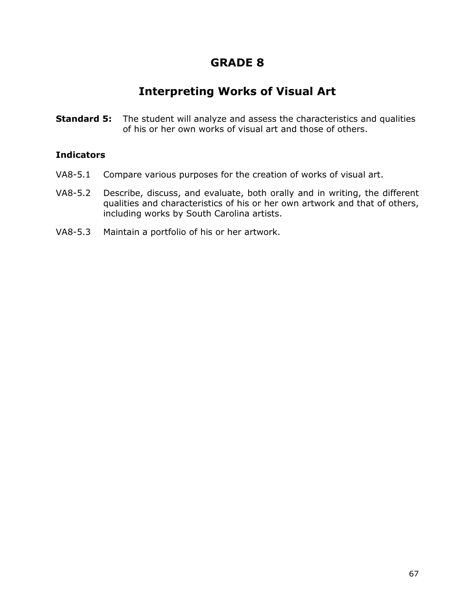## **Interpreting Works of Visual Art**

**Standard 5:** The student will analyze and assess the characteristics and qualities of his or her own works of visual art and those of others.

- VA8-5.1 Compare various purposes for the creation of works of visual art.
- VA8-5.2 Describe, discuss, and evaluate, both orally and in writing, the different qualities and characteristics of his or her own artwork and that of others, including works by South Carolina artists.
- VA8-5.3 Maintain a portfolio of his or her artwork.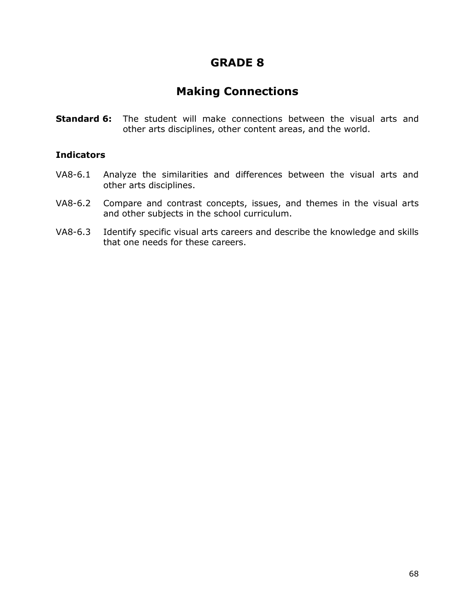### **Making Connections**

**Standard 6:** The student will make connections between the visual arts and other arts disciplines, other content areas, and the world.

- VA8-6.1 Analyze the similarities and differences between the visual arts and other arts disciplines.
- VA8-6.2 Compare and contrast concepts, issues, and themes in the visual arts and other subjects in the school curriculum.
- VA8-6.3 Identify specific visual arts careers and describe the knowledge and skills that one needs for these careers.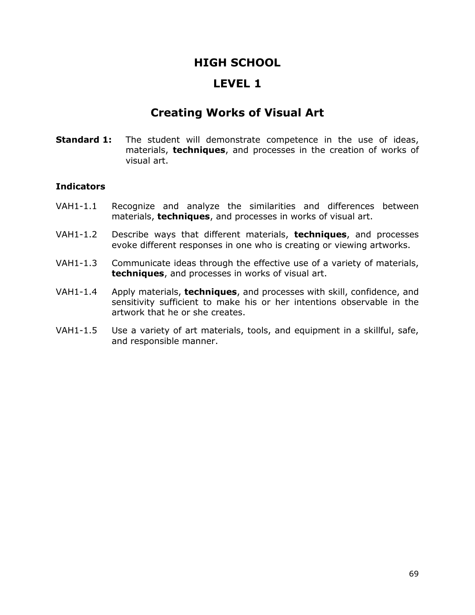### **LEVEL 1**

### **Creating Works of Visual Art**

**Standard 1:** The student will demonstrate competence in the use of ideas, materials, **techniques**, and processes in the creation of works of visual art.

- VAH1-1.1 Recognize and analyze the similarities and differences between materials, **techniques**, and processes in works of visual art.
- VAH1-1.2 Describe ways that different materials, **techniques**, and processes evoke different responses in one who is creating or viewing artworks.
- VAH1-1.3 Communicate ideas through the effective use of a variety of materials, **techniques**, and processes in works of visual art.
- VAH1-1.4 Apply materials, **techniques**, and processes with skill, confidence, and sensitivity sufficient to make his or her intentions observable in the artwork that he or she creates.
- VAH1-1.5 Use a variety of art materials, tools, and equipment in a skillful, safe, and responsible manner.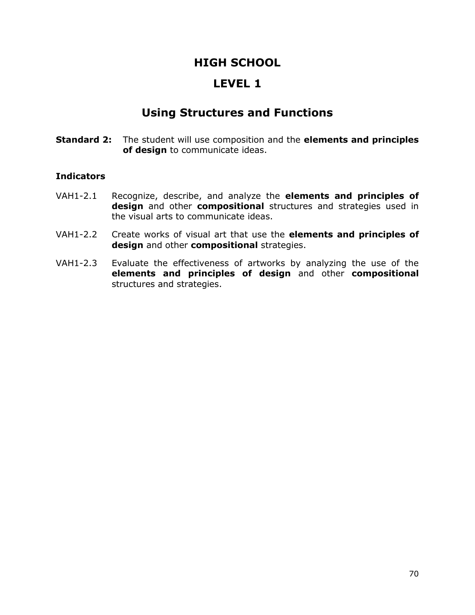### **LEVEL 1**

### **Using Structures and Functions**

**Standard 2:** The student will use composition and the **elements and principles of design** to communicate ideas.

- VAH1-2.1 Recognize, describe, and analyze the **elements and principles of design** and other **compositional** structures and strategies used in the visual arts to communicate ideas.
- VAH1-2.2 Create works of visual art that use the **elements and principles of design** and other **compositional** strategies.
- VAH1-2.3 Evaluate the effectiveness of artworks by analyzing the use of the **elements and principles of design** and other **compositional** structures and strategies.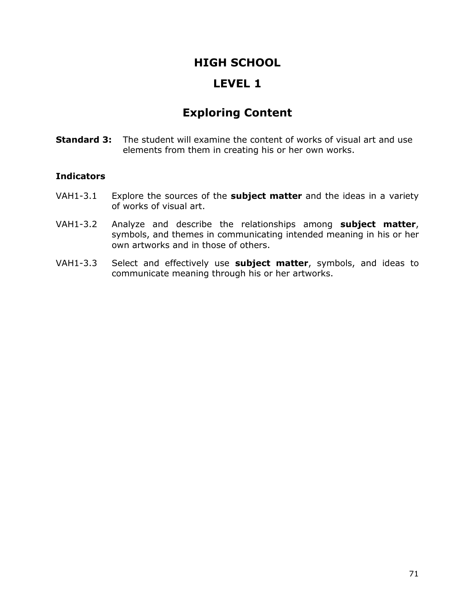### **LEVEL 1**

# **Exploring Content**

**Standard 3:** The student will examine the content of works of visual art and use elements from them in creating his or her own works.

- VAH1-3.1 Explore the sources of the **subject matter** and the ideas in a variety of works of visual art.
- VAH1-3.2 Analyze and describe the relationships among **subject matter**, symbols, and themes in communicating intended meaning in his or her own artworks and in those of others.
- VAH1-3.3 Select and effectively use **subject matter**, symbols, and ideas to communicate meaning through his or her artworks.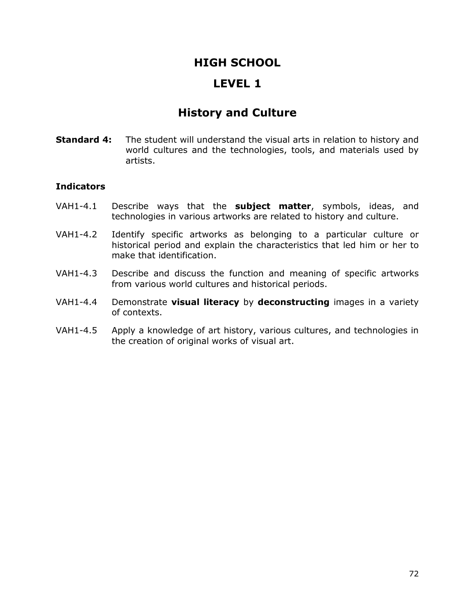### **LEVEL 1**

## **History and Culture**

**Standard 4:** The student will understand the visual arts in relation to history and world cultures and the technologies, tools, and materials used by artists.

- VAH1-4.1 Describe ways that the **subject matter**, symbols, ideas, and technologies in various artworks are related to history and culture.
- VAH1-4.2 Identify specific artworks as belonging to a particular culture or historical period and explain the characteristics that led him or her to make that identification.
- VAH1-4.3 Describe and discuss the function and meaning of specific artworks from various world cultures and historical periods.
- VAH1-4.4 Demonstrate **visual literacy** by **deconstructing** images in a variety of contexts.
- VAH1-4.5 Apply a knowledge of art history, various cultures, and technologies in the creation of original works of visual art.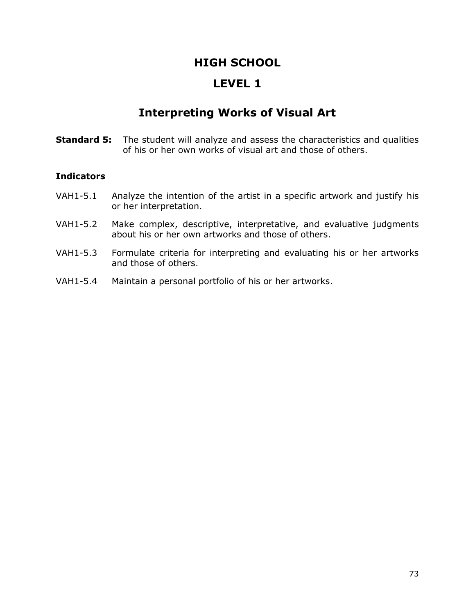## **LEVEL 1**

# **Interpreting Works of Visual Art**

**Standard 5:** The student will analyze and assess the characteristics and qualities of his or her own works of visual art and those of others.

- VAH1-5.1 Analyze the intention of the artist in a specific artwork and justify his or her interpretation.
- VAH1-5.2 Make complex, descriptive, interpretative, and evaluative judgments about his or her own artworks and those of others.
- VAH1-5.3 Formulate criteria for interpreting and evaluating his or her artworks and those of others.
- VAH1-5.4 Maintain a personal portfolio of his or her artworks.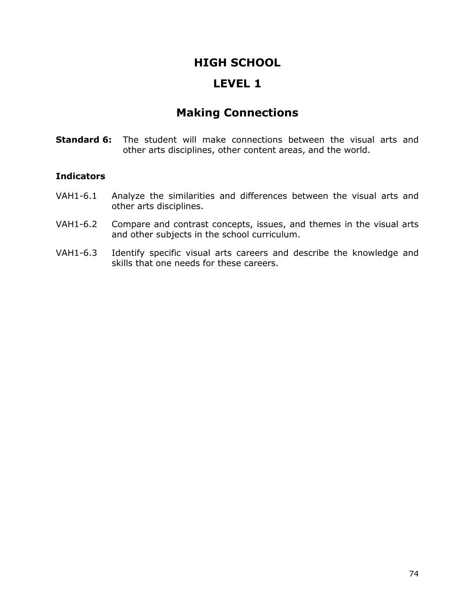## **LEVEL 1**

# **Making Connections**

**Standard 6:** The student will make connections between the visual arts and other arts disciplines, other content areas, and the world.

- VAH1-6.1 Analyze the similarities and differences between the visual arts and other arts disciplines.
- VAH1-6.2 Compare and contrast concepts, issues, and themes in the visual arts and other subjects in the school curriculum.
- VAH1-6.3 Identify specific visual arts careers and describe the knowledge and skills that one needs for these careers.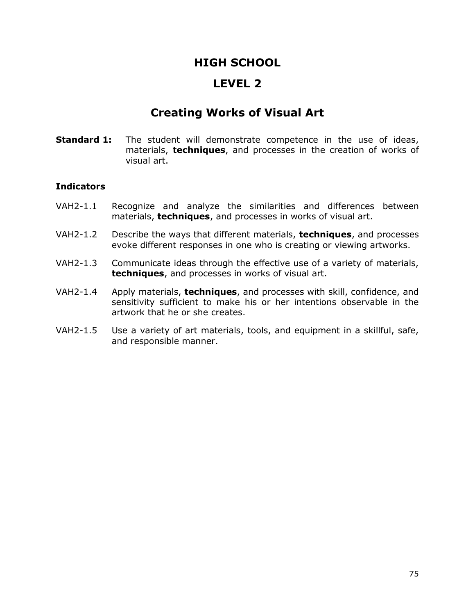## **LEVEL 2**

# **Creating Works of Visual Art**

**Standard 1:** The student will demonstrate competence in the use of ideas, materials, **techniques**, and processes in the creation of works of visual art.

- VAH2-1.1 Recognize and analyze the similarities and differences between materials, **techniques**, and processes in works of visual art.
- VAH2-1.2 Describe the ways that different materials, **techniques**, and processes evoke different responses in one who is creating or viewing artworks.
- VAH2-1.3 Communicate ideas through the effective use of a variety of materials, **techniques**, and processes in works of visual art.
- VAH2-1.4 Apply materials, **techniques**, and processes with skill, confidence, and sensitivity sufficient to make his or her intentions observable in the artwork that he or she creates.
- VAH2-1.5 Use a variety of art materials, tools, and equipment in a skillful, safe, and responsible manner.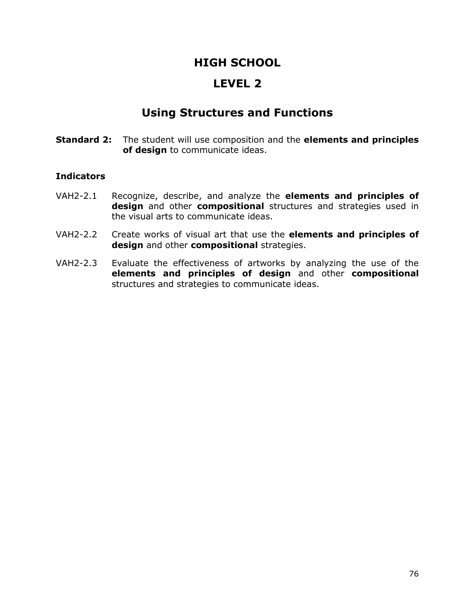## **LEVEL 2**

# **Using Structures and Functions**

**Standard 2:** The student will use composition and the **elements and principles of design** to communicate ideas.

- VAH2-2.1 Recognize, describe, and analyze the **elements and principles of design** and other **compositional** structures and strategies used in the visual arts to communicate ideas.
- VAH2-2.2 Create works of visual art that use the **elements and principles of design** and other **compositional** strategies.
- VAH2-2.3 Evaluate the effectiveness of artworks by analyzing the use of the **elements and principles of design** and other **compositional** structures and strategies to communicate ideas.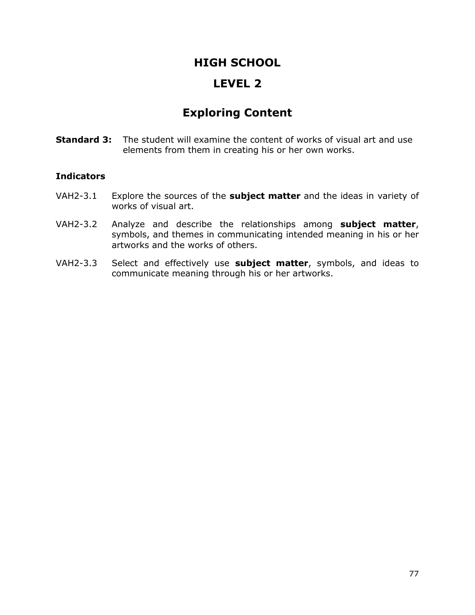# **LEVEL 2**

# **Exploring Content**

**Standard 3:** The student will examine the content of works of visual art and use elements from them in creating his or her own works.

- VAH2-3.1 Explore the sources of the **subject matter** and the ideas in variety of works of visual art.
- VAH2-3.2 Analyze and describe the relationships among **subject matter**, symbols, and themes in communicating intended meaning in his or her artworks and the works of others.
- VAH2-3.3 Select and effectively use **subject matter**, symbols, and ideas to communicate meaning through his or her artworks.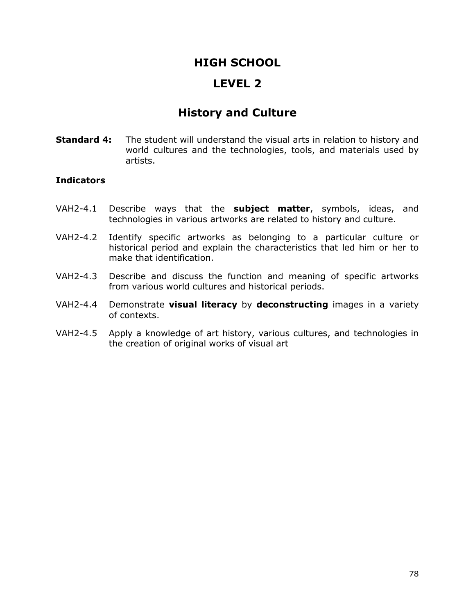## **LEVEL 2**

# **History and Culture**

**Standard 4:** The student will understand the visual arts in relation to history and world cultures and the technologies, tools, and materials used by artists.

- VAH2-4.1 Describe ways that the **subject matter**, symbols, ideas, and technologies in various artworks are related to history and culture.
- VAH2-4.2 Identify specific artworks as belonging to a particular culture or historical period and explain the characteristics that led him or her to make that identification.
- VAH2-4.3 Describe and discuss the function and meaning of specific artworks from various world cultures and historical periods.
- VAH2-4.4 Demonstrate **visual literacy** by **deconstructing** images in a variety of contexts.
- VAH2-4.5 Apply a knowledge of art history, various cultures, and technologies in the creation of original works of visual art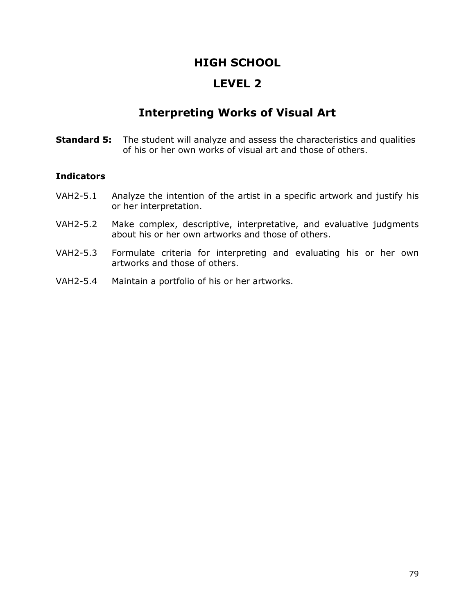## **LEVEL 2**

# **Interpreting Works of Visual Art**

**Standard 5:** The student will analyze and assess the characteristics and qualities of his or her own works of visual art and those of others.

- VAH2-5.1 Analyze the intention of the artist in a specific artwork and justify his or her interpretation.
- VAH2-5.2 Make complex, descriptive, interpretative, and evaluative judgments about his or her own artworks and those of others.
- VAH2-5.3 Formulate criteria for interpreting and evaluating his or her own artworks and those of others.
- VAH2-5.4 Maintain a portfolio of his or her artworks.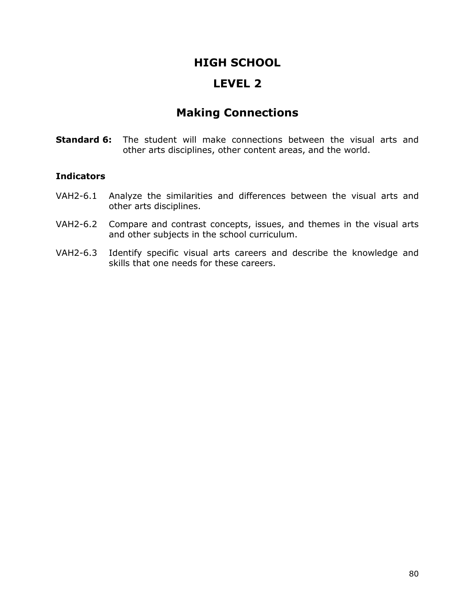## **LEVEL 2**

# **Making Connections**

**Standard 6:** The student will make connections between the visual arts and other arts disciplines, other content areas, and the world.

- VAH2-6.1 Analyze the similarities and differences between the visual arts and other arts disciplines.
- VAH2-6.2 Compare and contrast concepts, issues, and themes in the visual arts and other subjects in the school curriculum.
- VAH2-6.3 Identify specific visual arts careers and describe the knowledge and skills that one needs for these careers.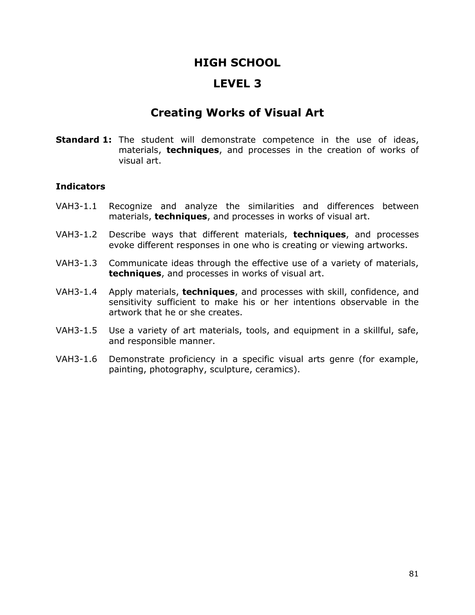## **LEVEL 3**

# **Creating Works of Visual Art**

**Standard 1:** The student will demonstrate competence in the use of ideas, materials, **techniques**, and processes in the creation of works of visual art.

- VAH3-1.1 Recognize and analyze the similarities and differences between materials, **techniques**, and processes in works of visual art.
- VAH3-1.2 Describe ways that different materials, **techniques**, and processes evoke different responses in one who is creating or viewing artworks.
- VAH3-1.3 Communicate ideas through the effective use of a variety of materials, **techniques**, and processes in works of visual art.
- VAH3-1.4 Apply materials, **techniques**, and processes with skill, confidence, and sensitivity sufficient to make his or her intentions observable in the artwork that he or she creates.
- VAH3-1.5 Use a variety of art materials, tools, and equipment in a skillful, safe, and responsible manner.
- VAH3-1.6 Demonstrate proficiency in a specific visual arts genre (for example, painting, photography, sculpture, ceramics).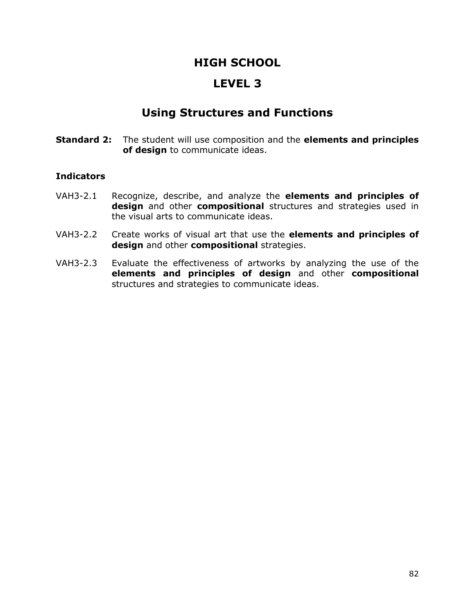## **LEVEL 3**

# **Using Structures and Functions**

**Standard 2:** The student will use composition and the **elements and principles of design** to communicate ideas.

- VAH3-2.1 Recognize, describe, and analyze the **elements and principles of design** and other **compositional** structures and strategies used in the visual arts to communicate ideas.
- VAH3-2.2 Create works of visual art that use the **elements and principles of design** and other **compositional** strategies.
- VAH3-2.3 Evaluate the effectiveness of artworks by analyzing the use of the **elements and principles of design** and other **compositional** structures and strategies to communicate ideas.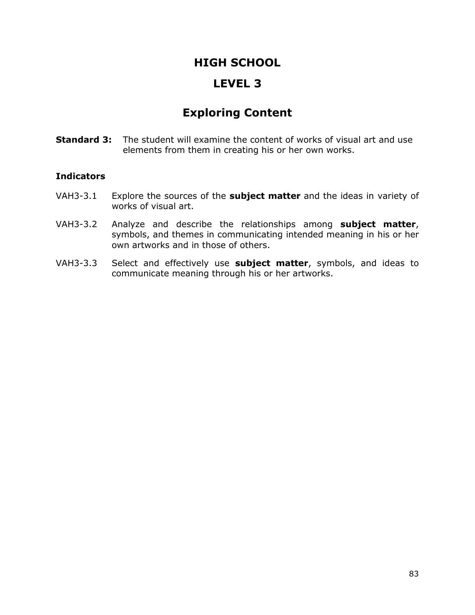## **LEVEL 3**

# **Exploring Content**

**Standard 3:** The student will examine the content of works of visual art and use elements from them in creating his or her own works.

- VAH3-3.1 Explore the sources of the **subject matter** and the ideas in variety of works of visual art.
- VAH3-3.2 Analyze and describe the relationships among **subject matter**, symbols, and themes in communicating intended meaning in his or her own artworks and in those of others.
- VAH3-3.3 Select and effectively use **subject matter**, symbols, and ideas to communicate meaning through his or her artworks.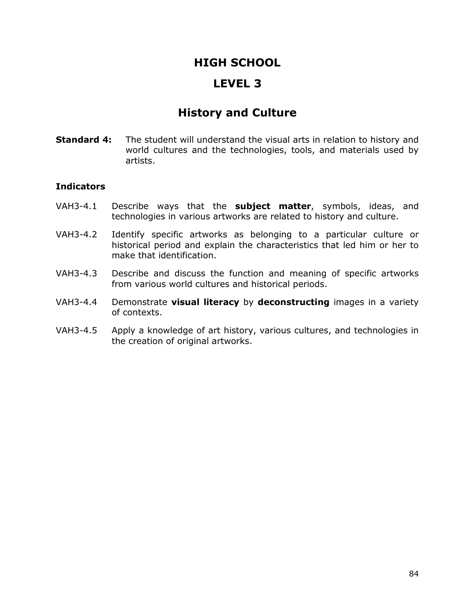## **LEVEL 3**

# **History and Culture**

**Standard 4:** The student will understand the visual arts in relation to history and world cultures and the technologies, tools, and materials used by artists.

- VAH3-4.1 Describe ways that the **subject matter**, symbols, ideas, and technologies in various artworks are related to history and culture.
- VAH3-4.2 Identify specific artworks as belonging to a particular culture or historical period and explain the characteristics that led him or her to make that identification.
- VAH3-4.3 Describe and discuss the function and meaning of specific artworks from various world cultures and historical periods.
- VAH3-4.4 Demonstrate **visual literacy** by **deconstructing** images in a variety of contexts.
- VAH3-4.5 Apply a knowledge of art history, various cultures, and technologies in the creation of original artworks.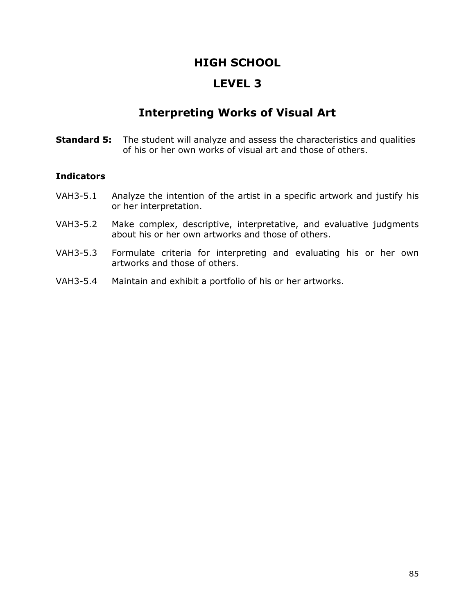## **LEVEL 3**

# **Interpreting Works of Visual Art**

**Standard 5:** The student will analyze and assess the characteristics and qualities of his or her own works of visual art and those of others.

- VAH3-5.1 Analyze the intention of the artist in a specific artwork and justify his or her interpretation.
- VAH3-5.2 Make complex, descriptive, interpretative, and evaluative judgments about his or her own artworks and those of others.
- VAH3-5.3 Formulate criteria for interpreting and evaluating his or her own artworks and those of others.
- VAH3-5.4 Maintain and exhibit a portfolio of his or her artworks.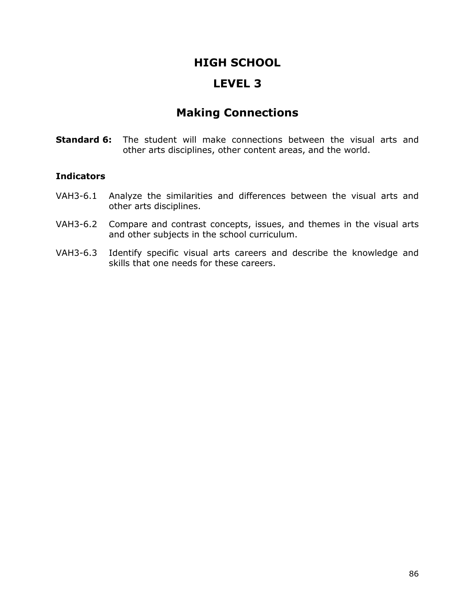## **LEVEL 3**

# **Making Connections**

**Standard 6:** The student will make connections between the visual arts and other arts disciplines, other content areas, and the world.

- VAH3-6.1 Analyze the similarities and differences between the visual arts and other arts disciplines.
- VAH3-6.2 Compare and contrast concepts, issues, and themes in the visual arts and other subjects in the school curriculum.
- VAH3-6.3 Identify specific visual arts careers and describe the knowledge and skills that one needs for these careers.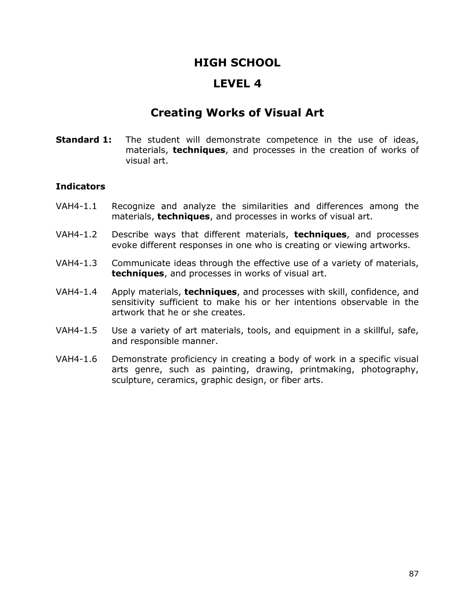## **LEVEL 4**

# **Creating Works of Visual Art**

**Standard 1:** The student will demonstrate competence in the use of ideas, materials, **techniques**, and processes in the creation of works of visual art.

- VAH4-1.1 Recognize and analyze the similarities and differences among the materials, **techniques**, and processes in works of visual art.
- VAH4-1.2 Describe ways that different materials, **techniques**, and processes evoke different responses in one who is creating or viewing artworks.
- VAH4-1.3 Communicate ideas through the effective use of a variety of materials, **techniques**, and processes in works of visual art.
- VAH4-1.4 Apply materials, **techniques**, and processes with skill, confidence, and sensitivity sufficient to make his or her intentions observable in the artwork that he or she creates.
- VAH4-1.5 Use a variety of art materials, tools, and equipment in a skillful, safe, and responsible manner.
- VAH4-1.6 Demonstrate proficiency in creating a body of work in a specific visual arts genre, such as painting, drawing, printmaking, photography, sculpture, ceramics, graphic design, or fiber arts.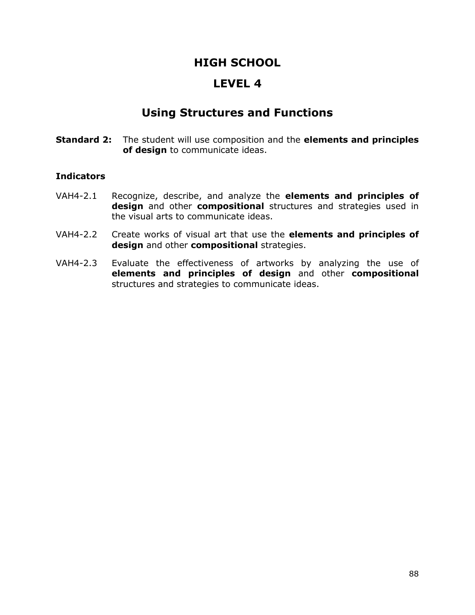## **LEVEL 4**

# **Using Structures and Functions**

**Standard 2:** The student will use composition and the **elements and principles of design** to communicate ideas.

- VAH4-2.1 Recognize, describe, and analyze the **elements and principles of design** and other **compositional** structures and strategies used in the visual arts to communicate ideas.
- VAH4-2.2 Create works of visual art that use the **elements and principles of design** and other **compositional** strategies.
- VAH4-2.3 Evaluate the effectiveness of artworks by analyzing the use of **elements and principles of design** and other **compositional** structures and strategies to communicate ideas.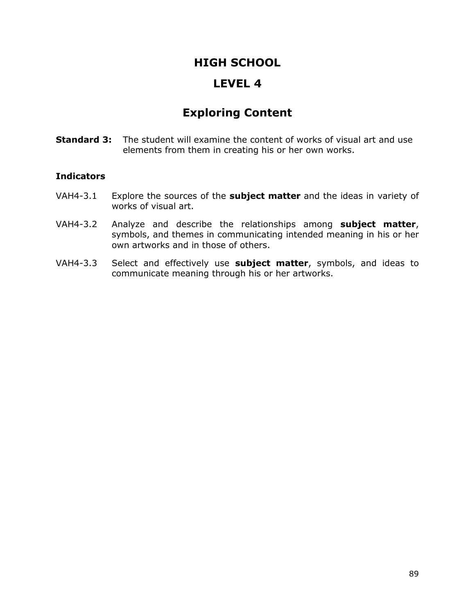## **LEVEL 4**

# **Exploring Content**

**Standard 3:** The student will examine the content of works of visual art and use elements from them in creating his or her own works.

- VAH4-3.1 Explore the sources of the **subject matter** and the ideas in variety of works of visual art.
- VAH4-3.2 Analyze and describe the relationships among **subject matter**, symbols, and themes in communicating intended meaning in his or her own artworks and in those of others.
- VAH4-3.3 Select and effectively use **subject matter**, symbols, and ideas to communicate meaning through his or her artworks.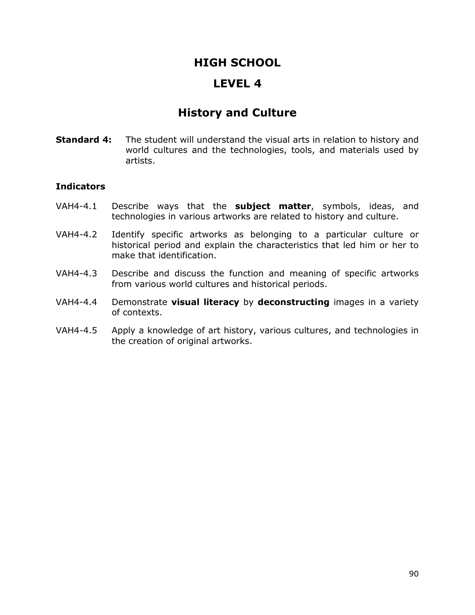## **LEVEL 4**

# **History and Culture**

**Standard 4:** The student will understand the visual arts in relation to history and world cultures and the technologies, tools, and materials used by artists.

- VAH4-4.1 Describe ways that the **subject matter**, symbols, ideas, and technologies in various artworks are related to history and culture.
- VAH4-4.2 Identify specific artworks as belonging to a particular culture or historical period and explain the characteristics that led him or her to make that identification.
- VAH4-4.3 Describe and discuss the function and meaning of specific artworks from various world cultures and historical periods.
- VAH4-4.4 Demonstrate **visual literacy** by **deconstructing** images in a variety of contexts.
- VAH4-4.5 Apply a knowledge of art history, various cultures, and technologies in the creation of original artworks.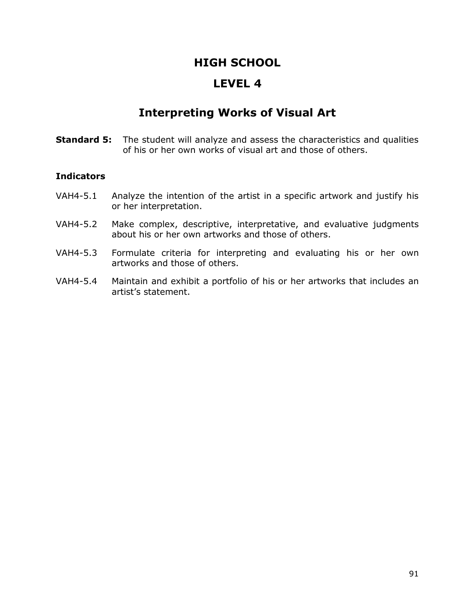## **LEVEL 4**

# **Interpreting Works of Visual Art**

**Standard 5:** The student will analyze and assess the characteristics and qualities of his or her own works of visual art and those of others.

- VAH4-5.1 Analyze the intention of the artist in a specific artwork and justify his or her interpretation.
- VAH4-5.2 Make complex, descriptive, interpretative, and evaluative judgments about his or her own artworks and those of others.
- VAH4-5.3 Formulate criteria for interpreting and evaluating his or her own artworks and those of others.
- VAH4-5.4 Maintain and exhibit a portfolio of his or her artworks that includes an artist's statement.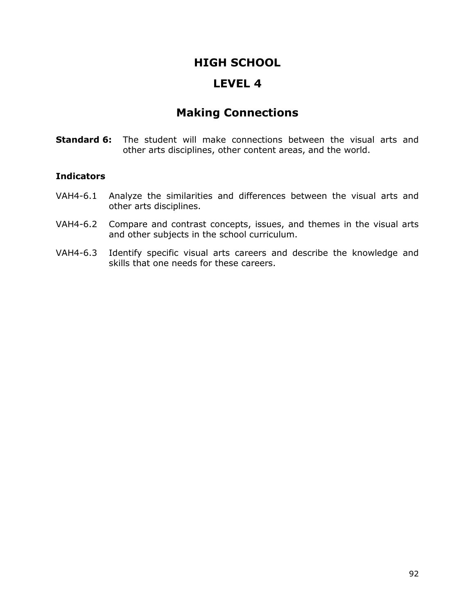## **LEVEL 4**

# **Making Connections**

**Standard 6:** The student will make connections between the visual arts and other arts disciplines, other content areas, and the world.

- VAH4-6.1 Analyze the similarities and differences between the visual arts and other arts disciplines.
- VAH4-6.2 Compare and contrast concepts, issues, and themes in the visual arts and other subjects in the school curriculum.
- VAH4-6.3 Identify specific visual arts careers and describe the knowledge and skills that one needs for these careers.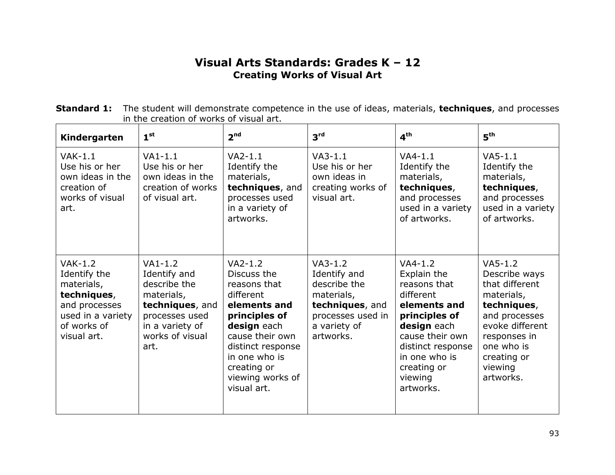### **Visual Arts Standards: Grades K – 12 Creating Works of Visual Art**

**Standard 1:** The student will demonstrate competence in the use of ideas, materials, **techniques**, and processes in the creation of works of visual art.

| Kindergarten                                                                                                               | 1 <sup>st</sup>                                                                                                                            | 2 <sup>nd</sup>                                                                                                                                                                                                  | 3 <sup>rd</sup>                                                                                                              | 4 <sup>th</sup>                                                                                                                                                                                       | 5 <sup>th</sup>                                                                                                                                                                    |
|----------------------------------------------------------------------------------------------------------------------------|--------------------------------------------------------------------------------------------------------------------------------------------|------------------------------------------------------------------------------------------------------------------------------------------------------------------------------------------------------------------|------------------------------------------------------------------------------------------------------------------------------|-------------------------------------------------------------------------------------------------------------------------------------------------------------------------------------------------------|------------------------------------------------------------------------------------------------------------------------------------------------------------------------------------|
| $VAK-1.1$<br>Use his or her<br>own ideas in the<br>creation of<br>works of visual<br>art.                                  | $VAI-1.1$<br>Use his or her<br>own ideas in the<br>creation of works<br>of visual art.                                                     | $VA2-1.1$<br>Identify the<br>materials,<br>techniques, and<br>processes used<br>in a variety of<br>artworks.                                                                                                     | $VA3-1.1$<br>Use his or her<br>own ideas in<br>creating works of<br>visual art.                                              | $VA4-1.1$<br>Identify the<br>materials,<br>techniques,<br>and processes<br>used in a variety<br>of artworks.                                                                                          | $V$ A5-1.1<br>Identify the<br>materials,<br>techniques,<br>and processes<br>used in a variety<br>of artworks.                                                                      |
| $VAK-1.2$<br>Identify the<br>materials,<br>techniques,<br>and processes<br>used in a variety<br>of works of<br>visual art. | $VA1-1.2$<br>Identify and<br>describe the<br>materials,<br>techniques, and<br>processes used<br>in a variety of<br>works of visual<br>art. | $VA2-1.2$<br>Discuss the<br>reasons that<br>different<br>elements and<br>principles of<br>design each<br>cause their own<br>distinct response<br>in one who is<br>creating or<br>viewing works of<br>visual art. | $VA3-1.2$<br>Identify and<br>describe the<br>materials,<br>techniques, and<br>processes used in<br>a variety of<br>artworks. | $VA4-1.2$<br>Explain the<br>reasons that<br>different<br>elements and<br>principles of<br>design each<br>cause their own<br>distinct response<br>in one who is<br>creating or<br>viewing<br>artworks. | $VA5-1.2$<br>Describe ways<br>that different<br>materials,<br>techniques,<br>and processes<br>evoke different<br>responses in<br>one who is<br>creating or<br>viewing<br>artworks. |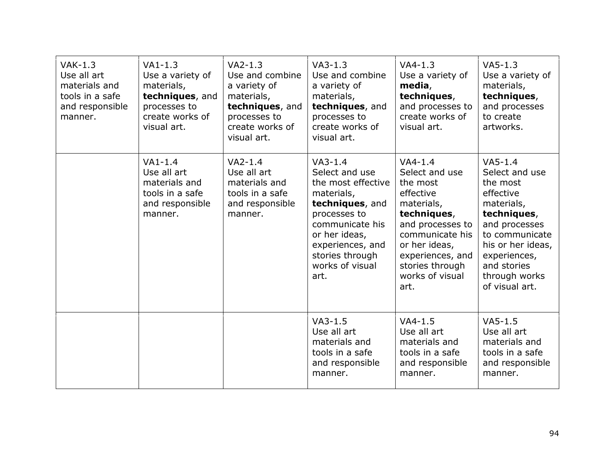| $VAK-1.3$<br>Use all art<br>materials and<br>tools in a safe<br>and responsible<br>manner. | $VA1-1.3$<br>Use a variety of<br>materials,<br>techniques, and<br>processes to<br>create works of<br>visual art. | $VA2-1.3$<br>Use and combine<br>a variety of<br>materials,<br>techniques, and<br>processes to<br>create works of<br>visual art. | $VA3-1.3$<br>Use and combine<br>a variety of<br>materials,<br>techniques, and<br>processes to<br>create works of<br>visual art.                                                                          | $VA4-1.3$<br>Use a variety of<br>media,<br>techniques,<br>and processes to<br>create works of<br>visual art.                                                                                                | $VA5-1.3$<br>Use a variety of<br>materials,<br>techniques,<br>and processes<br>to create<br>artworks.                                                                                                        |
|--------------------------------------------------------------------------------------------|------------------------------------------------------------------------------------------------------------------|---------------------------------------------------------------------------------------------------------------------------------|----------------------------------------------------------------------------------------------------------------------------------------------------------------------------------------------------------|-------------------------------------------------------------------------------------------------------------------------------------------------------------------------------------------------------------|--------------------------------------------------------------------------------------------------------------------------------------------------------------------------------------------------------------|
|                                                                                            | $VA1-1.4$<br>Use all art<br>materials and<br>tools in a safe<br>and responsible<br>manner.                       | $VA2-1.4$<br>Use all art<br>materials and<br>tools in a safe<br>and responsible<br>manner.                                      | $VA3-1.4$<br>Select and use<br>the most effective<br>materials,<br>techniques, and<br>processes to<br>communicate his<br>or her ideas,<br>experiences, and<br>stories through<br>works of visual<br>art. | $VA4-1.4$<br>Select and use<br>the most<br>effective<br>materials,<br>techniques,<br>and processes to<br>communicate his<br>or her ideas,<br>experiences, and<br>stories through<br>works of visual<br>art. | $V$ A5-1.4<br>Select and use<br>the most<br>effective<br>materials,<br>techniques,<br>and processes<br>to communicate<br>his or her ideas,<br>experiences,<br>and stories<br>through works<br>of visual art. |
|                                                                                            |                                                                                                                  |                                                                                                                                 | $VA3-1.5$<br>Use all art<br>materials and<br>tools in a safe<br>and responsible<br>manner.                                                                                                               | $VA4-1.5$<br>Use all art<br>materials and<br>tools in a safe<br>and responsible<br>manner.                                                                                                                  | $VA5-1.5$<br>Use all art<br>materials and<br>tools in a safe<br>and responsible<br>manner.                                                                                                                   |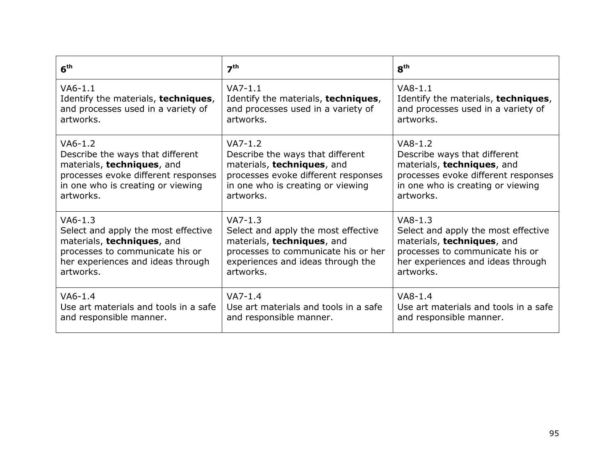| 6 <sup>th</sup>                       | 7 <sup>th</sup>                       | 8 <sup>th</sup>                       |
|---------------------------------------|---------------------------------------|---------------------------------------|
| $VAG-1.1$                             | $V$ A7-1.1                            | $VAB-1.1$                             |
| Identify the materials, techniques,   | Identify the materials, techniques,   | Identify the materials, techniques,   |
| and processes used in a variety of    | and processes used in a variety of    | and processes used in a variety of    |
| artworks.                             | artworks.                             | artworks.                             |
| $VA6-1.2$                             | $VA7-1.2$                             | $VAS-1.2$                             |
| Describe the ways that different      | Describe the ways that different      | Describe ways that different          |
| materials, techniques, and            | materials, techniques, and            | materials, techniques, and            |
| processes evoke different responses   | processes evoke different responses   | processes evoke different responses   |
| in one who is creating or viewing     | in one who is creating or viewing     | in one who is creating or viewing     |
| artworks.                             | artworks.                             | artworks.                             |
| $VA6-1.3$                             | $VA7-1.3$                             | $VAB-1.3$                             |
| Select and apply the most effective   | Select and apply the most effective   | Select and apply the most effective   |
| materials, techniques, and            | materials, techniques, and            | materials, techniques, and            |
| processes to communicate his or       | processes to communicate his or her   | processes to communicate his or       |
| her experiences and ideas through     | experiences and ideas through the     | her experiences and ideas through     |
| artworks.                             | artworks.                             | artworks.                             |
| $VAG-1.4$                             | $VA7-1.4$                             | $VAB-1.4$                             |
| Use art materials and tools in a safe | Use art materials and tools in a safe | Use art materials and tools in a safe |
| and responsible manner.               | and responsible manner.               | and responsible manner.               |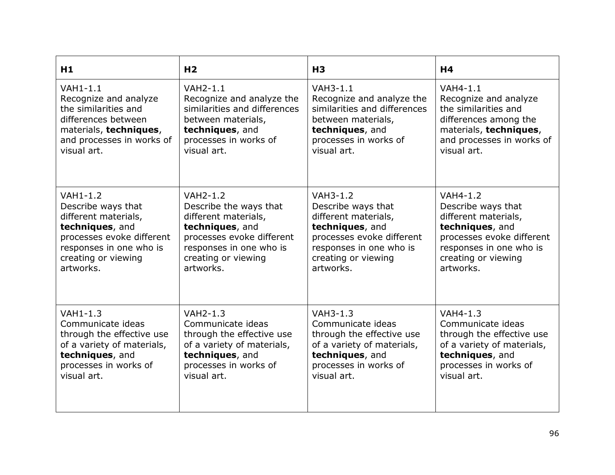| H1                         | H <sub>2</sub>               | H <sub>3</sub>               | H4                         |
|----------------------------|------------------------------|------------------------------|----------------------------|
| VAH1-1.1                   | <b>VAH2-1.1</b>              | $VAH3-1.1$                   | VAH4-1.1                   |
| Recognize and analyze      | Recognize and analyze the    | Recognize and analyze the    | Recognize and analyze      |
| the similarities and       | similarities and differences | similarities and differences | the similarities and       |
| differences between        | between materials,           | between materials,           | differences among the      |
| materials, techniques,     | techniques, and              | techniques, and              | materials, techniques,     |
| and processes in works of  | processes in works of        | processes in works of        | and processes in works of  |
| visual art.                | visual art.                  | visual art.                  | visual art.                |
| $VAH1-1.2$                 | <b>VAH2-1.2</b>              | <b>VAH3-1.2</b>              | <b>VAH4-1.2</b>            |
| Describe ways that         | Describe the ways that       | Describe ways that           | Describe ways that         |
| different materials,       | different materials,         | different materials,         | different materials,       |
| techniques, and            | techniques, and              | techniques, and              | techniques, and            |
| processes evoke different  | processes evoke different    | processes evoke different    | processes evoke different  |
| responses in one who is    | responses in one who is      | responses in one who is      | responses in one who is    |
| creating or viewing        | creating or viewing          | creating or viewing          | creating or viewing        |
| artworks.                  | artworks.                    | artworks.                    | artworks.                  |
| VAH1-1.3                   | <b>VAH2-1.3</b>              | <b>VAH3-1.3</b>              | <b>VAH4-1.3</b>            |
| Communicate ideas          | Communicate ideas            | Communicate ideas            | Communicate ideas          |
| through the effective use  | through the effective use    | through the effective use    | through the effective use  |
| of a variety of materials, | of a variety of materials,   | of a variety of materials,   | of a variety of materials, |
| techniques, and            | techniques, and              | techniques, and              | techniques, and            |
| processes in works of      | processes in works of        | processes in works of        | processes in works of      |
| visual art.                | visual art.                  | visual art.                  | visual art.                |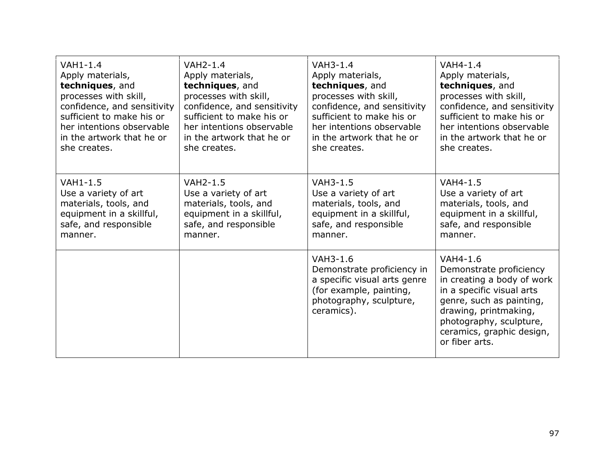| $VAH1-1.4$                  | <b>VAH2-1.4</b>             | <b>VAH3-1.4</b>                                                                                                                            | <b>VAH4-1.4</b>                                                                                                                                                                                                               |
|-----------------------------|-----------------------------|--------------------------------------------------------------------------------------------------------------------------------------------|-------------------------------------------------------------------------------------------------------------------------------------------------------------------------------------------------------------------------------|
| Apply materials,            | Apply materials,            | Apply materials,                                                                                                                           | Apply materials,                                                                                                                                                                                                              |
| techniques, and             | techniques, and             | techniques, and                                                                                                                            | techniques, and                                                                                                                                                                                                               |
| processes with skill,       | processes with skill,       | processes with skill,                                                                                                                      | processes with skill,                                                                                                                                                                                                         |
| confidence, and sensitivity | confidence, and sensitivity | confidence, and sensitivity                                                                                                                | confidence, and sensitivity                                                                                                                                                                                                   |
| sufficient to make his or   | sufficient to make his or   | sufficient to make his or                                                                                                                  | sufficient to make his or                                                                                                                                                                                                     |
| her intentions observable   | her intentions observable   | her intentions observable                                                                                                                  | her intentions observable                                                                                                                                                                                                     |
| in the artwork that he or   | in the artwork that he or   | in the artwork that he or                                                                                                                  | in the artwork that he or                                                                                                                                                                                                     |
| she creates.                | she creates.                | she creates.                                                                                                                               | she creates.                                                                                                                                                                                                                  |
| VAH1-1.5                    | <b>VAH2-1.5</b>             | <b>VAH3-1.5</b>                                                                                                                            | <b>VAH4-1.5</b>                                                                                                                                                                                                               |
| Use a variety of art        | Use a variety of art        | Use a variety of art                                                                                                                       | Use a variety of art                                                                                                                                                                                                          |
| materials, tools, and       | materials, tools, and       | materials, tools, and                                                                                                                      | materials, tools, and                                                                                                                                                                                                         |
| equipment in a skillful,    | equipment in a skillful,    | equipment in a skillful,                                                                                                                   | equipment in a skillful,                                                                                                                                                                                                      |
| safe, and responsible       | safe, and responsible       | safe, and responsible                                                                                                                      | safe, and responsible                                                                                                                                                                                                         |
| manner.                     | manner.                     | manner.                                                                                                                                    | manner.                                                                                                                                                                                                                       |
|                             |                             | VAH3-1.6<br>Demonstrate proficiency in<br>a specific visual arts genre<br>(for example, painting,<br>photography, sculpture,<br>ceramics). | VAH4-1.6<br>Demonstrate proficiency<br>in creating a body of work<br>in a specific visual arts<br>genre, such as painting,<br>drawing, printmaking,<br>photography, sculpture,<br>ceramics, graphic design,<br>or fiber arts. |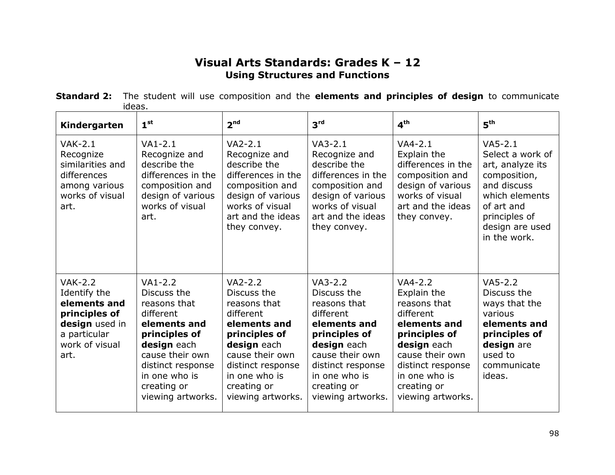## **Visual Arts Standards: Grades K – 12 Using Structures and Functions**

| <b>Standard 2:</b> The student will use composition and the elements and principles of design to communicate |  |  |  |  |  |  |
|--------------------------------------------------------------------------------------------------------------|--|--|--|--|--|--|
| ideas.                                                                                                       |  |  |  |  |  |  |

| Kindergarten                                                                                                                | 1 <sup>st</sup>                                                                                                                                                                                    | 2 <sup>nd</sup>                                                                                                                                                                                    | 3 <sup>rd</sup>                                                                                                                                                                                    | $\mathbf{A}^{\text{th}}$                                                                                                                                                                           | 5 <sup>th</sup>                                                                                                                                                      |
|-----------------------------------------------------------------------------------------------------------------------------|----------------------------------------------------------------------------------------------------------------------------------------------------------------------------------------------------|----------------------------------------------------------------------------------------------------------------------------------------------------------------------------------------------------|----------------------------------------------------------------------------------------------------------------------------------------------------------------------------------------------------|----------------------------------------------------------------------------------------------------------------------------------------------------------------------------------------------------|----------------------------------------------------------------------------------------------------------------------------------------------------------------------|
| $VAK-2.1$<br>Recognize<br>similarities and<br>differences<br>among various<br>works of visual<br>art.                       | $VA1-2.1$<br>Recognize and<br>describe the<br>differences in the<br>composition and<br>design of various<br>works of visual<br>art.                                                                | $VA2-2.1$<br>Recognize and<br>describe the<br>differences in the<br>composition and<br>design of various<br>works of visual<br>art and the ideas<br>they convey.                                   | $VA3-2.1$<br>Recognize and<br>describe the<br>differences in the<br>composition and<br>design of various<br>works of visual<br>art and the ideas<br>they convey.                                   | $VA4-2.1$<br>Explain the<br>differences in the<br>composition and<br>design of various<br>works of visual<br>art and the ideas<br>they convey.                                                     | $VAS-2.1$<br>Select a work of<br>art, analyze its<br>composition,<br>and discuss<br>which elements<br>of art and<br>principles of<br>design are used<br>in the work. |
| <b>VAK-2.2</b><br>Identify the<br>elements and<br>principles of<br>design used in<br>a particular<br>work of visual<br>art. | $VA1-2.2$<br>Discuss the<br>reasons that<br>different<br>elements and<br>principles of<br>design each<br>cause their own<br>distinct response<br>in one who is<br>creating or<br>viewing artworks. | $VA2-2.2$<br>Discuss the<br>reasons that<br>different<br>elements and<br>principles of<br>design each<br>cause their own<br>distinct response<br>in one who is<br>creating or<br>viewing artworks. | $VA3-2.2$<br>Discuss the<br>reasons that<br>different<br>elements and<br>principles of<br>design each<br>cause their own<br>distinct response<br>in one who is<br>creating or<br>viewing artworks. | $VA4-2.2$<br>Explain the<br>reasons that<br>different<br>elements and<br>principles of<br>design each<br>cause their own<br>distinct response<br>in one who is<br>creating or<br>viewing artworks. | $VA5-2.2$<br>Discuss the<br>ways that the<br>various<br>elements and<br>principles of<br>design are<br>used to<br>communicate<br>ideas.                              |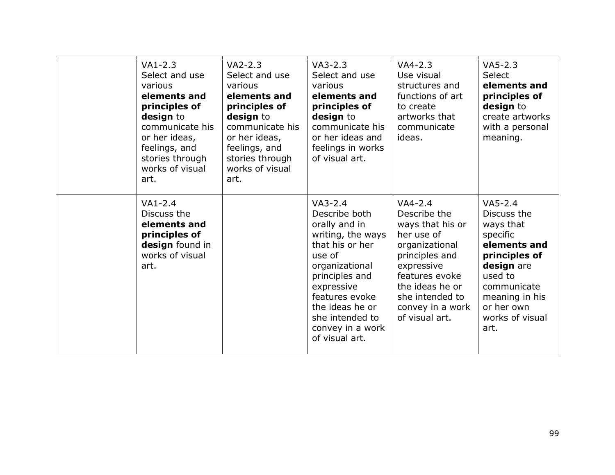| $VA1-2.3$<br>Select and use<br>various<br>elements and<br>principles of<br>design to<br>communicate his<br>or her ideas,<br>feelings, and<br>stories through<br>works of visual<br>art. | $VA2-2.3$<br>Select and use<br>various<br>elements and<br>principles of<br>design to<br>communicate his<br>or her ideas,<br>feelings, and<br>stories through<br>works of visual<br>art. | $VA3-2.3$<br>Select and use<br>various<br>elements and<br>principles of<br>design to<br>communicate his<br>or her ideas and<br>feelings in works<br>of visual art.                                                                            | $VA4-2.3$<br>Use visual<br>structures and<br>functions of art<br>to create<br>artworks that<br>communicate<br>ideas.                                                                                        | $VA5-2.3$<br><b>Select</b><br>elements and<br>principles of<br>design to<br>create artworks<br>with a personal<br>meaning.                                                            |
|-----------------------------------------------------------------------------------------------------------------------------------------------------------------------------------------|-----------------------------------------------------------------------------------------------------------------------------------------------------------------------------------------|-----------------------------------------------------------------------------------------------------------------------------------------------------------------------------------------------------------------------------------------------|-------------------------------------------------------------------------------------------------------------------------------------------------------------------------------------------------------------|---------------------------------------------------------------------------------------------------------------------------------------------------------------------------------------|
| $VA1-2.4$<br>Discuss the<br>elements and<br>principles of<br>design found in<br>works of visual<br>art.                                                                                 |                                                                                                                                                                                         | $VA3-2.4$<br>Describe both<br>orally and in<br>writing, the ways<br>that his or her<br>use of<br>organizational<br>principles and<br>expressive<br>features evoke<br>the ideas he or<br>she intended to<br>convey in a work<br>of visual art. | $VA4-2.4$<br>Describe the<br>ways that his or<br>her use of<br>organizational<br>principles and<br>expressive<br>features evoke<br>the ideas he or<br>she intended to<br>convey in a work<br>of visual art. | $VA5-2.4$<br>Discuss the<br>ways that<br>specific<br>elements and<br>principles of<br>design are<br>used to<br>communicate<br>meaning in his<br>or her own<br>works of visual<br>art. |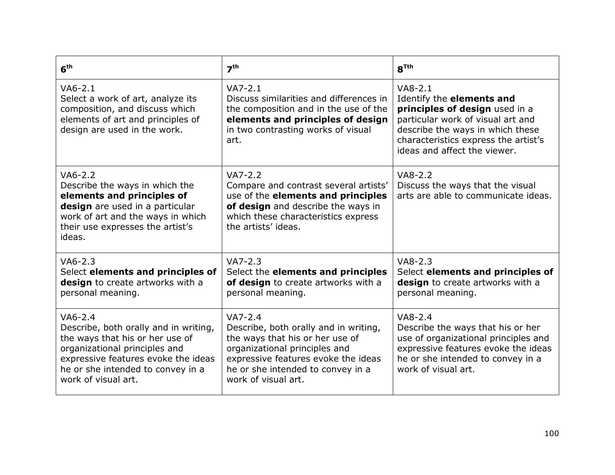| 6 <sup>th</sup>                                                                                                                                                                                                           | 7 <sup>th</sup>                                                                                                                                                                                                           | $R^{Tth}$                                                                                                                                                                                                                 |
|---------------------------------------------------------------------------------------------------------------------------------------------------------------------------------------------------------------------------|---------------------------------------------------------------------------------------------------------------------------------------------------------------------------------------------------------------------------|---------------------------------------------------------------------------------------------------------------------------------------------------------------------------------------------------------------------------|
| $VAG-2.1$<br>Select a work of art, analyze its<br>composition, and discuss which<br>elements of art and principles of<br>design are used in the work.                                                                     | $VA7-2.1$<br>Discuss similarities and differences in<br>the composition and in the use of the<br>elements and principles of design<br>in two contrasting works of visual<br>art.                                          | $VAB-2.1$<br>Identify the elements and<br>principles of design used in a<br>particular work of visual art and<br>describe the ways in which these<br>characteristics express the artist's<br>ideas and affect the viewer. |
| $VAG-2.2$<br>Describe the ways in which the<br>elements and principles of<br>design are used in a particular<br>work of art and the ways in which<br>their use expresses the artist's<br>ideas.                           | $VA7-2.2$<br>Compare and contrast several artists'<br>use of the elements and principles<br>of design and describe the ways in<br>which these characteristics express<br>the artists' ideas.                              | $VAB-2.2$<br>Discuss the ways that the visual<br>arts are able to communicate ideas.                                                                                                                                      |
| $VA6-2.3$<br>Select elements and principles of<br>design to create artworks with a<br>personal meaning.                                                                                                                   | $VA7-2.3$<br>Select the elements and principles<br>of design to create artworks with a<br>personal meaning.                                                                                                               | $VAB-2.3$<br>Select elements and principles of<br>design to create artworks with a<br>personal meaning.                                                                                                                   |
| $VAG-2.4$<br>Describe, both orally and in writing,<br>the ways that his or her use of<br>organizational principles and<br>expressive features evoke the ideas<br>he or she intended to convey in a<br>work of visual art. | $VA7-2.4$<br>Describe, both orally and in writing,<br>the ways that his or her use of<br>organizational principles and<br>expressive features evoke the ideas<br>he or she intended to convey in a<br>work of visual art. | $VAB-2.4$<br>Describe the ways that his or her<br>use of organizational principles and<br>expressive features evoke the ideas<br>he or she intended to convey in a<br>work of visual art.                                 |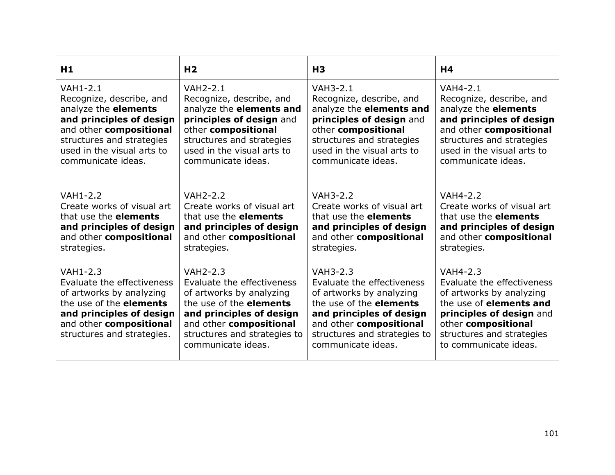| H1                                                                                                                                                                                        | H <sub>2</sub>                                                                                                                                                                                                           | H <sub>3</sub>                                                                                                                                                                                                           | H4                                                                                                                                                                                                                   |
|-------------------------------------------------------------------------------------------------------------------------------------------------------------------------------------------|--------------------------------------------------------------------------------------------------------------------------------------------------------------------------------------------------------------------------|--------------------------------------------------------------------------------------------------------------------------------------------------------------------------------------------------------------------------|----------------------------------------------------------------------------------------------------------------------------------------------------------------------------------------------------------------------|
| <b>VAH1-2.1</b>                                                                                                                                                                           | <b>VAH2-2.1</b>                                                                                                                                                                                                          | <b>VAH3-2.1</b>                                                                                                                                                                                                          | <b>VAH4-2.1</b>                                                                                                                                                                                                      |
| Recognize, describe, and                                                                                                                                                                  | Recognize, describe, and                                                                                                                                                                                                 | Recognize, describe, and                                                                                                                                                                                                 | Recognize, describe, and                                                                                                                                                                                             |
| analyze the elements                                                                                                                                                                      | analyze the elements and                                                                                                                                                                                                 | analyze the elements and                                                                                                                                                                                                 | analyze the elements                                                                                                                                                                                                 |
| and principles of design                                                                                                                                                                  | principles of design and                                                                                                                                                                                                 | principles of design and                                                                                                                                                                                                 | and principles of design                                                                                                                                                                                             |
| and other compositional                                                                                                                                                                   | other compositional                                                                                                                                                                                                      | other compositional                                                                                                                                                                                                      | and other compositional                                                                                                                                                                                              |
| structures and strategies                                                                                                                                                                 | structures and strategies                                                                                                                                                                                                | structures and strategies                                                                                                                                                                                                | structures and strategies                                                                                                                                                                                            |
| used in the visual arts to                                                                                                                                                                | used in the visual arts to                                                                                                                                                                                               | used in the visual arts to                                                                                                                                                                                               | used in the visual arts to                                                                                                                                                                                           |
| communicate ideas.                                                                                                                                                                        | communicate ideas.                                                                                                                                                                                                       | communicate ideas.                                                                                                                                                                                                       | communicate ideas.                                                                                                                                                                                                   |
| <b>VAH1-2.2</b>                                                                                                                                                                           | <b>VAH2-2.2</b>                                                                                                                                                                                                          | <b>VAH3-2.2</b>                                                                                                                                                                                                          | <b>VAH4-2.2</b>                                                                                                                                                                                                      |
| Create works of visual art                                                                                                                                                                | Create works of visual art                                                                                                                                                                                               | Create works of visual art                                                                                                                                                                                               | Create works of visual art                                                                                                                                                                                           |
| that use the <b>elements</b>                                                                                                                                                              | that use the <b>elements</b>                                                                                                                                                                                             | that use the <b>elements</b>                                                                                                                                                                                             | that use the <b>elements</b>                                                                                                                                                                                         |
| and principles of design                                                                                                                                                                  | and principles of design                                                                                                                                                                                                 | and principles of design                                                                                                                                                                                                 | and principles of design                                                                                                                                                                                             |
| and other compositional                                                                                                                                                                   | and other compositional                                                                                                                                                                                                  | and other compositional                                                                                                                                                                                                  | and other compositional                                                                                                                                                                                              |
| strategies.                                                                                                                                                                               | strategies.                                                                                                                                                                                                              | strategies.                                                                                                                                                                                                              | strategies.                                                                                                                                                                                                          |
| VAH1-2.3<br>Evaluate the effectiveness<br>of artworks by analyzing<br>the use of the <b>elements</b><br>and principles of design<br>and other compositional<br>structures and strategies. | <b>VAH2-2.3</b><br>Evaluate the effectiveness<br>of artworks by analyzing<br>the use of the <b>elements</b><br>and principles of design<br>and other compositional<br>structures and strategies to<br>communicate ideas. | <b>VAH3-2.3</b><br>Evaluate the effectiveness<br>of artworks by analyzing<br>the use of the <b>elements</b><br>and principles of design<br>and other compositional<br>structures and strategies to<br>communicate ideas. | <b>VAH4-2.3</b><br>Evaluate the effectiveness<br>of artworks by analyzing<br>the use of <b>elements and</b><br>principles of design and<br>other compositional<br>structures and strategies<br>to communicate ideas. |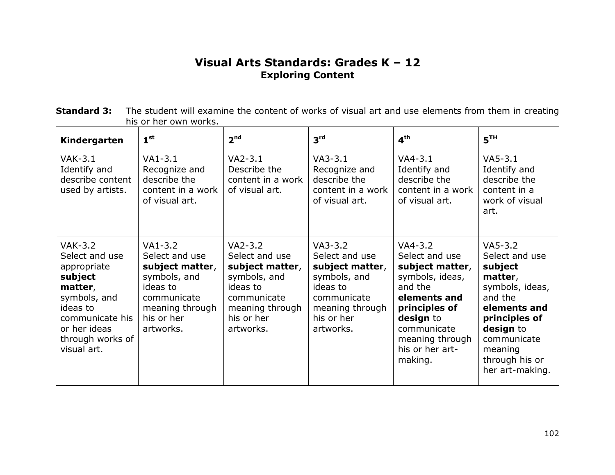# **Visual Arts Standards: Grades K – 12 Exploring Content**

| <b>Standard 3:</b> The student will examine the content of works of visual art and use elements from them in creating |
|-----------------------------------------------------------------------------------------------------------------------|
| his or her own works.                                                                                                 |

| Kindergarten                                                                                                                                                            | 1 <sup>st</sup>                                                                                                                         | 2 <sup>nd</sup>                                                                                                                         | 3 <sup>rd</sup>                                                                                                                         | $4^{\text{th}}$                                                                                                                                                                            | 5 <sup>TH</sup>                                                                                                                                                                              |
|-------------------------------------------------------------------------------------------------------------------------------------------------------------------------|-----------------------------------------------------------------------------------------------------------------------------------------|-----------------------------------------------------------------------------------------------------------------------------------------|-----------------------------------------------------------------------------------------------------------------------------------------|--------------------------------------------------------------------------------------------------------------------------------------------------------------------------------------------|----------------------------------------------------------------------------------------------------------------------------------------------------------------------------------------------|
| $VAK-3.1$<br>Identify and<br>describe content<br>used by artists.                                                                                                       | $VA1-3.1$<br>Recognize and<br>describe the<br>content in a work<br>of visual art.                                                       | $VA2-3.1$<br>Describe the<br>content in a work<br>of visual art.                                                                        | $VA3-3.1$<br>Recognize and<br>describe the<br>content in a work<br>of visual art.                                                       | $VA4-3.1$<br>Identify and<br>describe the<br>content in a work<br>of visual art.                                                                                                           | $VAS-3.1$<br>Identify and<br>describe the<br>content in a<br>work of visual<br>art.                                                                                                          |
| <b>VAK-3.2</b><br>Select and use<br>appropriate<br>subject<br>matter,<br>symbols, and<br>ideas to<br>communicate his<br>or her ideas<br>through works of<br>visual art. | $VA1-3.2$<br>Select and use<br>subject matter,<br>symbols, and<br>ideas to<br>communicate<br>meaning through<br>his or her<br>artworks. | $VA2-3.2$<br>Select and use<br>subject matter,<br>symbols, and<br>ideas to<br>communicate<br>meaning through<br>his or her<br>artworks. | $VA3-3.2$<br>Select and use<br>subject matter,<br>symbols, and<br>ideas to<br>communicate<br>meaning through<br>his or her<br>artworks. | $VA4-3.2$<br>Select and use<br>subject matter,<br>symbols, ideas,<br>and the<br>elements and<br>principles of<br>design to<br>communicate<br>meaning through<br>his or her art-<br>making. | $VA5-3.2$<br>Select and use<br>subject<br>matter,<br>symbols, ideas,<br>and the<br>elements and<br>principles of<br>design to<br>communicate<br>meaning<br>through his or<br>her art-making. |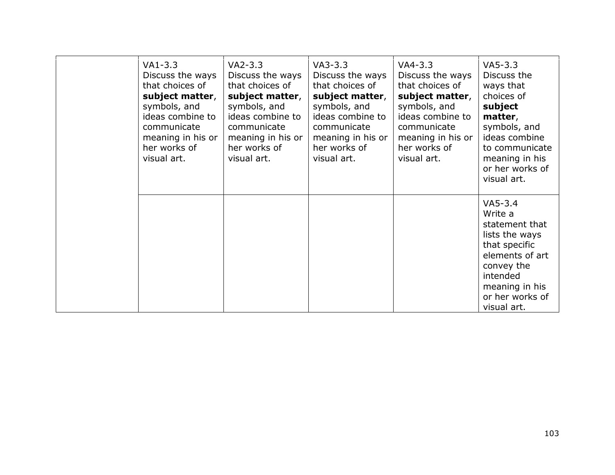| VA1-3.3<br>Discuss the ways<br>that choices of<br>subject matter,<br>symbols, and<br>ideas combine to<br>communicate<br>meaning in his or<br>her works of<br>visual art. | $VA2-3.3$<br>Discuss the ways<br>that choices of<br>subject matter,<br>symbols, and<br>ideas combine to<br>communicate<br>meaning in his or<br>her works of<br>visual art. | $VA3-3.3$<br>Discuss the ways<br>that choices of<br>subject matter,<br>symbols, and<br>ideas combine to<br>communicate<br>meaning in his or<br>her works of<br>visual art. | $VA4 - 3.3$<br>Discuss the ways<br>that choices of<br>subject matter,<br>symbols, and<br>ideas combine to<br>communicate<br>meaning in his or<br>her works of<br>visual art. | $VA5-3.3$<br>Discuss the<br>ways that<br>choices of<br>subject<br>matter,<br>symbols, and<br>ideas combine<br>to communicate<br>meaning in his<br>or her works of<br>visual art. |
|--------------------------------------------------------------------------------------------------------------------------------------------------------------------------|----------------------------------------------------------------------------------------------------------------------------------------------------------------------------|----------------------------------------------------------------------------------------------------------------------------------------------------------------------------|------------------------------------------------------------------------------------------------------------------------------------------------------------------------------|----------------------------------------------------------------------------------------------------------------------------------------------------------------------------------|
|                                                                                                                                                                          |                                                                                                                                                                            |                                                                                                                                                                            |                                                                                                                                                                              | $VA5-3.4$<br>Write a<br>statement that<br>lists the ways<br>that specific<br>elements of art<br>convey the<br>intended<br>meaning in his<br>or her works of<br>visual art.       |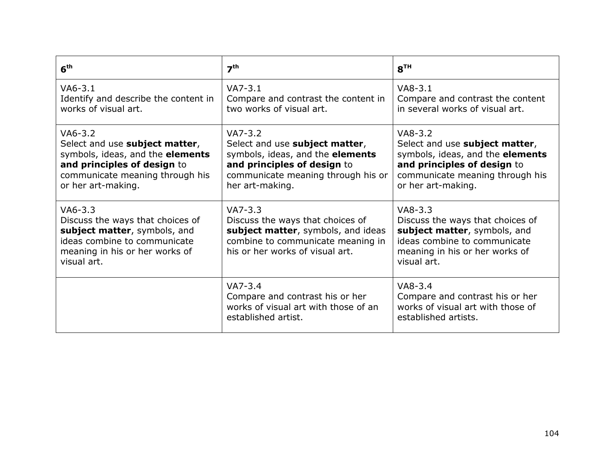| 6 <sup>th</sup>                                                                                                                                                         | 7 <sup>th</sup>                                                                                                                                                         | 8 <sup>TH</sup>                                                                                                                                                         |
|-------------------------------------------------------------------------------------------------------------------------------------------------------------------------|-------------------------------------------------------------------------------------------------------------------------------------------------------------------------|-------------------------------------------------------------------------------------------------------------------------------------------------------------------------|
| $VAG-3.1$<br>Identify and describe the content in<br>works of visual art.                                                                                               | $VA7-3.1$<br>Compare and contrast the content in<br>two works of visual art.                                                                                            | $VAB-3.1$<br>Compare and contrast the content<br>in several works of visual art.                                                                                        |
| $VAG-3.2$<br>Select and use subject matter,<br>symbols, ideas, and the elements<br>and principles of design to<br>communicate meaning through his<br>or her art-making. | $VA7-3.2$<br>Select and use subject matter,<br>symbols, ideas, and the elements<br>and principles of design to<br>communicate meaning through his or<br>her art-making. | $VAB-3.2$<br>Select and use subject matter,<br>symbols, ideas, and the elements<br>and principles of design to<br>communicate meaning through his<br>or her art-making. |
| $VA6-3.3$<br>Discuss the ways that choices of<br>subject matter, symbols, and<br>ideas combine to communicate<br>meaning in his or her works of<br>visual art.          | $VA7-3.3$<br>Discuss the ways that choices of<br>subject matter, symbols, and ideas<br>combine to communicate meaning in<br>his or her works of visual art.             | $VAB-3.3$<br>Discuss the ways that choices of<br>subject matter, symbols, and<br>ideas combine to communicate<br>meaning in his or her works of<br>visual art.          |
|                                                                                                                                                                         | $VA7-3.4$<br>Compare and contrast his or her<br>works of visual art with those of an<br>established artist.                                                             | $VAB-3.4$<br>Compare and contrast his or her<br>works of visual art with those of<br>established artists.                                                               |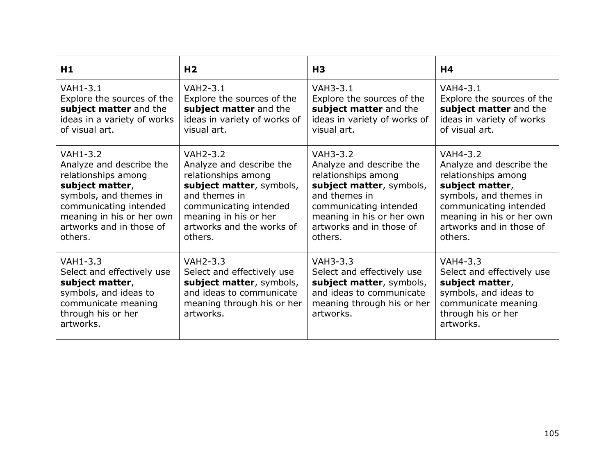| H1                                                                                                                                             | H <sub>2</sub>                                                                                                                                   | H <sub>3</sub>                                                                                                                                   | H <sub>4</sub>                                                                                                                               |
|------------------------------------------------------------------------------------------------------------------------------------------------|--------------------------------------------------------------------------------------------------------------------------------------------------|--------------------------------------------------------------------------------------------------------------------------------------------------|----------------------------------------------------------------------------------------------------------------------------------------------|
| <b>VAH1-3.1</b>                                                                                                                                | <b>VAH2-3.1</b>                                                                                                                                  | <b>VAH3-3.1</b>                                                                                                                                  | <b>VAH4-3.1</b>                                                                                                                              |
| Explore the sources of the                                                                                                                     | Explore the sources of the                                                                                                                       | Explore the sources of the                                                                                                                       | Explore the sources of the                                                                                                                   |
| subject matter and the                                                                                                                         | subject matter and the                                                                                                                           | subject matter and the                                                                                                                           | subject matter and the                                                                                                                       |
| ideas in a variety of works                                                                                                                    | ideas in variety of works of                                                                                                                     | ideas in variety of works of                                                                                                                     | ideas in variety of works                                                                                                                    |
| of visual art.                                                                                                                                 | visual art.                                                                                                                                      | visual art.                                                                                                                                      | of visual art.                                                                                                                               |
| <b>VAH1-3.2</b>                                                                                                                                | <b>VAH2-3.2</b>                                                                                                                                  | <b>VAH3-3.2</b>                                                                                                                                  | <b>VAH4-3.2</b>                                                                                                                              |
| Analyze and describe the                                                                                                                       | Analyze and describe the                                                                                                                         | Analyze and describe the                                                                                                                         | Analyze and describe the                                                                                                                     |
| relationships among                                                                                                                            | relationships among                                                                                                                              | relationships among                                                                                                                              | relationships among                                                                                                                          |
| subject matter,                                                                                                                                | subject matter, symbols,                                                                                                                         | subject matter, symbols,                                                                                                                         | subject matter,                                                                                                                              |
| symbols, and themes in                                                                                                                         | and themes in                                                                                                                                    | and themes in                                                                                                                                    | symbols, and themes in                                                                                                                       |
| communicating intended                                                                                                                         | communicating intended                                                                                                                           | communicating intended                                                                                                                           | communicating intended                                                                                                                       |
| meaning in his or her own                                                                                                                      | meaning in his or her                                                                                                                            | meaning in his or her own                                                                                                                        | meaning in his or her own                                                                                                                    |
| artworks and in those of                                                                                                                       | artworks and the works of                                                                                                                        | artworks and in those of                                                                                                                         | artworks and in those of                                                                                                                     |
| others.                                                                                                                                        | others.                                                                                                                                          | others.                                                                                                                                          | others.                                                                                                                                      |
| $VAH1-3.3$<br>Select and effectively use<br>subject matter,<br>symbols, and ideas to<br>communicate meaning<br>through his or her<br>artworks. | <b>VAH2-3.3</b><br>Select and effectively use<br>subject matter, symbols,<br>and ideas to communicate<br>meaning through his or her<br>artworks. | <b>VAH3-3.3</b><br>Select and effectively use<br>subject matter, symbols,<br>and ideas to communicate<br>meaning through his or her<br>artworks. | VAH4-3.3<br>Select and effectively use<br>subject matter,<br>symbols, and ideas to<br>communicate meaning<br>through his or her<br>artworks. |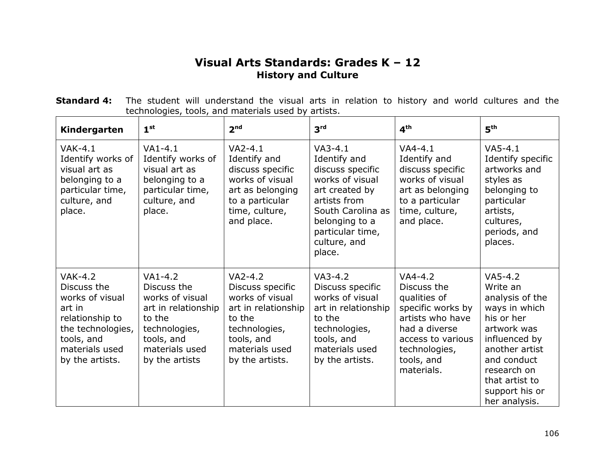## **Visual Arts Standards: Grades K – 12 History and Culture**

| <b>Standard 4:</b> The student will understand the visual arts in relation to history and world cultures and the |                                                     |  |  |  |  |  |  |  |
|------------------------------------------------------------------------------------------------------------------|-----------------------------------------------------|--|--|--|--|--|--|--|
|                                                                                                                  | technologies, tools, and materials used by artists. |  |  |  |  |  |  |  |
|                                                                                                                  |                                                     |  |  |  |  |  |  |  |

| Kindergarten                                                                                                                                     | 1 <sup>st</sup>                                                                                                                                 | 2 <sup>nd</sup>                                                                                                                                       | 3 <sup>rd</sup>                                                                                                                                                                         | 4 <sup>th</sup>                                                                                                                                                      | 5 <sup>th</sup>                                                                                                                                                                                              |
|--------------------------------------------------------------------------------------------------------------------------------------------------|-------------------------------------------------------------------------------------------------------------------------------------------------|-------------------------------------------------------------------------------------------------------------------------------------------------------|-----------------------------------------------------------------------------------------------------------------------------------------------------------------------------------------|----------------------------------------------------------------------------------------------------------------------------------------------------------------------|--------------------------------------------------------------------------------------------------------------------------------------------------------------------------------------------------------------|
| $VAK-4.1$<br>Identify works of<br>visual art as<br>belonging to a<br>particular time,<br>culture, and<br>place.                                  | $VA1-4.1$<br>Identify works of<br>visual art as<br>belonging to a<br>particular time,<br>culture, and<br>place.                                 | $VA2-4.1$<br>Identify and<br>discuss specific<br>works of visual<br>art as belonging<br>to a particular<br>time, culture,<br>and place.               | $VA3-4.1$<br>Identify and<br>discuss specific<br>works of visual<br>art created by<br>artists from<br>South Carolina as<br>belonging to a<br>particular time,<br>culture, and<br>place. | $VA4-4.1$<br>Identify and<br>discuss specific<br>works of visual<br>art as belonging<br>to a particular<br>time, culture,<br>and place.                              | $V$ A5-4.1<br>Identify specific<br>artworks and<br>styles as<br>belonging to<br>particular<br>artists,<br>cultures,<br>periods, and<br>places.                                                               |
| $VAK-4.2$<br>Discuss the<br>works of visual<br>art in<br>relationship to<br>the technologies,<br>tools, and<br>materials used<br>by the artists. | $VA1-4.2$<br>Discuss the<br>works of visual<br>art in relationship<br>to the<br>technologies,<br>tools, and<br>materials used<br>by the artists | $VA2-4.2$<br>Discuss specific<br>works of visual<br>art in relationship<br>to the<br>technologies,<br>tools, and<br>materials used<br>by the artists. | $VA3-4.2$<br>Discuss specific<br>works of visual<br>art in relationship<br>to the<br>technologies,<br>tools, and<br>materials used<br>by the artists.                                   | $VA4-4.2$<br>Discuss the<br>qualities of<br>specific works by<br>artists who have<br>had a diverse<br>access to various<br>technologies,<br>tools, and<br>materials. | $VA5-4.2$<br>Write an<br>analysis of the<br>ways in which<br>his or her<br>artwork was<br>influenced by<br>another artist<br>and conduct<br>research on<br>that artist to<br>support his or<br>her analysis. |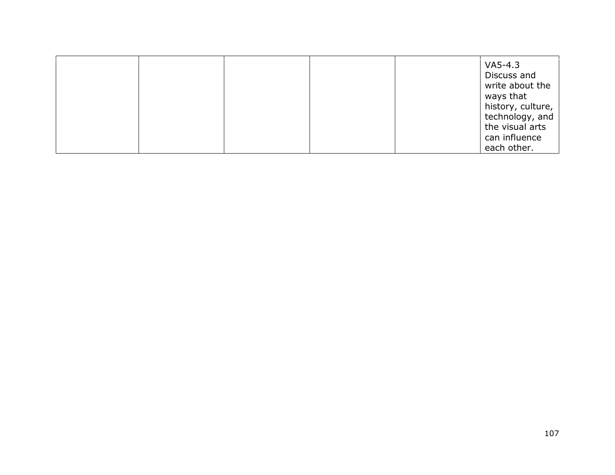|  |  | $VA5-4.3$<br>Discuss and<br>write about the<br>ways that |
|--|--|----------------------------------------------------------|
|  |  | history, culture,<br>technology, and                     |
|  |  | the visual arts                                          |
|  |  | can influence<br>each other.                             |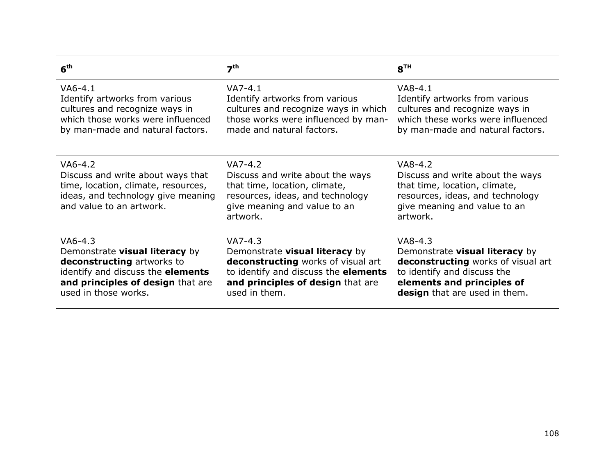| 6 <sup>th</sup>                                                                                                                                         | 7 <sup>th</sup>                                                                                                                                                | 8 <sup>TH</sup>                                                                                                                                                |
|---------------------------------------------------------------------------------------------------------------------------------------------------------|----------------------------------------------------------------------------------------------------------------------------------------------------------------|----------------------------------------------------------------------------------------------------------------------------------------------------------------|
| $VAG-4.1$                                                                                                                                               | $VA7-4.1$                                                                                                                                                      | $V$ A8-4.1                                                                                                                                                     |
| Identify artworks from various                                                                                                                          | Identify artworks from various                                                                                                                                 | Identify artworks from various                                                                                                                                 |
| cultures and recognize ways in                                                                                                                          | cultures and recognize ways in which                                                                                                                           | cultures and recognize ways in                                                                                                                                 |
| which those works were influenced                                                                                                                       | those works were influenced by man-                                                                                                                            | which these works were influenced                                                                                                                              |
| by man-made and natural factors.                                                                                                                        | made and natural factors.                                                                                                                                      | by man-made and natural factors.                                                                                                                               |
| $VAG-4.2$<br>Discuss and write about ways that<br>time, location, climate, resources,<br>ideas, and technology give meaning<br>and value to an artwork. | $VA7-4.2$<br>Discuss and write about the ways<br>that time, location, climate,<br>resources, ideas, and technology<br>give meaning and value to an<br>artwork. | $VAB-4.2$<br>Discuss and write about the ways<br>that time, location, climate,<br>resources, ideas, and technology<br>give meaning and value to an<br>artwork. |
| $VA6-4.3$                                                                                                                                               | $VA7-4.3$                                                                                                                                                      | $V$ A8-4.3                                                                                                                                                     |
| Demonstrate visual literacy by                                                                                                                          | Demonstrate visual literacy by                                                                                                                                 | Demonstrate visual literacy by                                                                                                                                 |
| deconstructing artworks to                                                                                                                              | deconstructing works of visual art                                                                                                                             | deconstructing works of visual art                                                                                                                             |
| identify and discuss the elements                                                                                                                       | to identify and discuss the elements                                                                                                                           | to identify and discuss the                                                                                                                                    |
| and principles of design that are                                                                                                                       | and principles of design that are                                                                                                                              | elements and principles of                                                                                                                                     |
| used in those works.                                                                                                                                    | used in them.                                                                                                                                                  | design that are used in them.                                                                                                                                  |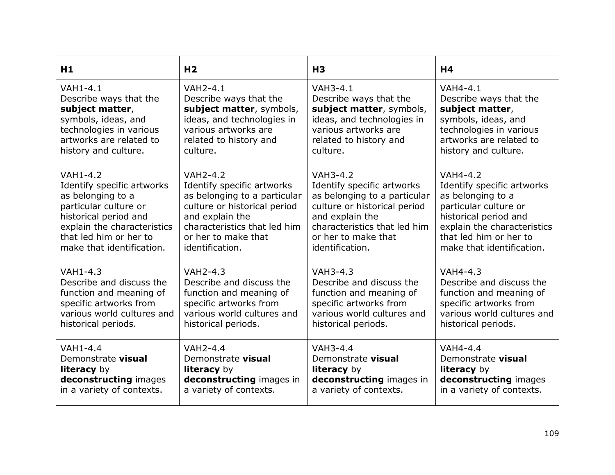| H1                          | H <sub>2</sub>               | H <sub>3</sub>               | H <sub>4</sub>              |
|-----------------------------|------------------------------|------------------------------|-----------------------------|
| <b>VAH1-4.1</b>             | <b>VAH2-4.1</b>              | <b>VAH3-4.1</b>              | <b>VAH4-4.1</b>             |
| Describe ways that the      | Describe ways that the       | Describe ways that the       | Describe ways that the      |
| subject matter,             | subject matter, symbols,     | subject matter, symbols,     | subject matter,             |
| symbols, ideas, and         | ideas, and technologies in   | ideas, and technologies in   | symbols, ideas, and         |
| technologies in various     | various artworks are         | various artworks are         | technologies in various     |
| artworks are related to     | related to history and       | related to history and       | artworks are related to     |
| history and culture.        | culture.                     | culture.                     | history and culture.        |
| <b>VAH1-4.2</b>             | <b>VAH2-4.2</b>              | <b>VAH3-4.2</b>              | <b>VAH4-4.2</b>             |
| Identify specific artworks  | Identify specific artworks   | Identify specific artworks   | Identify specific artworks  |
| as belonging to a           | as belonging to a particular | as belonging to a particular | as belonging to a           |
| particular culture or       | culture or historical period | culture or historical period | particular culture or       |
| historical period and       | and explain the              | and explain the              | historical period and       |
| explain the characteristics | characteristics that led him | characteristics that led him | explain the characteristics |
| that led him or her to      | or her to make that          | or her to make that          | that led him or her to      |
| make that identification.   | identification.              | identification.              | make that identification.   |
| $VAH1-4.3$                  | <b>VAH2-4.3</b>              | VAH3-4.3                     | VAH4-4.3                    |
| Describe and discuss the    | Describe and discuss the     | Describe and discuss the     | Describe and discuss the    |
| function and meaning of     | function and meaning of      | function and meaning of      | function and meaning of     |
| specific artworks from      | specific artworks from       | specific artworks from       | specific artworks from      |
| various world cultures and  | various world cultures and   | various world cultures and   | various world cultures and  |
| historical periods.         | historical periods.          | historical periods.          | historical periods.         |
| $VAH1-4.4$                  | <b>VAH2-4.4</b>              | VAH3-4.4                     | VAH4-4.4                    |
| Demonstrate visual          | Demonstrate visual           | Demonstrate visual           | Demonstrate visual          |
| <b>literacy</b> by          | <b>literacy</b> by           | <b>literacy</b> by           | <b>literacy</b> by          |
| deconstructing images       | deconstructing images in     | deconstructing images in     | deconstructing images       |
| in a variety of contexts.   | a variety of contexts.       | a variety of contexts.       | in a variety of contexts.   |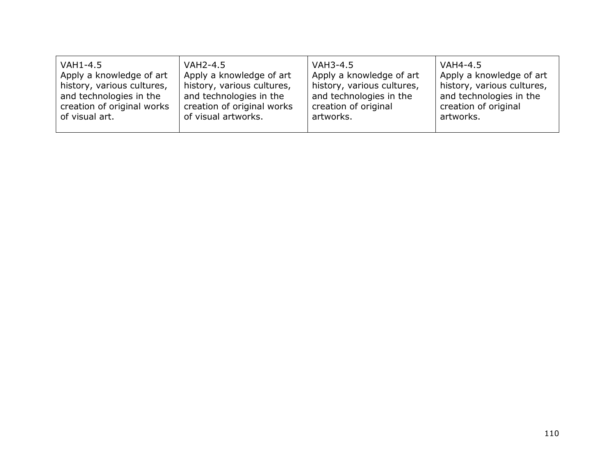| VAH1-4.5                   | <b>VAH2-4.5</b>            | VAH3-4.5                   | VAH4-4.5                   |
|----------------------------|----------------------------|----------------------------|----------------------------|
| Apply a knowledge of art   | Apply a knowledge of art   | Apply a knowledge of art   | Apply a knowledge of art   |
| history, various cultures, | history, various cultures, | history, various cultures, | history, various cultures, |
| and technologies in the    | and technologies in the    | and technologies in the    | and technologies in the    |
| creation of original works | creation of original works | creation of original       | creation of original       |
| of visual art.             | of visual artworks.        | artworks.                  | artworks.                  |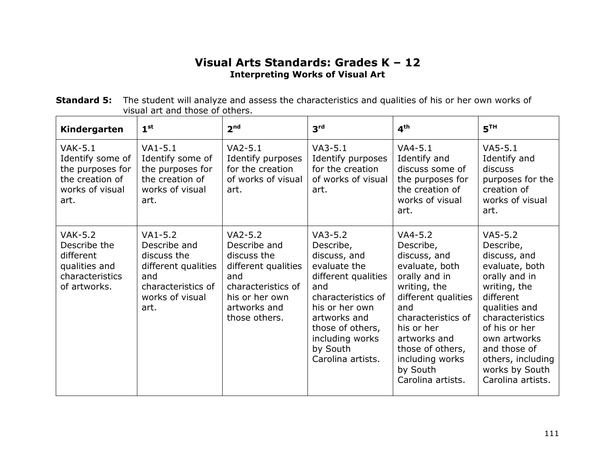## **Visual Arts Standards: Grades K – 12 Interpreting Works of Visual Art**

| <b>Standard 5:</b> The student will analyze and assess the characteristics and qualities of his or her own works of |
|---------------------------------------------------------------------------------------------------------------------|
| visual art and those of others.                                                                                     |

| Kindergarten                                                                                    | 1 <sup>st</sup>                                                                                                         | 2 <sup>nd</sup>                                                                                                                                 | 3 <sup>rd</sup>                                                                                                                                                                                                      | 4 <sup>th</sup>                                                                                                                                                                                                                                     | 5 <sup>TH</sup>                                                                                                                                                                                                                                         |
|-------------------------------------------------------------------------------------------------|-------------------------------------------------------------------------------------------------------------------------|-------------------------------------------------------------------------------------------------------------------------------------------------|----------------------------------------------------------------------------------------------------------------------------------------------------------------------------------------------------------------------|-----------------------------------------------------------------------------------------------------------------------------------------------------------------------------------------------------------------------------------------------------|---------------------------------------------------------------------------------------------------------------------------------------------------------------------------------------------------------------------------------------------------------|
| $VAK-5.1$<br>Identify some of<br>the purposes for<br>the creation of<br>works of visual<br>art. | $VA1-5.1$<br>Identify some of<br>the purposes for<br>the creation of<br>works of visual<br>art.                         | $VA2-5.1$<br>Identify purposes<br>for the creation<br>of works of visual<br>art.                                                                | $VA3-5.1$<br>Identify purposes<br>for the creation<br>of works of visual<br>art.                                                                                                                                     | $VA4-5.1$<br>Identify and<br>discuss some of<br>the purposes for<br>the creation of<br>works of visual<br>art.                                                                                                                                      | $VA5-5.1$<br>Identify and<br>discuss<br>purposes for the<br>creation of<br>works of visual<br>art.                                                                                                                                                      |
| <b>VAK-5.2</b><br>Describe the<br>different<br>qualities and<br>characteristics<br>of artworks. | $VA1-5.2$<br>Describe and<br>discuss the<br>different qualities<br>and<br>characteristics of<br>works of visual<br>art. | $VA2-5.2$<br>Describe and<br>discuss the<br>different qualities<br>and<br>characteristics of<br>his or her own<br>artworks and<br>those others. | $VA3-5.2$<br>Describe,<br>discuss, and<br>evaluate the<br>different qualities<br>and<br>characteristics of<br>his or her own<br>artworks and<br>those of others,<br>including works<br>by South<br>Carolina artists. | $VA4-5.2$<br>Describe,<br>discuss, and<br>evaluate, both<br>orally and in<br>writing, the<br>different qualities<br>and<br>characteristics of<br>his or her<br>artworks and<br>those of others,<br>including works<br>by South<br>Carolina artists. | $VA5-5.2$<br>Describe,<br>discuss, and<br>evaluate, both<br>orally and in<br>writing, the<br>different<br>qualities and<br>characteristics<br>of his or her<br>own artworks<br>and those of<br>others, including<br>works by South<br>Carolina artists. |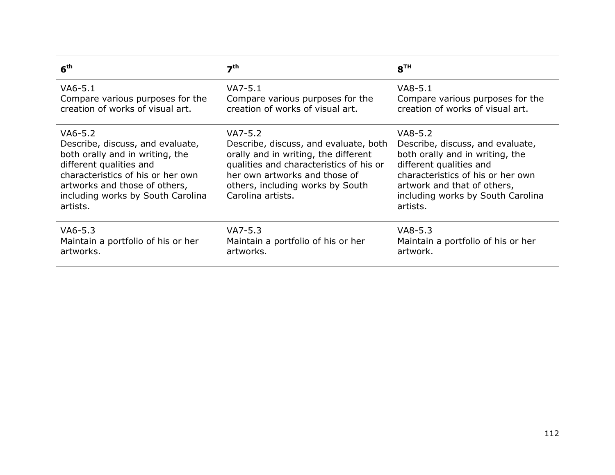| 6 <sup>th</sup>                                                                                                                                                                                                                  | 7 <sup>th</sup>                                                                                                                                                                                                                 | 8 <sup>TH</sup>                                                                                                                                                                                                                  |
|----------------------------------------------------------------------------------------------------------------------------------------------------------------------------------------------------------------------------------|---------------------------------------------------------------------------------------------------------------------------------------------------------------------------------------------------------------------------------|----------------------------------------------------------------------------------------------------------------------------------------------------------------------------------------------------------------------------------|
| VA6-5.1                                                                                                                                                                                                                          | $VA7-5.1$                                                                                                                                                                                                                       | $VAB-5.1$                                                                                                                                                                                                                        |
| Compare various purposes for the                                                                                                                                                                                                 | Compare various purposes for the                                                                                                                                                                                                | Compare various purposes for the                                                                                                                                                                                                 |
| creation of works of visual art.                                                                                                                                                                                                 | creation of works of visual art.                                                                                                                                                                                                | creation of works of visual art.                                                                                                                                                                                                 |
| VA6-5.2<br>Describe, discuss, and evaluate,<br>both orally and in writing, the<br>different qualities and<br>characteristics of his or her own<br>artworks and those of others,<br>including works by South Carolina<br>artists. | $VA7-5.2$<br>Describe, discuss, and evaluate, both<br>orally and in writing, the different<br>qualities and characteristics of his or<br>her own artworks and those of<br>others, including works by South<br>Carolina artists. | $VAB-5.2$<br>Describe, discuss, and evaluate,<br>both orally and in writing, the<br>different qualities and<br>characteristics of his or her own<br>artwork and that of others,<br>including works by South Carolina<br>artists. |
| $VA6-5.3$                                                                                                                                                                                                                        | $VA7-5.3$                                                                                                                                                                                                                       | $VAB-5.3$                                                                                                                                                                                                                        |
| Maintain a portfolio of his or her                                                                                                                                                                                               | Maintain a portfolio of his or her                                                                                                                                                                                              | Maintain a portfolio of his or her                                                                                                                                                                                               |
| artworks.                                                                                                                                                                                                                        | artworks.                                                                                                                                                                                                                       | artwork.                                                                                                                                                                                                                         |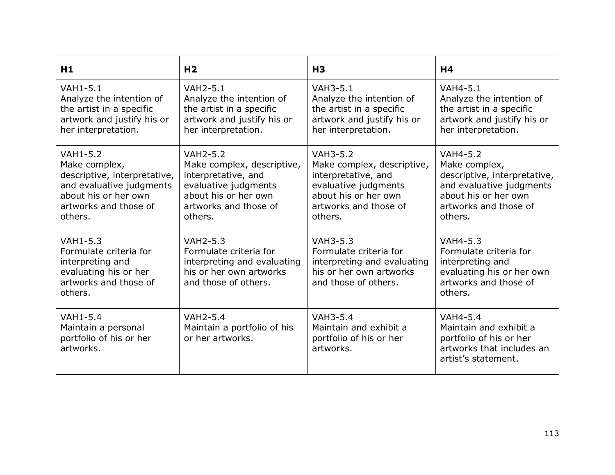| H1                                                                                                                                                       | H <sub>2</sub>                                                                                                                                           | H <sub>3</sub>                                                                                                                                           | H <sub>4</sub>                                                                                                                                           |
|----------------------------------------------------------------------------------------------------------------------------------------------------------|----------------------------------------------------------------------------------------------------------------------------------------------------------|----------------------------------------------------------------------------------------------------------------------------------------------------------|----------------------------------------------------------------------------------------------------------------------------------------------------------|
| <b>VAH1-5.1</b><br>Analyze the intention of<br>the artist in a specific<br>artwork and justify his or<br>her interpretation.                             | <b>VAH2-5.1</b><br>Analyze the intention of<br>the artist in a specific<br>artwork and justify his or<br>her interpretation.                             | <b>VAH3-5.1</b><br>Analyze the intention of<br>the artist in a specific<br>artwork and justify his or<br>her interpretation.                             | <b>VAH4-5.1</b><br>Analyze the intention of<br>the artist in a specific<br>artwork and justify his or<br>her interpretation.                             |
| <b>VAH1-5.2</b><br>Make complex,<br>descriptive, interpretative,<br>and evaluative judgments<br>about his or her own<br>artworks and those of<br>others. | <b>VAH2-5.2</b><br>Make complex, descriptive,<br>interpretative, and<br>evaluative judgments<br>about his or her own<br>artworks and those of<br>others. | <b>VAH3-5.2</b><br>Make complex, descriptive,<br>interpretative, and<br>evaluative judgments<br>about his or her own<br>artworks and those of<br>others. | <b>VAH4-5.2</b><br>Make complex,<br>descriptive, interpretative,<br>and evaluative judgments<br>about his or her own<br>artworks and those of<br>others. |
| VAH1-5.3<br>Formulate criteria for<br>interpreting and<br>evaluating his or her<br>artworks and those of<br>others.                                      | <b>VAH2-5.3</b><br>Formulate criteria for<br>interpreting and evaluating<br>his or her own artworks<br>and those of others.                              | <b>VAH3-5.3</b><br>Formulate criteria for<br>interpreting and evaluating<br>his or her own artworks<br>and those of others.                              | <b>VAH4-5.3</b><br>Formulate criteria for<br>interpreting and<br>evaluating his or her own<br>artworks and those of<br>others.                           |
| <b>VAH1-5.4</b><br>Maintain a personal<br>portfolio of his or her<br>artworks.                                                                           | <b>VAH2-5.4</b><br>Maintain a portfolio of his<br>or her artworks.                                                                                       | <b>VAH3-5.4</b><br>Maintain and exhibit a<br>portfolio of his or her<br>artworks.                                                                        | <b>VAH4-5.4</b><br>Maintain and exhibit a<br>portfolio of his or her<br>artworks that includes an<br>artist's statement.                                 |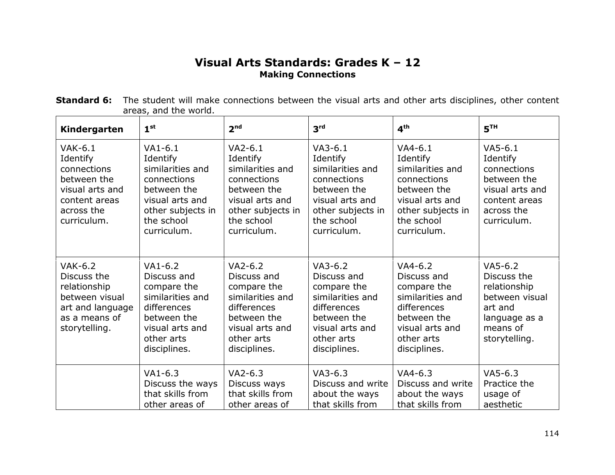## **Visual Arts Standards: Grades K – 12 Making Connections**

| <b>Standard 6:</b> The student will make connections between the visual arts and other arts disciplines, other content |  |
|------------------------------------------------------------------------------------------------------------------------|--|
| areas, and the world.                                                                                                  |  |

| Kindergarten                                                                                                          | 1 <sup>st</sup>                                                                                                                              | 2 <sup>nd</sup>                                                                                                                              | 3 <sup>rd</sup>                                                                                                                              | 4 <sup>th</sup>                                                                                                                              | 5 <sup>TH</sup>                                                                                                       |
|-----------------------------------------------------------------------------------------------------------------------|----------------------------------------------------------------------------------------------------------------------------------------------|----------------------------------------------------------------------------------------------------------------------------------------------|----------------------------------------------------------------------------------------------------------------------------------------------|----------------------------------------------------------------------------------------------------------------------------------------------|-----------------------------------------------------------------------------------------------------------------------|
| $VAK-6.1$<br>Identify<br>connections<br>between the<br>visual arts and<br>content areas<br>across the<br>curriculum.  | $VA1-6.1$<br>Identify<br>similarities and<br>connections<br>between the<br>visual arts and<br>other subjects in<br>the school<br>curriculum. | $VA2-6.1$<br>Identify<br>similarities and<br>connections<br>between the<br>visual arts and<br>other subjects in<br>the school<br>curriculum. | $VA3-6.1$<br>Identify<br>similarities and<br>connections<br>between the<br>visual arts and<br>other subjects in<br>the school<br>curriculum. | $VA4-6.1$<br>Identify<br>similarities and<br>connections<br>between the<br>visual arts and<br>other subjects in<br>the school<br>curriculum. | $V$ A5-6.1<br>Identify<br>connections<br>between the<br>visual arts and<br>content areas<br>across the<br>curriculum. |
| <b>VAK-6.2</b><br>Discuss the<br>relationship<br>between visual<br>art and language<br>as a means of<br>storytelling. | $VA1-6.2$<br>Discuss and<br>compare the<br>similarities and<br>differences<br>between the<br>visual arts and<br>other arts<br>disciplines.   | $VA2-6.2$<br>Discuss and<br>compare the<br>similarities and<br>differences<br>between the<br>visual arts and<br>other arts<br>disciplines.   | $VA3-6.2$<br>Discuss and<br>compare the<br>similarities and<br>differences<br>between the<br>visual arts and<br>other arts<br>disciplines.   | $VA4-6.2$<br>Discuss and<br>compare the<br>similarities and<br>differences<br>between the<br>visual arts and<br>other arts<br>disciplines.   | $VA5-6.2$<br>Discuss the<br>relationship<br>between visual<br>art and<br>language as a<br>means of<br>storytelling.   |
|                                                                                                                       | $VA1-6.3$<br>Discuss the ways<br>that skills from<br>other areas of                                                                          | $VA2-6.3$<br>Discuss ways<br>that skills from<br>other areas of                                                                              | $VA3-6.3$<br>Discuss and write<br>about the ways<br>that skills from                                                                         | $VA4-6.3$<br>Discuss and write<br>about the ways<br>that skills from                                                                         | $VA5-6.3$<br>Practice the<br>usage of<br>aesthetic                                                                    |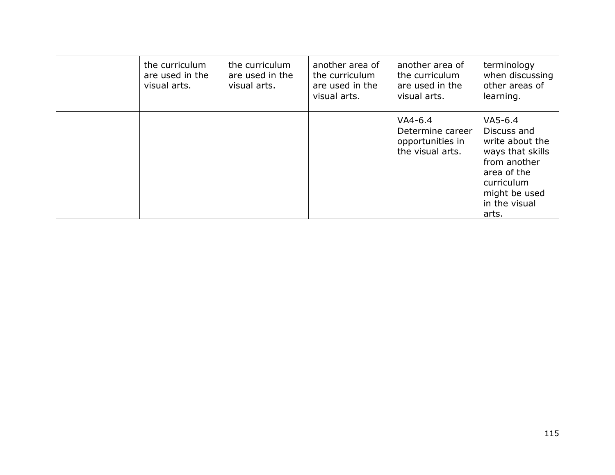| the curriculum<br>are used in the<br>visual arts. | the curriculum<br>are used in the<br>visual arts. | another area of<br>the curriculum<br>are used in the<br>visual arts. | another area of<br>the curriculum<br>are used in the<br>visual arts.  | terminology<br>when discussing<br>other areas of<br>learning.                                                                                            |
|---------------------------------------------------|---------------------------------------------------|----------------------------------------------------------------------|-----------------------------------------------------------------------|----------------------------------------------------------------------------------------------------------------------------------------------------------|
|                                                   |                                                   |                                                                      | $VA4-6.4$<br>Determine career<br>opportunities in<br>the visual arts. | $V$ A5-6.4<br>Discuss and<br>write about the<br>ways that skills<br>from another<br>area of the<br>curriculum<br>might be used<br>in the visual<br>arts. |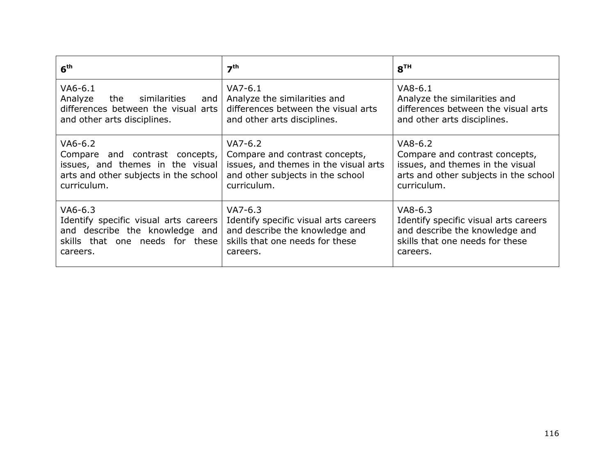| 6 <sup>th</sup>                                                                                                        | 7 <sup>th</sup>                                                                                                 | 8 <sup>TH</sup>                                                                                                  |
|------------------------------------------------------------------------------------------------------------------------|-----------------------------------------------------------------------------------------------------------------|------------------------------------------------------------------------------------------------------------------|
| VA6-6.1<br>Analyze<br>the<br>similarities<br>and<br>differences between the visual arts<br>and other arts disciplines. | $VA7-6.1$<br>Analyze the similarities and<br>differences between the visual arts<br>and other arts disciplines. | $V$ A8-6.1<br>Analyze the similarities and<br>differences between the visual arts<br>and other arts disciplines. |
| VA6-6.2                                                                                                                | $VA7-6.2$                                                                                                       | $V$ A8-6.2                                                                                                       |
| Compare and contrast concepts,                                                                                         | Compare and contrast concepts,                                                                                  | Compare and contrast concepts,                                                                                   |
| issues, and themes in the visual                                                                                       | issues, and themes in the visual arts                                                                           | issues, and themes in the visual                                                                                 |
| arts and other subjects in the school                                                                                  | and other subjects in the school                                                                                | arts and other subjects in the school                                                                            |
| curriculum.                                                                                                            | curriculum.                                                                                                     | curriculum.                                                                                                      |
| VA6-6.3                                                                                                                | $VA7-6.3$                                                                                                       | $V$ A8-6.3                                                                                                       |
| Identify specific visual arts careers                                                                                  | Identify specific visual arts careers                                                                           | Identify specific visual arts careers                                                                            |
| and describe the knowledge and                                                                                         | and describe the knowledge and                                                                                  | and describe the knowledge and                                                                                   |
| skills that one needs for these                                                                                        | skills that one needs for these                                                                                 | skills that one needs for these                                                                                  |
| careers.                                                                                                               | careers.                                                                                                        | careers.                                                                                                         |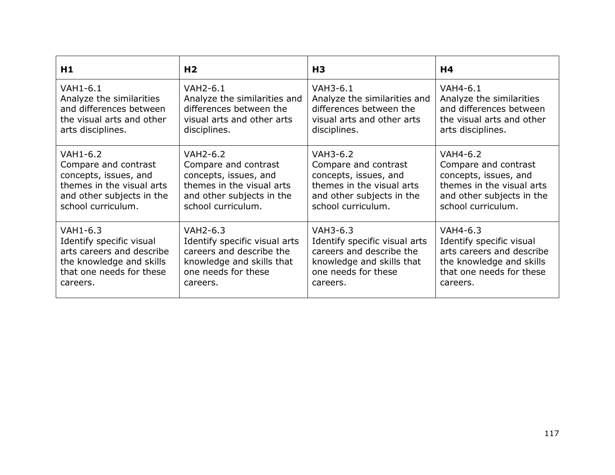| H1                        | H <sub>2</sub>                | H <sub>3</sub>                | H4                        |
|---------------------------|-------------------------------|-------------------------------|---------------------------|
| VAH1-6.1                  | VAH2-6.1                      | VAH3-6.1                      | VAH4-6.1                  |
| Analyze the similarities  | Analyze the similarities and  | Analyze the similarities and  | Analyze the similarities  |
| and differences between   | differences between the       | differences between the       | and differences between   |
| the visual arts and other | visual arts and other arts    | visual arts and other arts    | the visual arts and other |
| arts disciplines.         | disciplines.                  | disciplines.                  | arts disciplines.         |
| VAH1-6.2                  | VAH2-6.2                      | VAH3-6.2                      | VAH4-6.2                  |
| Compare and contrast      | Compare and contrast          | Compare and contrast          | Compare and contrast      |
| concepts, issues, and     | concepts, issues, and         | concepts, issues, and         | concepts, issues, and     |
| themes in the visual arts | themes in the visual arts     | themes in the visual arts     | themes in the visual arts |
| and other subjects in the | and other subjects in the     | and other subjects in the     | and other subjects in the |
| school curriculum.        | school curriculum.            | school curriculum.            | school curriculum.        |
| VAH1-6.3                  | VAH2-6.3                      | VAH3-6.3                      | VAH4-6.3                  |
| Identify specific visual  | Identify specific visual arts | Identify specific visual arts | Identify specific visual  |
| arts careers and describe | careers and describe the      | careers and describe the      | arts careers and describe |
| the knowledge and skills  | knowledge and skills that     | knowledge and skills that     | the knowledge and skills  |
| that one needs for these  | one needs for these           | one needs for these           | that one needs for these  |
| careers.                  | careers.                      | careers.                      | careers.                  |